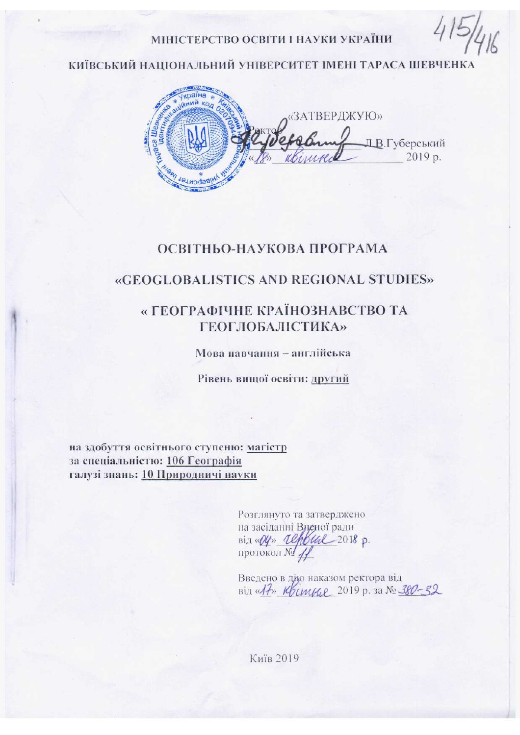#### МІНІСТЕРСТВО ОСВІТИ І НАУКИ УКРАЇНИ

КИЇВСЬКИЙ НАШОНАЛЬНИЙ УНІВЕРСИТЕТ ІМЕНІ ТАРАСА ШЕВЧЕНКА



### ОСВІТНЬО-НАУКОВА ПРОГРАМА

## **«GEOGLOBALISTICS AND REGIONAL STUDIES»**

## « ГЕОГРАФІЧНЕ КРАЇНОЗНАВСТВО ТА **ГЕОГЛОБАЛІСТИКА»**

Мова навчання - англійська

Рівень вищої освіти: другий

на здобуття освітнього ступеню: магістр за спеціальністю: 106 Географія галузі знань: 10 Природничі науки

> Розглянуто та затверджено на засіданні Вненої ради  $\sin \sqrt{\psi}$  *Lefbul* 2018 p. протокол № 1

Введено в дію наказом ректора від Bill «It» Krimme 2019 p. 3a No 380-32

Київ 2019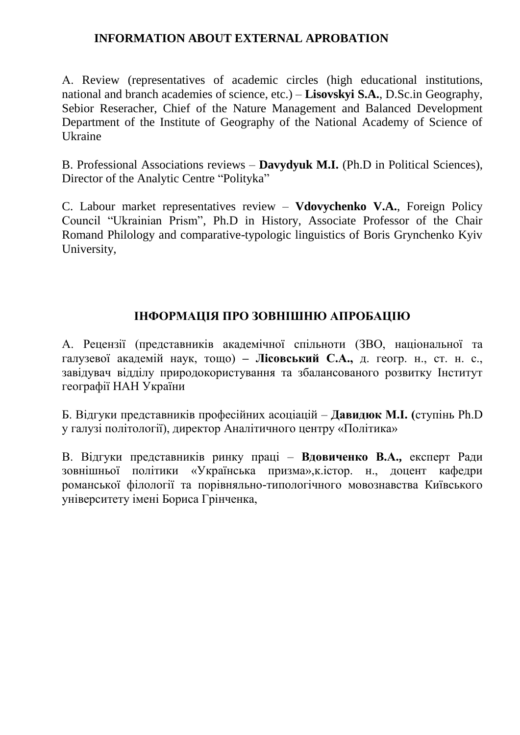## **INFORMATION ABOUT EXTERNAL APROBATION**

А. Review (representatives of academic circles (high educational institutions, national and branch academies of science, etc.) – **Lisovskyi S.A.**, D.Sc.in Geography, Sebior Reseracher, Chief of the Nature Management and Balanced Development Department of the Institute of Geography of the National Academy of Science of Ukraine

B. Professional Associations reviews – **Davydyuk M.I.** (Ph.D in Political Sciences), Director of the Analytic Centre "Polityka"

C. Labour market representatives review – **Vdovychenko V.A.**, Foreign Policy Council "Ukrainian Prism", Ph.D in History, Associate Professor of the Chair Romand Philology and comparative-typologic linguistics of Boris Grynchenko Kyiv University,

## **ІНФОРМАЦІЯ ПРО ЗОВНІШНЮ АПРОБАЦІЮ**

А. Рецензії (представників академічної спільноти (ЗВО, національної та галузевої академій наук, тощо) **– Лісовський С.А.,** д. геогр. н., ст. н. с., завідувач відділу природокористування та збалансованого розвитку Інститут географії НАН України

Б. Відгуки представників професійних асоціацій – **Давидюк М.І. (**ступінь Ph.D у галузі політології), директор Аналітичного центру «Політика»

B. Відгуки представників ринку праці – **Вдовиченко В.А.,** експерт Ради зовнішньої політики «Українська призма»,к.істор. н., доцент кафедри романської філології та порівняльно-типологічного мовознавства Київського університету імені Бориса Грінченка,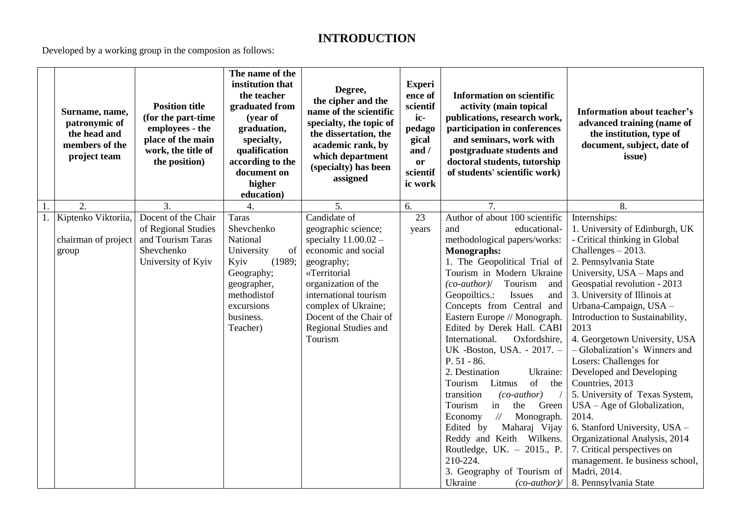# **INTRODUCTION**

Developed by a working group in the composion as follows:

|    | Surname, name,<br>patronymic of<br>the head and<br>members of the<br>project team | <b>Position title</b><br>(for the part-time<br>employees - the<br>place of the main<br>work, the title of<br>the position) | The name of the<br>institution that<br>the teacher<br>graduated from<br>(year of<br>graduation,<br>specialty,<br>qualification<br>according to the<br>document on<br>higher<br>education) | Degree,<br>the cipher and the<br>name of the scientific<br>specialty, the topic of<br>the dissertation, the<br>academic rank, by<br>which department<br>(specialty) has been<br>assigned                                                               | <b>Experi</b><br>ence of<br>scientif<br>ic-<br>pedago<br>gical<br>and /<br>or<br>scientif<br>ic work | <b>Information on scientific</b><br>activity (main topical<br>publications, research work,<br>participation in conferences<br>and seminars, work with<br>postgraduate students and<br>doctoral students, tutorship<br>of students' scientific work)                                                                                                                                                                                                                                                                                                                                                                                                                                                                                                                                       | <b>Information about teacher's</b><br>advanced training (name of<br>the institution, type of<br>document, subject, date of<br>issue)                                                                                                                                                                                                                                                                                                                                                                                                                                                                                                                                                                    |
|----|-----------------------------------------------------------------------------------|----------------------------------------------------------------------------------------------------------------------------|-------------------------------------------------------------------------------------------------------------------------------------------------------------------------------------------|--------------------------------------------------------------------------------------------------------------------------------------------------------------------------------------------------------------------------------------------------------|------------------------------------------------------------------------------------------------------|-------------------------------------------------------------------------------------------------------------------------------------------------------------------------------------------------------------------------------------------------------------------------------------------------------------------------------------------------------------------------------------------------------------------------------------------------------------------------------------------------------------------------------------------------------------------------------------------------------------------------------------------------------------------------------------------------------------------------------------------------------------------------------------------|---------------------------------------------------------------------------------------------------------------------------------------------------------------------------------------------------------------------------------------------------------------------------------------------------------------------------------------------------------------------------------------------------------------------------------------------------------------------------------------------------------------------------------------------------------------------------------------------------------------------------------------------------------------------------------------------------------|
| 1. | $\overline{2}$ .                                                                  | $\overline{3}$ .                                                                                                           | 4.                                                                                                                                                                                        | 5.                                                                                                                                                                                                                                                     | 6.                                                                                                   | $\overline{7}$ .                                                                                                                                                                                                                                                                                                                                                                                                                                                                                                                                                                                                                                                                                                                                                                          | 8.                                                                                                                                                                                                                                                                                                                                                                                                                                                                                                                                                                                                                                                                                                      |
|    | 1. Kiptenko Viktoriia,<br>chairman of project<br>group                            | Docent of the Chair<br>of Regional Studies<br>and Tourism Taras<br>Shevchenko<br>University of Kyiv                        | <b>Taras</b><br>Shevchenko<br>National<br>of<br>University<br>Kyiv<br>(1989;<br>Geography;<br>geographer,<br>methodistof<br>excursions<br>business.<br>Teacher)                           | Candidate of<br>geographic science;<br>specialty $11.00.02 -$<br>economic and social<br>geography;<br>«Territorial<br>organization of the<br>international tourism<br>complex of Ukraine;<br>Docent of the Chair of<br>Regional Studies and<br>Tourism | $\overline{23}$<br>years                                                                             | Author of about 100 scientific<br>and<br>educational-<br>methodological papers/works:<br><b>Monographs:</b><br>1. The Geopolitical Trial of<br>Tourism in Modern Ukraine<br>$(co\text{-}author$ )/<br>Tourism<br>and<br>Geopoiltics.:<br>Issues<br>and<br>Concepts from Central and<br>Eastern Europe // Monograph.<br>Edited by Derek Hall. CABI<br>International.<br>Oxfordshire,<br>UK -Boston, USA. - 2017. -<br>$P. 51 - 86.$<br>2. Destination<br>Ukraine:<br>of<br>Tourism<br>Litmus<br>the<br>transition<br>$(co\text{-}author)$<br>Tourism<br>in<br>the<br>Green<br>$\frac{1}{2}$<br>Monograph.<br>Economy<br>Maharaj Vijay<br>Edited by<br>Reddy and Keith Wilkens.<br>Routledge, UK. $-$ 2015., P.<br>210-224.<br>3. Geography of Tourism of<br>Ukraine<br>$(co\text{-}author$ | Internships:<br>1. University of Edinburgh, UK<br>- Critical thinking in Global<br>Challenges $-2013$ .<br>2. Pennsylvania State<br>University, USA - Maps and<br>Geospatial revolution - 2013<br>3. University of Illinois at<br>Urbana-Campaign, USA -<br>Introduction to Sustainability,<br>2013<br>4. Georgetown University, USA<br>- Globalization's Winners and<br>Losers: Challenges for<br>Developed and Developing<br>Countries, 2013<br>5. University of Texas System,<br>$USA - Age of Globalization,$<br>2014.<br>6. Stanford University, USA -<br>Organizational Analysis, 2014<br>7. Critical perspectives on<br>management. Ie business school,<br>Madri, 2014.<br>8. Pennsylvania State |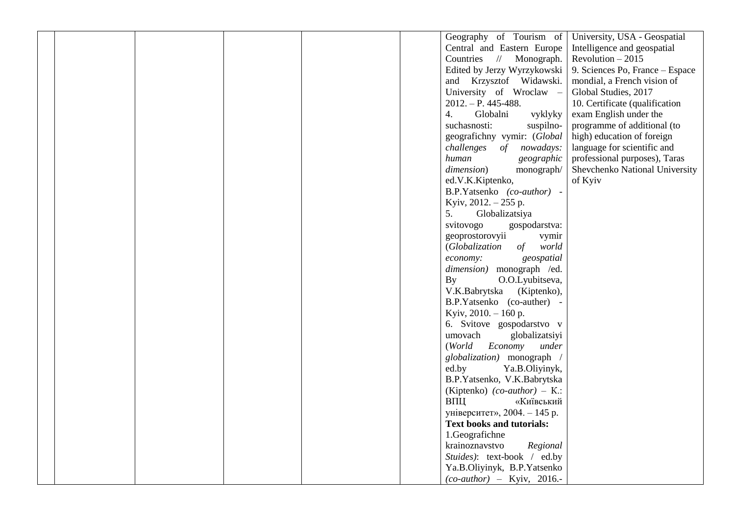|  |  |  | Geography of Tourism of                 | University, USA - Geospatial    |
|--|--|--|-----------------------------------------|---------------------------------|
|  |  |  | Central and Eastern Europe              | Intelligence and geospatial     |
|  |  |  | Countries // Monograph.                 | Revolution $-2015$              |
|  |  |  | Edited by Jerzy Wyrzykowski             | 9. Sciences Po, France - Espace |
|  |  |  | and Krzysztof Widawski.                 | mondial, a French vision of     |
|  |  |  | University of Wroclaw -                 | Global Studies, 2017            |
|  |  |  | $2012. - P. 445 - 488.$                 | 10. Certificate (qualification  |
|  |  |  | Globalni<br>$\overline{4}$ .<br>vyklyky | exam English under the          |
|  |  |  | suchasnosti:<br>suspilno-               | programme of additional (to     |
|  |  |  | geografichny vymir: (Global             | high) education of foreign      |
|  |  |  | challenges of nowadays:                 | language for scientific and     |
|  |  |  | human<br>geographic                     | professional purposes), Taras   |
|  |  |  | dimension)<br>monograph/                | Shevchenko National University  |
|  |  |  | ed.V.K.Kiptenko,                        | of Kyiv                         |
|  |  |  | B.P.Yatsenko (co-author) -              |                                 |
|  |  |  | Kyiv, 2012. - 255 p.                    |                                 |
|  |  |  | Globalizatsiya<br>5.                    |                                 |
|  |  |  | svitovogo<br>gospodarstva:              |                                 |
|  |  |  | geoprostorovyii<br>vymir                |                                 |
|  |  |  | of<br>world<br>(Globalization           |                                 |
|  |  |  | economy:<br>geospatial                  |                                 |
|  |  |  | dimension) monograph /ed.               |                                 |
|  |  |  | O.O.Lyubitseva,<br>By                   |                                 |
|  |  |  | V.K.Babrytska (Kiptenko),               |                                 |
|  |  |  | B.P.Yatsenko (co-auther) -              |                                 |
|  |  |  | Kyiv, 2010. - 160 p.                    |                                 |
|  |  |  | 6. Svitove gospodarstvo v               |                                 |
|  |  |  | umovach<br>globalizatsiyi               |                                 |
|  |  |  | (World<br>Economy<br>under              |                                 |
|  |  |  | globalization) monograph /              |                                 |
|  |  |  | ed.by<br>Ya.B.Oliyinyk,                 |                                 |
|  |  |  | B.P.Yatsenko, V.K.Babrytska             |                                 |
|  |  |  | (Kiptenko) $(co\text{-}author$ ) – K.:  |                                 |
|  |  |  | ВПЦ<br>«Київський                       |                                 |
|  |  |  | університет», 2004. - 145 р.            |                                 |
|  |  |  | <b>Text books and tutorials:</b>        |                                 |
|  |  |  | 1.Geografichne                          |                                 |
|  |  |  | krainoznavstvo<br>Regional              |                                 |
|  |  |  | Stuides): text-book / ed.by             |                                 |
|  |  |  | Ya.B.Oliyinyk, B.P.Yatsenko             |                                 |
|  |  |  | $(co\text{-}author)$ – Kyiv, 2016.-     |                                 |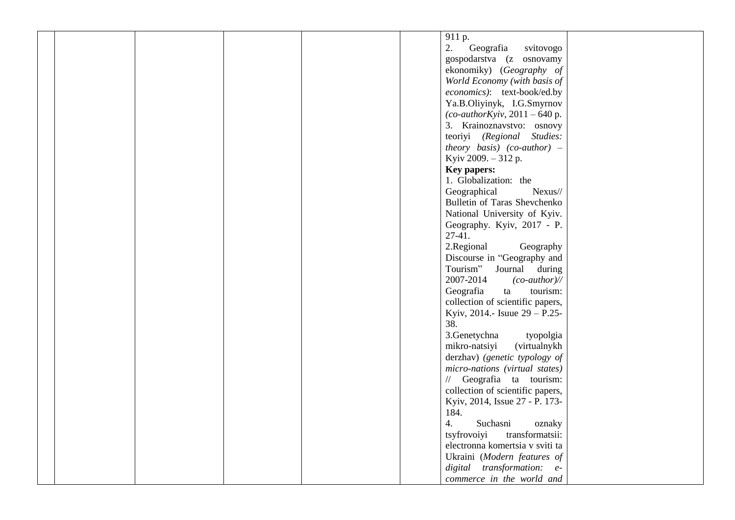| 911 p.                              |
|-------------------------------------|
| 2.<br>Geografia<br>svitovogo        |
| gospodarstva (z osnovamy            |
| ekonomiky) (Geography of            |
| World Economy (with basis of        |
| economics): text-book/ed.by         |
| Ya.B.Oliyinyk, I.G.Smyrnov          |
| (co-authorKyiv, $2011 - 640$ p.     |
| 3. Krainoznavstvo: osnovy           |
|                                     |
| teoriyi (Regional Studies:          |
| theory basis) (co-author) $-$       |
| Kyiv 2009. - 312 p.                 |
| <b>Key papers:</b>                  |
| 1. Globalization: the               |
| Geographical<br>Nexus//             |
| Bulletin of Taras Shevchenko        |
| National University of Kyiv.        |
| Geography. Kyiv, 2017 - P.          |
| $27-41.$                            |
| 2.Regional<br>Geography             |
| Discourse in "Geography and         |
| Tourism"<br>Journal during          |
| 2007-2014<br>$(co\text{-}author$ // |
| tourism:<br>Geografia<br>ta         |
| collection of scientific papers,    |
| Kyiv, 2014.- Isuue $29 - P.25$ -    |
| 38.                                 |
| 3.Genetychna<br>tyopolgia           |
| mikro-natsiyi<br>(virtualnykh       |
| derzhav) (genetic typology of       |
| micro-nations (virtual states)      |
|                                     |
| // Geografia ta tourism:            |
| collection of scientific papers,    |
| Kyiv, 2014, Issue 27 - P. 173-      |
| 184.                                |
| Suchasni<br>oznaky<br>4.            |
| tsyfrovoiyi<br>transformatsii:      |
| electronna komertsia v sviti ta     |
| Ukraini (Modern features of         |
| digital transformation: e-          |
| commerce in the world and           |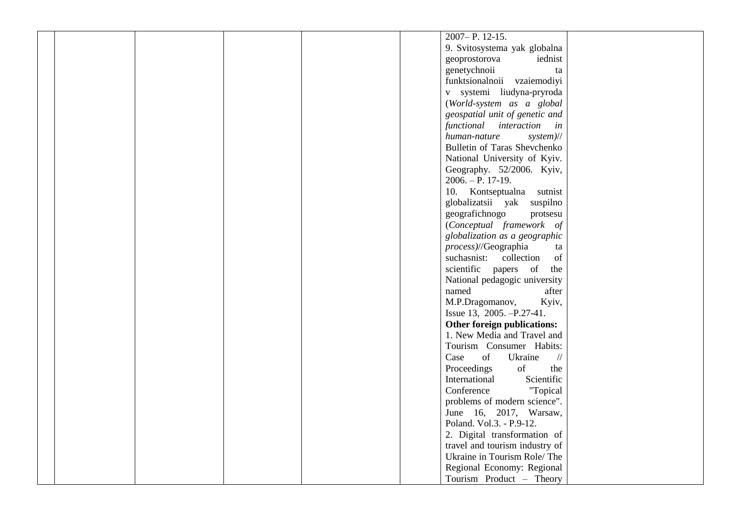| 2007-P. 12-15.                              |
|---------------------------------------------|
| 9. Svitosystema yak globalna                |
| iednist<br>geoprostorova                    |
| genetychnoii<br>ta                          |
| funktsionalnoii vzaiemodiyi                 |
| v systemi liudyna-pryroda                   |
| (World-system as a global                   |
| geospatial unit of genetic and              |
| functional interaction in                   |
| human-nature                                |
| $system$ //<br>Bulletin of Taras Shevchenko |
|                                             |
| National University of Kyiv.                |
| Geography. 52/2006. Kyiv,                   |
| $2006. - P. 17-19.$                         |
| 10. Kontseptualna<br>sutnist                |
| globalizatsii yak suspilno                  |
| geografichnogo<br>protsesu                  |
| (Conceptual framework of                    |
| globalization as a geographic               |
| process)//Geographia<br>ta                  |
| suchasnist: collection<br>of                |
| scientific papers of the                    |
| National pedagogic university               |
| named<br>after                              |
| M.P.Dragomanov,<br>Kyiv,                    |
| Issue 13, 2005. -P.27-41.                   |
| Other foreign publications:                 |
| 1. New Media and Travel and                 |
| Tourism Consumer Habits:                    |
| of<br>Case<br>Ukraine<br>$\frac{1}{2}$      |
| of<br>Proceedings<br>the                    |
| International<br>Scientific                 |
| Conference<br>"Topical                      |
| problems of modern science".                |
| June 16, 2017, Warsaw,                      |
| Poland. Vol.3. - P.9-12.                    |
| 2. Digital transformation of                |
| travel and tourism industry of              |
| Ukraine in Tourism Role/The                 |
| Regional Economy: Regional                  |
| Tourism Product - Theory                    |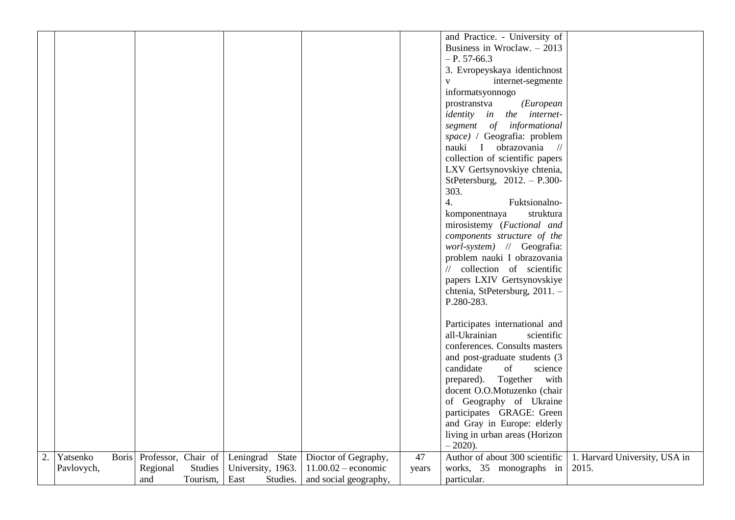|    |            |              |          |          |                                     |                       |       | and Practice. - University of                         |                               |
|----|------------|--------------|----------|----------|-------------------------------------|-----------------------|-------|-------------------------------------------------------|-------------------------------|
|    |            |              |          |          |                                     |                       |       | Business in Wroclaw. $-2013$                          |                               |
|    |            |              |          |          |                                     |                       |       | $- P. 57-66.3$                                        |                               |
|    |            |              |          |          |                                     |                       |       |                                                       |                               |
|    |            |              |          |          |                                     |                       |       | 3. Evropeyskaya identichnost                          |                               |
|    |            |              |          |          |                                     |                       |       | internet-segmente<br>$\mathbf{V}$                     |                               |
|    |            |              |          |          |                                     |                       |       | informatsyonnogo                                      |                               |
|    |            |              |          |          |                                     |                       |       | (European<br>prostranstva                             |                               |
|    |            |              |          |          |                                     |                       |       | <i>identity</i> in the <i>internet</i> -              |                               |
|    |            |              |          |          |                                     |                       |       | segment of informational                              |                               |
|    |            |              |          |          |                                     |                       |       | space) / Geografia: problem                           |                               |
|    |            |              |          |          |                                     |                       |       | obrazovania<br>nauki<br>$\mathbf{I}$<br>$\frac{1}{2}$ |                               |
|    |            |              |          |          |                                     |                       |       | collection of scientific papers                       |                               |
|    |            |              |          |          |                                     |                       |       | LXV Gertsynovskiye chtenia,                           |                               |
|    |            |              |          |          |                                     |                       |       |                                                       |                               |
|    |            |              |          |          |                                     |                       |       | StPetersburg, $2012. - P.300$                         |                               |
|    |            |              |          |          |                                     |                       |       | 303.                                                  |                               |
|    |            |              |          |          |                                     |                       |       | 4.<br>Fuktsionalno-                                   |                               |
|    |            |              |          |          |                                     |                       |       | struktura<br>komponentnaya                            |                               |
|    |            |              |          |          |                                     |                       |       | mirosistemy (Fuctional and                            |                               |
|    |            |              |          |          |                                     |                       |       | components structure of the                           |                               |
|    |            |              |          |          |                                     |                       |       | worl-system) // Geografia:                            |                               |
|    |            |              |          |          |                                     |                       |       | problem nauki I obrazovania                           |                               |
|    |            |              |          |          |                                     |                       |       | // collection of scientific                           |                               |
|    |            |              |          |          |                                     |                       |       | papers LXIV Gertsynovskiye                            |                               |
|    |            |              |          |          |                                     |                       |       | chtenia, StPetersburg, 2011. -                        |                               |
|    |            |              |          |          |                                     |                       |       | P.280-283.                                            |                               |
|    |            |              |          |          |                                     |                       |       |                                                       |                               |
|    |            |              |          |          |                                     |                       |       | Participates international and                        |                               |
|    |            |              |          |          |                                     |                       |       | all-Ukrainian<br>scientific                           |                               |
|    |            |              |          |          |                                     |                       |       | conferences. Consults masters                         |                               |
|    |            |              |          |          |                                     |                       |       | and post-graduate students (3                         |                               |
|    |            |              |          |          |                                     |                       |       | candidate<br>of<br>science                            |                               |
|    |            |              |          |          |                                     |                       |       |                                                       |                               |
|    |            |              |          |          |                                     |                       |       | Together<br>prepared).<br>with                        |                               |
|    |            |              |          |          |                                     |                       |       | docent O.O.Motuzenko (chair                           |                               |
|    |            |              |          |          |                                     |                       |       | of Geography of Ukraine                               |                               |
|    |            |              |          |          |                                     |                       |       | participates GRAGE: Green                             |                               |
|    |            |              |          |          |                                     |                       |       | and Gray in Europe: elderly                           |                               |
|    |            |              |          |          |                                     |                       |       | living in urban areas (Horizon                        |                               |
|    |            |              |          |          |                                     |                       |       | $-2020$ ).                                            |                               |
| 2. | Yatsenko   | <b>Boris</b> |          |          | Professor, Chair of Leningrad State | Dioctor of Gegraphy,  | 47    | Author of about 300 scientific                        | 1. Harvard University, USA in |
|    | Pavlovych, |              | Regional | Studies  | University, 1963.                   | $11.00.02$ – economic | years | works, 35 monographs in                               | 2015.                         |
|    |            |              | and      | Tourism, | East<br>Studies.                    | and social geography, |       | particular.                                           |                               |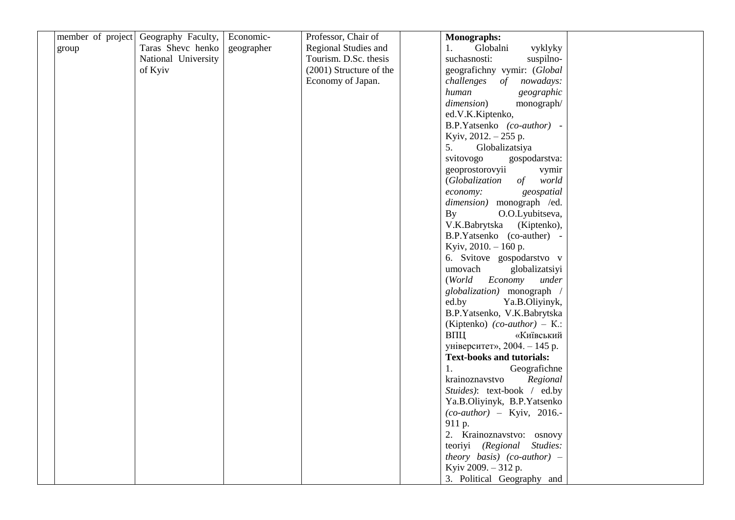| Geography Faculty,<br>Economic-<br>Professor, Chair of<br><b>Monographs:</b><br>Taras Shevc henko<br>Regional Studies and<br>Globalni<br>geographer<br>1.<br>vyklyky<br>group<br>National University<br>suchasnosti:<br>Tourism. D.Sc. thesis<br>suspilno-<br>(2001) Structure of the<br>geografichny vymir: (Global<br>of Kyiv<br>Economy of Japan.<br>challenges of<br>nowadays:<br>human<br>geographic<br>dimension)<br>monograph/<br>ed.V.K.Kiptenko,<br>B.P.Yatsenko (co-author) -<br>Kyiv, 2012. - 255 p.<br>5.<br>Globalizatsiya<br>svitovogo<br>gospodarstva:<br>geoprostorovyii<br>vymir<br>(Globalization<br>of<br>world<br>geospatial<br>economy:<br>dimension) monograph /ed.<br>By<br>O.O.Lyubitseva,<br>V.K.Babrytska<br>(Kiptenko),<br>B.P.Yatsenko (co-auther) -<br>Kyiv, 2010. - 160 p.<br>6. Svitove gospodarstvo v<br>globalizatsiyi<br>umovach<br>(World Economy<br>under<br>globalization) monograph<br>ed.by<br>Ya.B.Oliyinyk,<br>B.P.Yatsenko, V.K.Babrytska<br>(Kiptenko) $(co\text{-}author$ ) – K.:<br>ВПЦ<br>«Київський<br>університет», 2004. - 145 р.<br><b>Text-books and tutorials:</b><br>1.<br>Geografichne<br>krainoznavstvo<br>Regional<br>Stuides): text-book / ed.by<br>Ya.B.Oliyinyk, B.P.Yatsenko<br>$(co\text{-}author)$ – Kyiv, 2016.-<br>911 p.<br>2. Krainoznavstvo: osnovy<br>teoriyi (Regional Studies:<br>theory basis) (co-author) $-$<br>Kyiv 2009. - 312 p.<br>3. Political Geography and |                   |  |  |  |
|--------------------------------------------------------------------------------------------------------------------------------------------------------------------------------------------------------------------------------------------------------------------------------------------------------------------------------------------------------------------------------------------------------------------------------------------------------------------------------------------------------------------------------------------------------------------------------------------------------------------------------------------------------------------------------------------------------------------------------------------------------------------------------------------------------------------------------------------------------------------------------------------------------------------------------------------------------------------------------------------------------------------------------------------------------------------------------------------------------------------------------------------------------------------------------------------------------------------------------------------------------------------------------------------------------------------------------------------------------------------------------------------------------------------------------------------|-------------------|--|--|--|
|                                                                                                                                                                                                                                                                                                                                                                                                                                                                                                                                                                                                                                                                                                                                                                                                                                                                                                                                                                                                                                                                                                                                                                                                                                                                                                                                                                                                                                            | member of project |  |  |  |
|                                                                                                                                                                                                                                                                                                                                                                                                                                                                                                                                                                                                                                                                                                                                                                                                                                                                                                                                                                                                                                                                                                                                                                                                                                                                                                                                                                                                                                            |                   |  |  |  |
|                                                                                                                                                                                                                                                                                                                                                                                                                                                                                                                                                                                                                                                                                                                                                                                                                                                                                                                                                                                                                                                                                                                                                                                                                                                                                                                                                                                                                                            |                   |  |  |  |
|                                                                                                                                                                                                                                                                                                                                                                                                                                                                                                                                                                                                                                                                                                                                                                                                                                                                                                                                                                                                                                                                                                                                                                                                                                                                                                                                                                                                                                            |                   |  |  |  |
|                                                                                                                                                                                                                                                                                                                                                                                                                                                                                                                                                                                                                                                                                                                                                                                                                                                                                                                                                                                                                                                                                                                                                                                                                                                                                                                                                                                                                                            |                   |  |  |  |
|                                                                                                                                                                                                                                                                                                                                                                                                                                                                                                                                                                                                                                                                                                                                                                                                                                                                                                                                                                                                                                                                                                                                                                                                                                                                                                                                                                                                                                            |                   |  |  |  |
|                                                                                                                                                                                                                                                                                                                                                                                                                                                                                                                                                                                                                                                                                                                                                                                                                                                                                                                                                                                                                                                                                                                                                                                                                                                                                                                                                                                                                                            |                   |  |  |  |
|                                                                                                                                                                                                                                                                                                                                                                                                                                                                                                                                                                                                                                                                                                                                                                                                                                                                                                                                                                                                                                                                                                                                                                                                                                                                                                                                                                                                                                            |                   |  |  |  |
|                                                                                                                                                                                                                                                                                                                                                                                                                                                                                                                                                                                                                                                                                                                                                                                                                                                                                                                                                                                                                                                                                                                                                                                                                                                                                                                                                                                                                                            |                   |  |  |  |
|                                                                                                                                                                                                                                                                                                                                                                                                                                                                                                                                                                                                                                                                                                                                                                                                                                                                                                                                                                                                                                                                                                                                                                                                                                                                                                                                                                                                                                            |                   |  |  |  |
|                                                                                                                                                                                                                                                                                                                                                                                                                                                                                                                                                                                                                                                                                                                                                                                                                                                                                                                                                                                                                                                                                                                                                                                                                                                                                                                                                                                                                                            |                   |  |  |  |
|                                                                                                                                                                                                                                                                                                                                                                                                                                                                                                                                                                                                                                                                                                                                                                                                                                                                                                                                                                                                                                                                                                                                                                                                                                                                                                                                                                                                                                            |                   |  |  |  |
|                                                                                                                                                                                                                                                                                                                                                                                                                                                                                                                                                                                                                                                                                                                                                                                                                                                                                                                                                                                                                                                                                                                                                                                                                                                                                                                                                                                                                                            |                   |  |  |  |
|                                                                                                                                                                                                                                                                                                                                                                                                                                                                                                                                                                                                                                                                                                                                                                                                                                                                                                                                                                                                                                                                                                                                                                                                                                                                                                                                                                                                                                            |                   |  |  |  |
|                                                                                                                                                                                                                                                                                                                                                                                                                                                                                                                                                                                                                                                                                                                                                                                                                                                                                                                                                                                                                                                                                                                                                                                                                                                                                                                                                                                                                                            |                   |  |  |  |
|                                                                                                                                                                                                                                                                                                                                                                                                                                                                                                                                                                                                                                                                                                                                                                                                                                                                                                                                                                                                                                                                                                                                                                                                                                                                                                                                                                                                                                            |                   |  |  |  |
|                                                                                                                                                                                                                                                                                                                                                                                                                                                                                                                                                                                                                                                                                                                                                                                                                                                                                                                                                                                                                                                                                                                                                                                                                                                                                                                                                                                                                                            |                   |  |  |  |
|                                                                                                                                                                                                                                                                                                                                                                                                                                                                                                                                                                                                                                                                                                                                                                                                                                                                                                                                                                                                                                                                                                                                                                                                                                                                                                                                                                                                                                            |                   |  |  |  |
|                                                                                                                                                                                                                                                                                                                                                                                                                                                                                                                                                                                                                                                                                                                                                                                                                                                                                                                                                                                                                                                                                                                                                                                                                                                                                                                                                                                                                                            |                   |  |  |  |
|                                                                                                                                                                                                                                                                                                                                                                                                                                                                                                                                                                                                                                                                                                                                                                                                                                                                                                                                                                                                                                                                                                                                                                                                                                                                                                                                                                                                                                            |                   |  |  |  |
|                                                                                                                                                                                                                                                                                                                                                                                                                                                                                                                                                                                                                                                                                                                                                                                                                                                                                                                                                                                                                                                                                                                                                                                                                                                                                                                                                                                                                                            |                   |  |  |  |
|                                                                                                                                                                                                                                                                                                                                                                                                                                                                                                                                                                                                                                                                                                                                                                                                                                                                                                                                                                                                                                                                                                                                                                                                                                                                                                                                                                                                                                            |                   |  |  |  |
|                                                                                                                                                                                                                                                                                                                                                                                                                                                                                                                                                                                                                                                                                                                                                                                                                                                                                                                                                                                                                                                                                                                                                                                                                                                                                                                                                                                                                                            |                   |  |  |  |
|                                                                                                                                                                                                                                                                                                                                                                                                                                                                                                                                                                                                                                                                                                                                                                                                                                                                                                                                                                                                                                                                                                                                                                                                                                                                                                                                                                                                                                            |                   |  |  |  |
|                                                                                                                                                                                                                                                                                                                                                                                                                                                                                                                                                                                                                                                                                                                                                                                                                                                                                                                                                                                                                                                                                                                                                                                                                                                                                                                                                                                                                                            |                   |  |  |  |
|                                                                                                                                                                                                                                                                                                                                                                                                                                                                                                                                                                                                                                                                                                                                                                                                                                                                                                                                                                                                                                                                                                                                                                                                                                                                                                                                                                                                                                            |                   |  |  |  |
|                                                                                                                                                                                                                                                                                                                                                                                                                                                                                                                                                                                                                                                                                                                                                                                                                                                                                                                                                                                                                                                                                                                                                                                                                                                                                                                                                                                                                                            |                   |  |  |  |
|                                                                                                                                                                                                                                                                                                                                                                                                                                                                                                                                                                                                                                                                                                                                                                                                                                                                                                                                                                                                                                                                                                                                                                                                                                                                                                                                                                                                                                            |                   |  |  |  |
|                                                                                                                                                                                                                                                                                                                                                                                                                                                                                                                                                                                                                                                                                                                                                                                                                                                                                                                                                                                                                                                                                                                                                                                                                                                                                                                                                                                                                                            |                   |  |  |  |
|                                                                                                                                                                                                                                                                                                                                                                                                                                                                                                                                                                                                                                                                                                                                                                                                                                                                                                                                                                                                                                                                                                                                                                                                                                                                                                                                                                                                                                            |                   |  |  |  |
|                                                                                                                                                                                                                                                                                                                                                                                                                                                                                                                                                                                                                                                                                                                                                                                                                                                                                                                                                                                                                                                                                                                                                                                                                                                                                                                                                                                                                                            |                   |  |  |  |
|                                                                                                                                                                                                                                                                                                                                                                                                                                                                                                                                                                                                                                                                                                                                                                                                                                                                                                                                                                                                                                                                                                                                                                                                                                                                                                                                                                                                                                            |                   |  |  |  |
|                                                                                                                                                                                                                                                                                                                                                                                                                                                                                                                                                                                                                                                                                                                                                                                                                                                                                                                                                                                                                                                                                                                                                                                                                                                                                                                                                                                                                                            |                   |  |  |  |
|                                                                                                                                                                                                                                                                                                                                                                                                                                                                                                                                                                                                                                                                                                                                                                                                                                                                                                                                                                                                                                                                                                                                                                                                                                                                                                                                                                                                                                            |                   |  |  |  |
|                                                                                                                                                                                                                                                                                                                                                                                                                                                                                                                                                                                                                                                                                                                                                                                                                                                                                                                                                                                                                                                                                                                                                                                                                                                                                                                                                                                                                                            |                   |  |  |  |
|                                                                                                                                                                                                                                                                                                                                                                                                                                                                                                                                                                                                                                                                                                                                                                                                                                                                                                                                                                                                                                                                                                                                                                                                                                                                                                                                                                                                                                            |                   |  |  |  |
|                                                                                                                                                                                                                                                                                                                                                                                                                                                                                                                                                                                                                                                                                                                                                                                                                                                                                                                                                                                                                                                                                                                                                                                                                                                                                                                                                                                                                                            |                   |  |  |  |
|                                                                                                                                                                                                                                                                                                                                                                                                                                                                                                                                                                                                                                                                                                                                                                                                                                                                                                                                                                                                                                                                                                                                                                                                                                                                                                                                                                                                                                            |                   |  |  |  |
|                                                                                                                                                                                                                                                                                                                                                                                                                                                                                                                                                                                                                                                                                                                                                                                                                                                                                                                                                                                                                                                                                                                                                                                                                                                                                                                                                                                                                                            |                   |  |  |  |
|                                                                                                                                                                                                                                                                                                                                                                                                                                                                                                                                                                                                                                                                                                                                                                                                                                                                                                                                                                                                                                                                                                                                                                                                                                                                                                                                                                                                                                            |                   |  |  |  |
|                                                                                                                                                                                                                                                                                                                                                                                                                                                                                                                                                                                                                                                                                                                                                                                                                                                                                                                                                                                                                                                                                                                                                                                                                                                                                                                                                                                                                                            |                   |  |  |  |
|                                                                                                                                                                                                                                                                                                                                                                                                                                                                                                                                                                                                                                                                                                                                                                                                                                                                                                                                                                                                                                                                                                                                                                                                                                                                                                                                                                                                                                            |                   |  |  |  |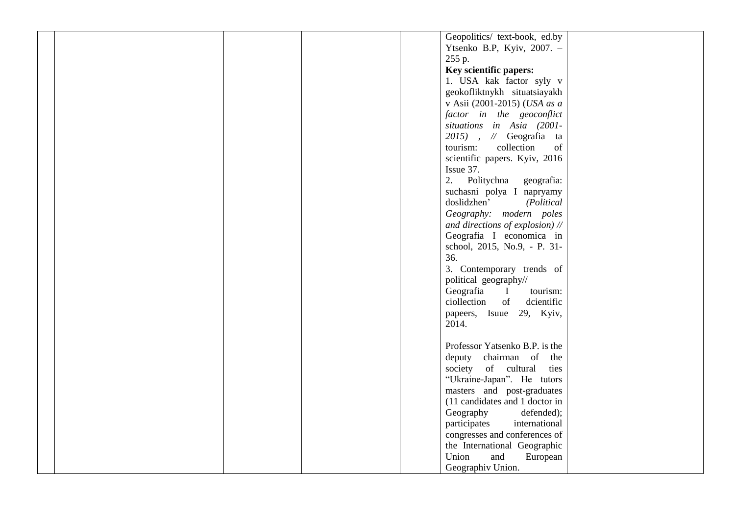|  |  |  | Geopolitics/ text-book, ed.by         |  |
|--|--|--|---------------------------------------|--|
|  |  |  | Ytsenko B.P, Kyiv, 2007. -            |  |
|  |  |  | 255 p.                                |  |
|  |  |  | Key scientific papers:                |  |
|  |  |  | 1. USA kak factor syly v              |  |
|  |  |  | geokofliktnykh situatsiayakh          |  |
|  |  |  |                                       |  |
|  |  |  | v Asii (2001-2015) (USA as a          |  |
|  |  |  | factor in the geoconflict             |  |
|  |  |  | situations in Asia (2001-             |  |
|  |  |  | $2015$ ), $\mathcal N$ Geografia ta   |  |
|  |  |  | tourism:<br>collection<br>of          |  |
|  |  |  | scientific papers. Kyiv, 2016         |  |
|  |  |  | Issue 37.                             |  |
|  |  |  | 2. Politychna<br>geografia:           |  |
|  |  |  | suchasni polya I napryamy             |  |
|  |  |  | doslidzhen'<br>(Political             |  |
|  |  |  |                                       |  |
|  |  |  | Geography: modern poles               |  |
|  |  |  | and directions of explosion) //       |  |
|  |  |  | Geografia I economica in              |  |
|  |  |  | school, 2015, No.9, - P. 31-          |  |
|  |  |  | 36.                                   |  |
|  |  |  | 3. Contemporary trends of             |  |
|  |  |  | political geography//                 |  |
|  |  |  | Geografia<br>tourism:<br>$\mathbf{I}$ |  |
|  |  |  | ciollection<br>of<br>dcientific       |  |
|  |  |  | papeers, Isuue 29, Kyiv,              |  |
|  |  |  |                                       |  |
|  |  |  | 2014.                                 |  |
|  |  |  |                                       |  |
|  |  |  | Professor Yatsenko B.P. is the        |  |
|  |  |  | deputy chairman of<br>the             |  |
|  |  |  | society of cultural<br>ties           |  |
|  |  |  | "Ukraine-Japan". He tutors            |  |
|  |  |  | masters and post-graduates            |  |
|  |  |  | (11 candidates and 1 doctor in        |  |
|  |  |  | Geography<br>defended);               |  |
|  |  |  | participates<br>international         |  |
|  |  |  |                                       |  |
|  |  |  | congresses and conferences of         |  |
|  |  |  | the International Geographic          |  |
|  |  |  | Union<br>and<br>European              |  |
|  |  |  | Geographiv Union.                     |  |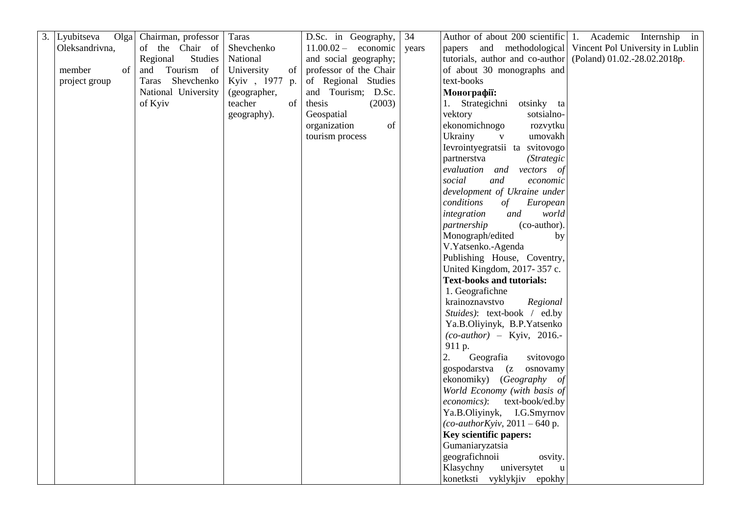| 3. Lyubitseva<br>Olga | Chairman, professor | Taras            | D.Sc. in Geography,    | 34    |                                           | Author of about 200 scientific 1. Academic Internship in |
|-----------------------|---------------------|------------------|------------------------|-------|-------------------------------------------|----------------------------------------------------------|
| Oleksandrivna,        | of the Chair of     | Shevchenko       | $11.00.02 -$ economic  | years | papers and methodological                 | Vincent Pol University in Lublin                         |
|                       | Studies<br>Regional | National         | and social geography;  |       | tutorials, author and co-author           | (Poland) 01.02.-28.02.2018p.                             |
| member<br>of          | and Tourism of      | University<br>of | professor of the Chair |       | of about 30 monographs and                |                                                          |
| project group         | Taras Shevchenko    | Kyiv, 1977 p.    | of Regional Studies    |       | text-books                                |                                                          |
|                       | National University | (geographer,     | and Tourism; D.Sc.     |       | Монографії:                               |                                                          |
|                       | of Kyiv             | teacher<br>of    | thesis<br>(2003)       |       | 1. Strategichni<br>otsinky ta             |                                                          |
|                       |                     | geography).      | Geospatial             |       | vektory<br>sotsialno-                     |                                                          |
|                       |                     |                  | organization<br>of     |       | ekonomichnogo<br>rozvytku                 |                                                          |
|                       |                     |                  | tourism process        |       | Ukrainy<br>umovakh<br>$\mathbf{V}$        |                                                          |
|                       |                     |                  |                        |       | Ievrointyegratsii ta svitovogo            |                                                          |
|                       |                     |                  |                        |       | partnerstva<br><i>(Strategic</i>          |                                                          |
|                       |                     |                  |                        |       | evaluation and vectors of                 |                                                          |
|                       |                     |                  |                        |       | social<br>and<br>economic                 |                                                          |
|                       |                     |                  |                        |       | development of Ukraine under              |                                                          |
|                       |                     |                  |                        |       | conditions<br>of<br>European              |                                                          |
|                       |                     |                  |                        |       | world<br>integration<br>and               |                                                          |
|                       |                     |                  |                        |       | (co-author).<br>partnership               |                                                          |
|                       |                     |                  |                        |       | Monograph/edited<br>by                    |                                                          |
|                       |                     |                  |                        |       | V.Yatsenko.-Agenda                        |                                                          |
|                       |                     |                  |                        |       | Publishing House, Coventry,               |                                                          |
|                       |                     |                  |                        |       | United Kingdom, 2017-357 c.               |                                                          |
|                       |                     |                  |                        |       | <b>Text-books and tutorials:</b>          |                                                          |
|                       |                     |                  |                        |       | 1. Geografichne                           |                                                          |
|                       |                     |                  |                        |       | krainoznavstvo<br>Regional                |                                                          |
|                       |                     |                  |                        |       | Stuides): text-book / ed.by               |                                                          |
|                       |                     |                  |                        |       | Ya.B.Oliyinyk, B.P.Yatsenko               |                                                          |
|                       |                     |                  |                        |       | $(co\text{-}author)$ – Kyiv, 2016.-       |                                                          |
|                       |                     |                  |                        |       | 911 p.                                    |                                                          |
|                       |                     |                  |                        |       | 2.<br>Geografia<br>svitovogo              |                                                          |
|                       |                     |                  |                        |       | gospodarstva (z<br>osnovamy               |                                                          |
|                       |                     |                  |                        |       | ekonomiky) (Geography of                  |                                                          |
|                       |                     |                  |                        |       | World Economy (with basis of              |                                                          |
|                       |                     |                  |                        |       | economics):<br>text-book/ed.by            |                                                          |
|                       |                     |                  |                        |       | Ya.B.Oliyinyk, I.G.Smyrnov                |                                                          |
|                       |                     |                  |                        |       | $(co\text{-}authorKyiv, 2011 - 640 p.$    |                                                          |
|                       |                     |                  |                        |       | Key scientific papers:<br>Gumaniaryzatsia |                                                          |
|                       |                     |                  |                        |       | geografichnoii                            |                                                          |
|                       |                     |                  |                        |       | osvity.<br>Klasychny<br>universytet       |                                                          |
|                       |                     |                  |                        |       | u                                         |                                                          |
|                       |                     |                  |                        |       | konetksti vyklykjiv epokhy                |                                                          |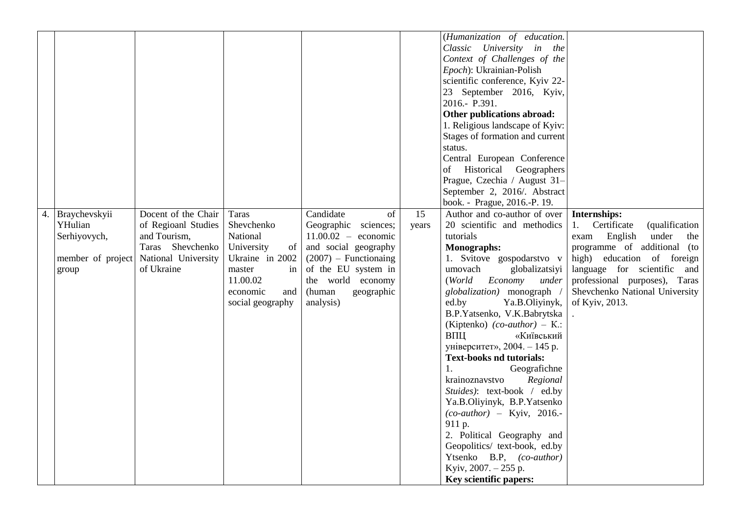|    |                                                                        |                                                                                                                     |                                                                                                                                           |                                                                                                                                                                                                      |             | (Humanization of education.<br>Classic University in the<br>Context of Challenges of the<br>Epoch): Ukrainian-Polish<br>scientific conference, Kyiv 22-<br>23 September 2016, Kyiv,<br>2016.- P.391.<br>Other publications abroad:<br>1. Religious landscape of Kyiv:<br>Stages of formation and current<br>status.<br>Central European Conference<br>of Historical Geographers<br>Prague, Czechia / August 31-<br>September 2, 2016/. Abstract<br>book. - Prague, 2016.-P. 19.                                                                                                                                                                                                                                                    |                                                                                                                                                                                                                                                                                 |
|----|------------------------------------------------------------------------|---------------------------------------------------------------------------------------------------------------------|-------------------------------------------------------------------------------------------------------------------------------------------|------------------------------------------------------------------------------------------------------------------------------------------------------------------------------------------------------|-------------|------------------------------------------------------------------------------------------------------------------------------------------------------------------------------------------------------------------------------------------------------------------------------------------------------------------------------------------------------------------------------------------------------------------------------------------------------------------------------------------------------------------------------------------------------------------------------------------------------------------------------------------------------------------------------------------------------------------------------------|---------------------------------------------------------------------------------------------------------------------------------------------------------------------------------------------------------------------------------------------------------------------------------|
| 4. | Braychevskyii<br>YHulian<br>Serhiyovych,<br>member of project<br>group | Docent of the Chair<br>of Regioanl Studies<br>and Tourism,<br>Taras Shevchenko<br>National University<br>of Ukraine | Taras<br>Shevchenko<br>National<br>University<br>of<br>Ukraine in 2002<br>master<br>in<br>11.00.02<br>economic<br>and<br>social geography | Candidate<br>of<br>Geographic sciences;<br>$11.00.02$ - economic<br>and social geography<br>$(2007)$ – Functionaing<br>of the EU system in<br>the world economy<br>(human<br>geographic<br>analysis) | 15<br>years | Author and co-author of over<br>20 scientific and methodics<br>tutorials<br>Monographs:<br>1. Svitove gospodarstvo v<br>umovach<br>globalizatsiyi<br>(World<br>Economy<br>under<br>globalization) monograph /<br>ed.by<br>Ya.B.Oliyinyk,<br>B.P.Yatsenko, V.K.Babrytska<br>(Kiptenko) $(co\text{-}author$ ) – K.:<br>ВПЦ<br>«Київський<br>університет», 2004. - 145 р.<br><b>Text-books nd tutorials:</b><br>Geografichne<br>$1_{\cdot}$<br>Regional<br>krainoznavstvo<br>Stuides): text-book / ed.by<br>Ya.B.Oliyinyk, B.P.Yatsenko<br>$(co\text{-}author)$ – Kyiv, 2016.-<br>911 p.<br>2. Political Geography and<br>Geopolitics/ text-book, ed.by<br>Ytsenko B.P, (co-author)<br>Kyiv, 2007. - 255 p.<br>Key scientific papers: | Internships:<br>1.<br>Certificate<br><i>(qualification)</i><br>under<br>English<br>exam<br>the<br>programme of additional (to<br>high) education of foreign<br>language for scientific and<br>professional purposes), Taras<br>Shevchenko National University<br>of Kyiv, 2013. |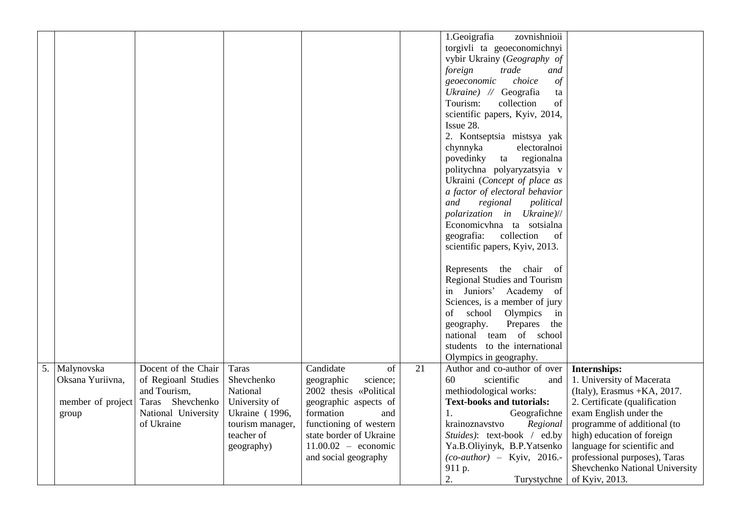|                                                                 |                                                                                                                     |                                                                                                                           |                                                                                                                                                                                                                        |    | 1.Geoigrafia<br>zovnishnioii<br>torgivli ta geoeconomichnyi<br>vybir Ukrainy (Geography of<br>foreign<br>trade<br>and<br>choice<br>geoeconomic<br>$\phi f$<br>Ukraine) // Geografia<br>ta<br>Tourism:<br>collection<br>of<br>scientific papers, Kyiv, 2014,<br>Issue 28.<br>2. Kontseptsia mistsya yak<br>chynnyka<br>electoralnoi<br>regionalna<br>povedinky<br>ta<br>politychna polyaryzatsyia v<br>Ukraini (Concept of place as<br>a factor of electoral behavior<br>and<br>regional<br>political<br>polarization in Ukraine)//<br>Economicyhna ta sotsialna<br>collection<br>geografia:<br>of<br>scientific papers, Kyiv, 2013.<br>Represents the chair of<br><b>Regional Studies and Tourism</b><br>in Juniors' Academy of<br>Sciences, is a member of jury<br>school Olympics<br>of<br>in<br>Prepares the<br>geography. |                                                                                                                                                                                                                                                                                                                       |
|-----------------------------------------------------------------|---------------------------------------------------------------------------------------------------------------------|---------------------------------------------------------------------------------------------------------------------------|------------------------------------------------------------------------------------------------------------------------------------------------------------------------------------------------------------------------|----|-------------------------------------------------------------------------------------------------------------------------------------------------------------------------------------------------------------------------------------------------------------------------------------------------------------------------------------------------------------------------------------------------------------------------------------------------------------------------------------------------------------------------------------------------------------------------------------------------------------------------------------------------------------------------------------------------------------------------------------------------------------------------------------------------------------------------------|-----------------------------------------------------------------------------------------------------------------------------------------------------------------------------------------------------------------------------------------------------------------------------------------------------------------------|
|                                                                 |                                                                                                                     |                                                                                                                           |                                                                                                                                                                                                                        |    | national team of school<br>students to the international<br>Olympics in geography.                                                                                                                                                                                                                                                                                                                                                                                                                                                                                                                                                                                                                                                                                                                                            |                                                                                                                                                                                                                                                                                                                       |
| 5. Malynovska<br>Oksana Yuriivna,<br>member of project<br>group | Docent of the Chair<br>of Regioanl Studies<br>and Tourism,<br>Taras Shevchenko<br>National University<br>of Ukraine | Taras<br>Shevchenko<br>National<br>University of<br><b>Ukraine</b> (1996,<br>tourism manager,<br>teacher of<br>geography) | Candidate<br>of<br>geographic<br>science;<br>2002 thesis «Political<br>geographic aspects of<br>formation<br>and<br>functioning of western<br>state border of Ukraine<br>$11.00.02 -$ economic<br>and social geography | 21 | Author and co-author of over<br>60<br>scientific<br>and<br>methiodological works:<br><b>Text-books and tutorials:</b><br>Geografichne<br>1.<br>krainoznavstvo<br>Regional<br>Stuides): text-book / ed.by<br>Ya.B.Oliyinyk, B.P.Yatsenko<br>$(co\text{-}author)$ - Kyiv, 2016.-<br>911 p.<br>2.<br>Turystychne                                                                                                                                                                                                                                                                                                                                                                                                                                                                                                                 | Internships:<br>1. University of Macerata<br>(Italy), Erasmus + KA, 2017.<br>2. Certificate (qualification<br>exam English under the<br>programme of additional (to<br>high) education of foreign<br>language for scientific and<br>professional purposes), Taras<br>Shevchenko National University<br>of Kyiv, 2013. |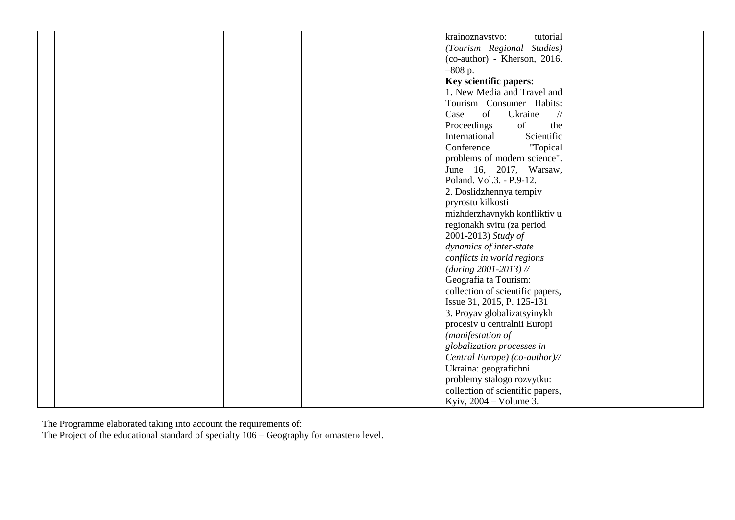|  |  |  | krainoznavstvo:<br>tutorial            |  |
|--|--|--|----------------------------------------|--|
|  |  |  |                                        |  |
|  |  |  | (Tourism Regional Studies)             |  |
|  |  |  | (co-author) - Kherson, 2016.           |  |
|  |  |  | $-808$ p.                              |  |
|  |  |  | Key scientific papers:                 |  |
|  |  |  | 1. New Media and Travel and            |  |
|  |  |  | Tourism Consumer Habits:               |  |
|  |  |  | of<br>Case<br>Ukraine<br>$\frac{1}{2}$ |  |
|  |  |  | Proceedings<br>of<br>the               |  |
|  |  |  | Scientific<br>International            |  |
|  |  |  | Conference<br>"Topical                 |  |
|  |  |  | problems of modern science".           |  |
|  |  |  | June 16, 2017, Warsaw,                 |  |
|  |  |  | Poland. Vol.3. - P.9-12.               |  |
|  |  |  |                                        |  |
|  |  |  | 2. Doslidzhennya tempiv                |  |
|  |  |  | pryrostu kilkosti                      |  |
|  |  |  | mizhderzhavnykh konfliktiv u           |  |
|  |  |  | regionakh svitu (za period             |  |
|  |  |  | 2001-2013) Study of                    |  |
|  |  |  | dynamics of inter-state                |  |
|  |  |  | conflicts in world regions             |  |
|  |  |  | $(during 2001-2013)$ //                |  |
|  |  |  | Geografia ta Tourism:                  |  |
|  |  |  | collection of scientific papers,       |  |
|  |  |  | Issue 31, 2015, P. 125-131             |  |
|  |  |  | 3. Proyav globalizatsyinykh            |  |
|  |  |  | procesiv u centralnii Europi           |  |
|  |  |  | (manifestation of                      |  |
|  |  |  | globalization processes in             |  |
|  |  |  | Central Europe) (co-author)//          |  |
|  |  |  | Ukraina: geografichni                  |  |
|  |  |  |                                        |  |
|  |  |  | problemy stalogo rozvytku:             |  |
|  |  |  | collection of scientific papers,       |  |
|  |  |  | Kyiv, $2004 - Volume 3$ .              |  |

The Programme elaborated taking into account the requirements of:

The Project of the educational standard of specialty 106 – Geography for «master» level.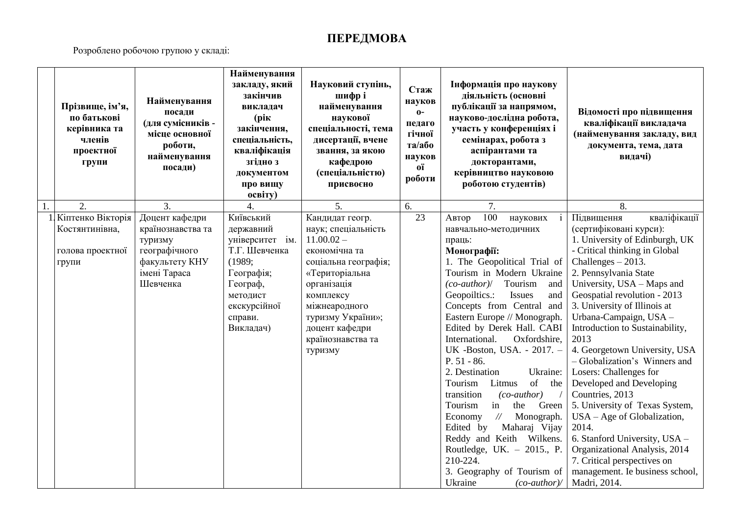## **ПЕРЕДМОВА**

Розроблено робочою групою у складі:

|    | Прізвище, ім'я,<br>по батькові<br>керівника та<br>членів<br>проектної<br>групи | Найменування<br>посади<br>(для сумісників -<br>місце основної<br>роботи,<br>найменування<br>посади)           | Найменування<br>закладу, який<br>закінчив<br>викладач<br>(рік<br>закінчення,<br>спеціальність,<br>кваліфікація<br>згідно з<br>документом<br>про вищу<br>освіту) | Науковий ступінь,<br>шифрі<br>найменування<br>наукової<br>спеціальності, тема<br>дисертації, вчене<br>звання, за якою<br>кафедрою<br>(спеціальністю)<br>присвоєно                                                                     | Стаж<br>науков<br>$0 -$<br>педаго<br>гічної<br>та/або<br>науков<br>oï<br>роботи | Інформація про наукову<br>діяльність (основні<br>публікації за напрямом,<br>науково-дослідна робота,<br>участь у конференціях і<br>семінарах, робота з<br>аспірантами та<br>докторантами,<br>керівництво науковою<br>роботою студентів)                                                                                                                                                                                                                                                                                                                                                                                                                                                                                                                 | Відомості про підвищення<br>кваліфікації викладача<br>(найменування закладу, вид<br>документа, тема, дата<br>видачі)                                                                                                                                                                                                                                                                                                                                                                                                                                                                                                                                                                                                   |
|----|--------------------------------------------------------------------------------|---------------------------------------------------------------------------------------------------------------|-----------------------------------------------------------------------------------------------------------------------------------------------------------------|---------------------------------------------------------------------------------------------------------------------------------------------------------------------------------------------------------------------------------------|---------------------------------------------------------------------------------|---------------------------------------------------------------------------------------------------------------------------------------------------------------------------------------------------------------------------------------------------------------------------------------------------------------------------------------------------------------------------------------------------------------------------------------------------------------------------------------------------------------------------------------------------------------------------------------------------------------------------------------------------------------------------------------------------------------------------------------------------------|------------------------------------------------------------------------------------------------------------------------------------------------------------------------------------------------------------------------------------------------------------------------------------------------------------------------------------------------------------------------------------------------------------------------------------------------------------------------------------------------------------------------------------------------------------------------------------------------------------------------------------------------------------------------------------------------------------------------|
| 1. | 2.                                                                             | 3.                                                                                                            | $\overline{4}$ .                                                                                                                                                | 5.                                                                                                                                                                                                                                    | 6.                                                                              | $\overline{7}$ .                                                                                                                                                                                                                                                                                                                                                                                                                                                                                                                                                                                                                                                                                                                                        | 8.                                                                                                                                                                                                                                                                                                                                                                                                                                                                                                                                                                                                                                                                                                                     |
|    | 1 Кіптенко Вікторія<br>Костянтинівна,<br>голова проектної<br>групи             | Доцент кафедри<br>країнознавства та<br>туризму<br>географічного<br>факультету КНУ<br>імені Тараса<br>Шевченка | Київський<br>державний<br>університет ім.<br>Т.Г. Шевченка<br>(1989;<br>Географія;<br>Географ,<br>методист<br>екскурсійної<br>справи.<br>Викладач)              | Кандидат геогр.<br>наук; спеціальність<br>$11.00.02 -$<br>економічна та<br>соціальна географія;<br>«Територіальна<br>організація<br>комплексу<br>міжнеародного<br>туризму України»;<br>доцент кафедри<br>країнознавства та<br>туризму | 23                                                                              | 100<br>наукових<br>Автор<br>навчально-методичних<br>праць:<br>Монографії:<br>1. The Geopolitical Trial of<br>Tourism in Modern Ukraine<br>$(co\text{-}author$ )/<br>Tourism<br>and<br>Geopoiltics.:<br>Issues<br>and<br>Concepts from Central and<br>Eastern Europe // Monograph.<br>Edited by Derek Hall. CABI<br>Oxfordshire,<br>International.<br>UK -Boston, USA. - 2017. -<br>$P. 51 - 86.$<br>2. Destination<br>Ukraine:<br>of<br>Tourism<br>Litmus<br>the<br>transition<br>$(co\text{-}author)$<br>in<br>Green<br>Tourism<br>the<br>$\frac{1}{2}$<br>Monograph.<br>Economy<br>Maharaj Vijay<br>Edited by<br>Reddy and Keith Wilkens.<br>Routledge, UK. $-$ 2015., P.<br>210-224.<br>3. Geography of Tourism of<br>Ukraine<br>$(co\text{-}author$ | кваліфікації<br>Підвищення<br>(сертифіковані курси):<br>1. University of Edinburgh, UK<br>- Critical thinking in Global<br>Challenges $-2013$ .<br>2. Pennsylvania State<br>University, USA - Maps and<br>Geospatial revolution - 2013<br>3. University of Illinois at<br>Urbana-Campaign, USA -<br>Introduction to Sustainability,<br>2013<br>4. Georgetown University, USA<br>- Globalization's Winners and<br>Losers: Challenges for<br>Developed and Developing<br>Countries, 2013<br>5. University of Texas System,<br>$USA - Age$ of Globalization,<br>2014.<br>6. Stanford University, USA -<br>Organizational Analysis, 2014<br>7. Critical perspectives on<br>management. Ie business school,<br>Madri, 2014. |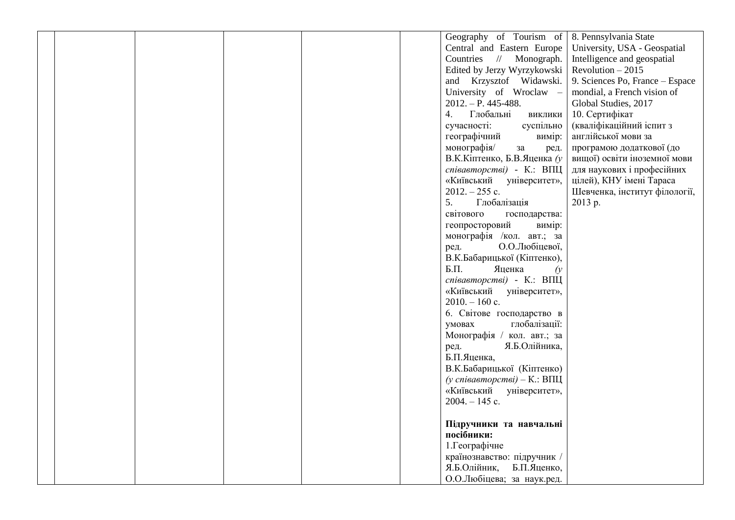|  |  |  | Geography of Tourism of        | 8. Pennsylvania State           |
|--|--|--|--------------------------------|---------------------------------|
|  |  |  | Central and Eastern Europe     | University, USA - Geospatial    |
|  |  |  | Countries // Monograph.        | Intelligence and geospatial     |
|  |  |  | Edited by Jerzy Wyrzykowski    | Revolution $-2015$              |
|  |  |  | and Krzysztof Widawski.        | 9. Sciences Po, France - Espace |
|  |  |  | University of Wroclaw -        | mondial, a French vision of     |
|  |  |  | $2012. - P. 445 - 488.$        | Global Studies, 2017            |
|  |  |  | Глобальні<br>4.<br>виклики     | 10. Сертифікат                  |
|  |  |  | сучасності:<br>суспільно       | (кваліфікаційний іспит з        |
|  |  |  | географічний<br>вимір:         | англійської мови за             |
|  |  |  | монографія/<br>3a<br>ред.      | програмою додаткової (до        |
|  |  |  | В.К.Кіптенко, Б.В.Яценка (у    | вищої) освіти іноземної мови    |
|  |  |  | співавторстві) - К.: ВПЦ       | для наукових і професійних      |
|  |  |  | «Київський<br>університет»,    | цілей), КНУ імені Тараса        |
|  |  |  | $2012. - 255$ c.               | Шевченка, інститут філології,   |
|  |  |  | 5.<br>Глобалізація             | 2013 p.                         |
|  |  |  | світового<br>господарства:     |                                 |
|  |  |  | геопросторовий<br>вимір:       |                                 |
|  |  |  | монографія /кол. авт.; за      |                                 |
|  |  |  | О.О.Любіцевої,<br>ред.         |                                 |
|  |  |  | В.К.Бабарицької (Кіптенко),    |                                 |
|  |  |  | $E.\Pi.$<br>Яценка<br>$\alpha$ |                                 |
|  |  |  | співавторстві) - К.: ВПЦ       |                                 |
|  |  |  | «Київський<br>університет»,    |                                 |
|  |  |  | $2010. - 160$ c.               |                                 |
|  |  |  | 6. Світове господарство в      |                                 |
|  |  |  | глобалізації:<br>умовах        |                                 |
|  |  |  | Монографія / кол. авт.; за     |                                 |
|  |  |  | Я.Б.Олійника,<br>ред.          |                                 |
|  |  |  | Б.П.Яценка,                    |                                 |
|  |  |  | В.К.Бабарицької (Кіптенко)     |                                 |
|  |  |  | (у співавторстві) – К.: ВПЦ    |                                 |
|  |  |  | «Київський університет»,       |                                 |
|  |  |  | $2004. - 145$ c.               |                                 |
|  |  |  |                                |                                 |
|  |  |  | Підручники та навчальні        |                                 |
|  |  |  | посібники:                     |                                 |
|  |  |  | 1. Географічне                 |                                 |
|  |  |  | країнознавство: підручник /    |                                 |
|  |  |  | Я.Б.Олійник,<br>Б.П.Яценко,    |                                 |
|  |  |  | О.О.Любіцева; за наук.ред.     |                                 |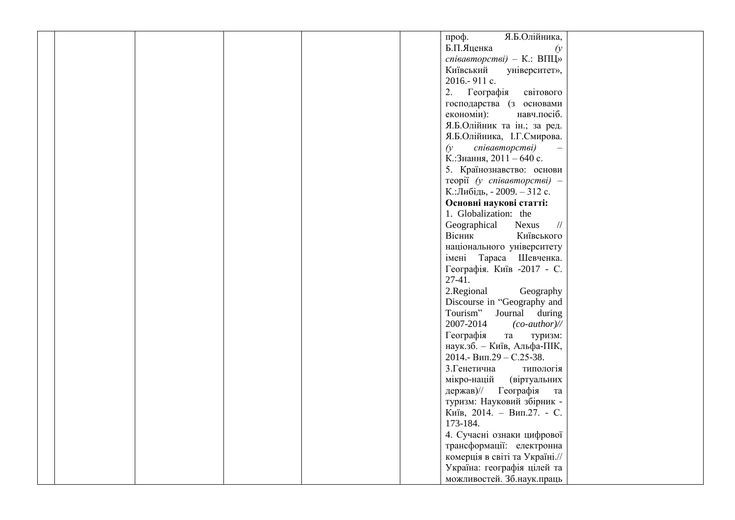|  |  |  | Я.Б.Олійника,<br>проф.                 |  |
|--|--|--|----------------------------------------|--|
|  |  |  | Б.П.Яценка<br>$\alpha$                 |  |
|  |  |  |                                        |  |
|  |  |  | співавторстві) - К.: ВПЦ»              |  |
|  |  |  | Київський<br>університет»,             |  |
|  |  |  | 2016.-911 c.                           |  |
|  |  |  | Географія<br>2.<br>світового           |  |
|  |  |  | господарства (з основами               |  |
|  |  |  | економіи):<br>навч.посіб.              |  |
|  |  |  | Я.Б.Олійник та ін.; за ред.            |  |
|  |  |  | Я.Б.Олійника, І.Г.Смирова.             |  |
|  |  |  | співавторстві)<br>$\alpha$             |  |
|  |  |  | К.: Знання, 2011 - 640 с.              |  |
|  |  |  | 5. Країнознавство: основи              |  |
|  |  |  | $\tau$ eopiï (y cnieaemopcmei) -       |  |
|  |  |  | К.:Либідь, - 2009. - 312 с.            |  |
|  |  |  | Основні наукові статті:                |  |
|  |  |  | 1. Globalization: the                  |  |
|  |  |  | Geographical<br>Nexus<br>$\frac{1}{2}$ |  |
|  |  |  | Вісник<br>Київського                   |  |
|  |  |  |                                        |  |
|  |  |  | національного університету             |  |
|  |  |  | імені Тараса Шевченка.                 |  |
|  |  |  | Географія. Київ -2017 - С.             |  |
|  |  |  | $27-41.$                               |  |
|  |  |  | 2.Regional<br>Geography                |  |
|  |  |  | Discourse in "Geography and            |  |
|  |  |  | Tourism"<br>Journal during             |  |
|  |  |  | 2007-2014<br>$(co\text{-}author$ )//   |  |
|  |  |  | Географія<br>та<br>туризм:             |  |
|  |  |  | наук.зб. - Київ, Альфа-ПІК,            |  |
|  |  |  | 2014.- Вип.29 - С.25-38.               |  |
|  |  |  | 3. Генетична<br>типологія              |  |
|  |  |  | (віртуальних<br>мікро-націй            |  |
|  |  |  | держав)// Географія<br>та              |  |
|  |  |  | туризм: Науковий збірник -             |  |
|  |  |  | Київ, 2014. - Вип.27. - С.             |  |
|  |  |  | 173-184.                               |  |
|  |  |  | 4. Сучасні ознаки цифрової             |  |
|  |  |  | трансформації: електронна              |  |
|  |  |  | комерція в світі та Україні.//         |  |
|  |  |  | Україна: географія цілей та            |  |
|  |  |  | можливостей. Зб.наук.праць             |  |
|  |  |  |                                        |  |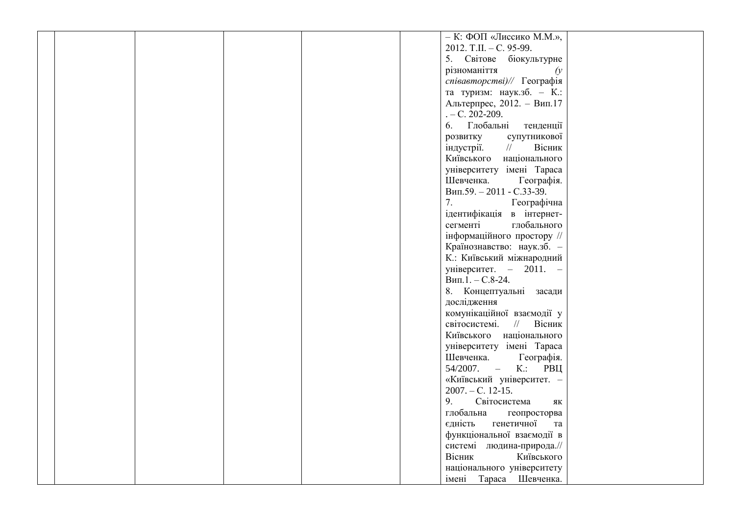|  |  |  | - К: ФОП «Лиссико М.М.»,                                |  |
|--|--|--|---------------------------------------------------------|--|
|  |  |  | 2012. T.II. - C. 95-99.                                 |  |
|  |  |  |                                                         |  |
|  |  |  | 5. Світове біокультурне                                 |  |
|  |  |  | різноманіття<br>$\alpha$                                |  |
|  |  |  | співавторстві)// Географія                              |  |
|  |  |  | та туризм: наук.зб. - К.:                               |  |
|  |  |  | Альтерпрес, 2012. - Вип.17                              |  |
|  |  |  | $-C. 202-209.$                                          |  |
|  |  |  | 6. Глобальні<br>тенденції                               |  |
|  |  |  | супутникової<br>розвитку                                |  |
|  |  |  | Вісник<br>індустрії.<br>$\frac{1}{2}$                   |  |
|  |  |  | національного<br>Київського                             |  |
|  |  |  | університету імені Тараса                               |  |
|  |  |  | Шевченка.<br>Географія.                                 |  |
|  |  |  | Вип.59. - 2011 - С.33-39.                               |  |
|  |  |  | 7.<br>Географічна                                       |  |
|  |  |  | ідентифікація в інтернет-                               |  |
|  |  |  | сегменті<br>глобального                                 |  |
|  |  |  | інформаційного простору //                              |  |
|  |  |  |                                                         |  |
|  |  |  | Країнознавство: наук.зб. -<br>К.: Київський міжнародний |  |
|  |  |  |                                                         |  |
|  |  |  | університет. $-2011$ . $-$                              |  |
|  |  |  | $B$ ип.1. – С.8-24.                                     |  |
|  |  |  | 8. Концептуальні засади                                 |  |
|  |  |  | дослідження                                             |  |
|  |  |  | комунікаційної взаємодії у                              |  |
|  |  |  | $\frac{1}{2}$<br>світосистемі.<br>Вісник                |  |
|  |  |  | Київського національного                                |  |
|  |  |  | університету імені Тараса                               |  |
|  |  |  | Шевченка.<br>Географія.                                 |  |
|  |  |  | 54/2007. – K.: PBII                                     |  |
|  |  |  | «Київський університет. -                               |  |
|  |  |  | $2007. - C. 12-15.$                                     |  |
|  |  |  | 9.<br>Світосистема<br>ЯК                                |  |
|  |  |  | глобальна<br>геопросторва                               |  |
|  |  |  | єдність<br>генетичної<br>та                             |  |
|  |  |  | функціональної взаємодії в                              |  |
|  |  |  | системі людина-природа.//                               |  |
|  |  |  | Київського<br>Вісник                                    |  |
|  |  |  | національного університету                              |  |
|  |  |  | Тараса Шевченка.<br>імені                               |  |
|  |  |  |                                                         |  |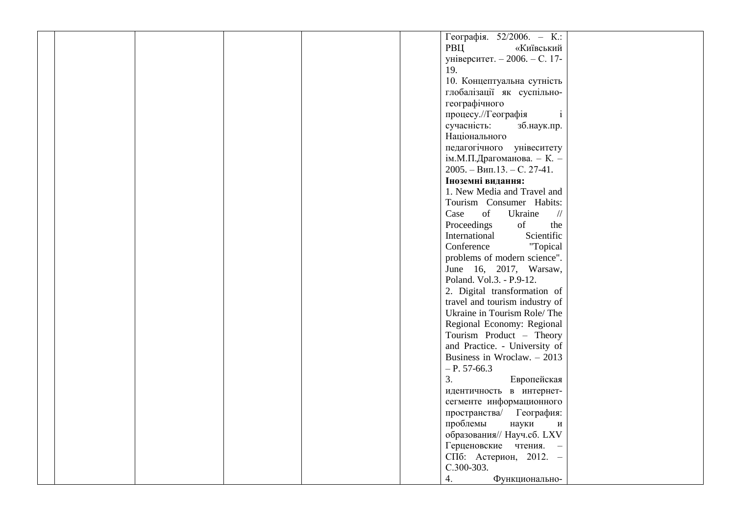|  |  |  | Географія. $52/2006.$ – К.:                    |  |
|--|--|--|------------------------------------------------|--|
|  |  |  | РВЦ<br>«Київський                              |  |
|  |  |  | університет. - 2006. - С. 17-                  |  |
|  |  |  | 19.                                            |  |
|  |  |  | 10. Концептуальна сутність                     |  |
|  |  |  | глобалізації як суспільно-                     |  |
|  |  |  | географічного                                  |  |
|  |  |  | процесу.//Географія<br>$\mathbf{i}$            |  |
|  |  |  | сучасність:<br>зб.наук.пр.                     |  |
|  |  |  | Національного                                  |  |
|  |  |  | педагогічного унівеситету                      |  |
|  |  |  | ім.М.П.Драгоманова. - К. -                     |  |
|  |  |  | $2005. - B$ ип.13. - С. 27-41.                 |  |
|  |  |  | Іноземні видання:                              |  |
|  |  |  | 1. New Media and Travel and                    |  |
|  |  |  | Tourism Consumer Habits:                       |  |
|  |  |  | Case<br>of<br>Ukraine<br>$/\!/$                |  |
|  |  |  | of<br>Proceedings<br>the                       |  |
|  |  |  | Scientific<br>International                    |  |
|  |  |  | Conference<br>"Topical                         |  |
|  |  |  | problems of modern science".                   |  |
|  |  |  | June 16, 2017, Warsaw,                         |  |
|  |  |  | Poland. Vol.3. - P.9-12.                       |  |
|  |  |  | 2. Digital transformation of                   |  |
|  |  |  | travel and tourism industry of                 |  |
|  |  |  |                                                |  |
|  |  |  | Ukraine in Tourism Role/The                    |  |
|  |  |  | Regional Economy: Regional                     |  |
|  |  |  | Tourism Product - Theory                       |  |
|  |  |  | and Practice. - University of                  |  |
|  |  |  | Business in Wroclaw. $-2013$                   |  |
|  |  |  | $-P. 57-66.3$                                  |  |
|  |  |  | 3.<br>Европейская                              |  |
|  |  |  | идентичность в интернет-                       |  |
|  |  |  | сегменте информационного                       |  |
|  |  |  | пространства/ География:                       |  |
|  |  |  | проблемы<br>науки<br>$\boldsymbol{\mathrm{M}}$ |  |
|  |  |  | образования// Науч.сб. LXV                     |  |
|  |  |  | Герценовские чтения. -                         |  |
|  |  |  | СПб: Астерион, 2012. -                         |  |
|  |  |  | C.300-303.                                     |  |
|  |  |  | 4.<br>Функционально-                           |  |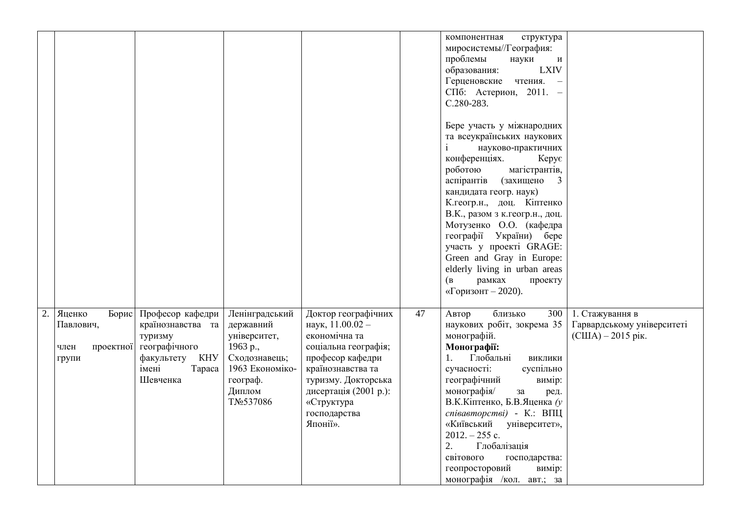|    |                                                            |                                                                                                                    |                                                                                                                                |                                                                                                                                                                                                                     |    | компонентная<br>структура<br>миросистемы//География:<br>проблемы<br>науки<br>И<br><b>LXIV</b><br>образования:<br>Герценовские<br>чтения.<br>$\equiv$<br>СПб: Астерион, 2011. -<br>C.280-283.<br>Бере участь у міжнародних<br>та всеукраїнських наукових<br>$\mathbf{i}$<br>науково-практичних<br>конференціях.<br>Kepye<br>роботою<br>магістрантів,<br>аспірантів<br>(захищено<br>$\overline{\mathbf{3}}$<br>кандидата геогр. наук) |                                                                        |
|----|------------------------------------------------------------|--------------------------------------------------------------------------------------------------------------------|--------------------------------------------------------------------------------------------------------------------------------|---------------------------------------------------------------------------------------------------------------------------------------------------------------------------------------------------------------------|----|-------------------------------------------------------------------------------------------------------------------------------------------------------------------------------------------------------------------------------------------------------------------------------------------------------------------------------------------------------------------------------------------------------------------------------------|------------------------------------------------------------------------|
|    |                                                            |                                                                                                                    |                                                                                                                                |                                                                                                                                                                                                                     |    | К. геогр.н., доц. Кіптенко<br>В.К., разом з к.геогр.н., доц.<br>Мотузенко О.О. (кафедра<br>географії України) бере<br>участь у проекті GRAGE:<br>Green and Gray in Europe:<br>elderly living in urban areas<br>рамках<br>(B)<br>проекту<br>«Горизонт - 2020).                                                                                                                                                                       |                                                                        |
| 2. | Яценко<br>Борис<br>Павлович,<br>проектної<br>член<br>групи | Професор кафедри<br>країнознавства та<br>туризму<br>географічного<br>факультету КНУ<br>імені<br>Tapaca<br>Шевченка | Ленінградський<br>державний<br>університет,<br>1963 p.,<br>Сходознавець;<br>1963 Економіко-<br>географ.<br>Диплом<br>TNo537086 | Доктор географічних<br>наук, 11.00.02 -<br>економічна та<br>соціальна географія;<br>професор кафедри<br>країнознавства та<br>туризму. Докторська<br>дисертація (2001 р.):<br>«Структура<br>господарства<br>Японії». | 47 | близько<br>300<br>Автор<br>наукових робіт, зокрема 35<br>монографій.<br>Монографії:<br>Глобальні<br>1.<br>виклики<br>сучасності:<br>суспільно<br>географічний<br>вимір:<br>монографія/<br>за<br>ред.<br>В.К.Кіптенко, Б.В.Яценка (у<br>співавторстві) - К.: ВПЦ<br>«Київський<br>університет»,<br>$2012. - 255$ c.<br>2.<br>Глобалізація<br>світового<br>господарства:<br>геопросторовий<br>вимір:<br>монографія /кол. авт.; за     | 1. Стажування в<br>Гарвардському університеті<br>$(CIIIA) - 2015$ pik. |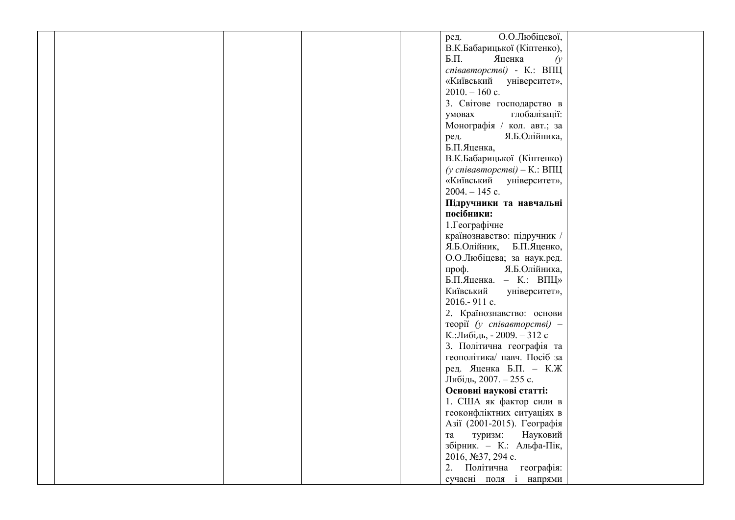| ред.             | О.О.Любіцевої,                   |
|------------------|----------------------------------|
|                  | В.К.Бабарицької (Кіптенко),      |
| $\mathbf{L}$     | Яценка<br>$\hat{y}$              |
|                  |                                  |
|                  | співавторстві) - К.: ВПЦ         |
|                  | «Київський університет»,         |
| $2010. - 160$ c. |                                  |
|                  | 3. Світове господарство в        |
| умовах           | глобалізації:                    |
|                  | Монографія / кол. авт.; за       |
| ред.             | Я.Б.Олійника,                    |
| Б.П.Яценка,      |                                  |
|                  | В.К.Бабарицької (Кіптенко)       |
|                  | (у співавторстві) – К.: ВПЦ      |
|                  | «Київський університет»,         |
| $2004. - 145$ c. |                                  |
|                  | Підручники та навчальні          |
| посібники:       |                                  |
| 1. Географічне   |                                  |
|                  | країнознавство: підручник /      |
|                  | Я.Б.Олійник, Б.П.Яценко,         |
|                  | О.О.Любіцева; за наук.ред.       |
| проф.            | Я.Б.Олійника,                    |
|                  |                                  |
|                  | Б.П.Яценка. - К.: ВПЦ»           |
| Київський        | університет»,                    |
| 2016.-911 c.     |                                  |
|                  | 2. Країнознавство: основи        |
|                  | $\tau$ eopiï (y cnieaemopcmei) - |
|                  | К.:Либідь, - 2009. - 312 с       |
|                  | 3. Політична географія та        |
|                  | геополітика/ навч. Посіб за      |
|                  | ред. Яценка Б.П. - К.Ж           |
|                  | Либідь, 2007. - 255 с.           |
|                  | Основні наукові статті:          |
|                  | 1. США як фактор сили в          |
|                  | геоконфліктних ситуаціях в       |
|                  | Азії (2001-2015). Географія      |
| та               | Науковий<br>туризм:              |
|                  | збірник. - К.: Альфа-Пік,        |
|                  | 2016, №37, 294 с.                |
|                  | 2. Політична географія:          |
|                  | сучасні поля і напрями           |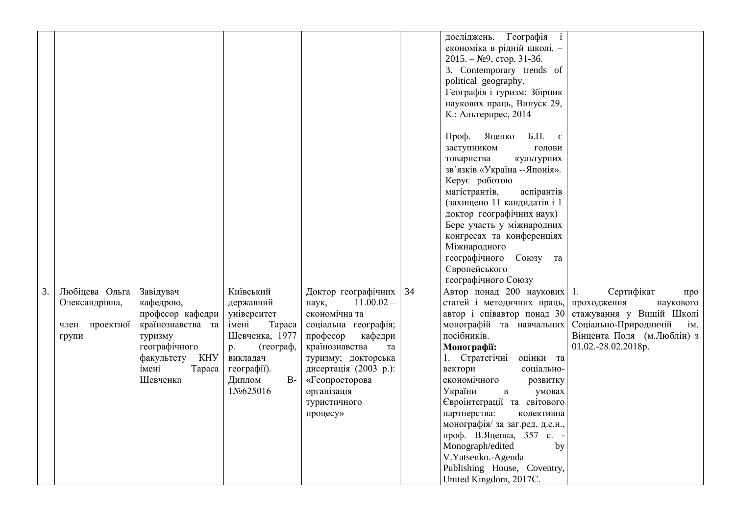|    |                |                              |                                   |                                             |    | Географія<br>досліджень.<br>$\mathbf{i}$<br>економіка в рідній школі. -<br>$2015. - N29$ , crop. 31-36.<br>3. Contemporary trends of<br>political geography.<br>Географія і туризм: Збірник<br>наукових праць, Випуск 29,<br>К.: Альтерпрес, 2014<br>Яценко<br>$\mathbf{L}$ . E.<br>Проф.<br>заступником<br>голови<br>товариства<br>культурних<br>зв'язків «Україна -- Японія».<br>Керує роботою<br>магістрантів,<br>аспірантів<br>(захищено 11 кандидатів і 1<br>доктор географічних наук)<br>Бере участь у міжнародних<br>конгресах та конференціях<br>Міжнародного<br>Союзу та<br>географічного<br>Європейського |                                                            |
|----|----------------|------------------------------|-----------------------------------|---------------------------------------------|----|---------------------------------------------------------------------------------------------------------------------------------------------------------------------------------------------------------------------------------------------------------------------------------------------------------------------------------------------------------------------------------------------------------------------------------------------------------------------------------------------------------------------------------------------------------------------------------------------------------------------|------------------------------------------------------------|
| 3. | Любіцева Ольга | Завідувач                    | Київський                         | Доктор географічних                         | 34 | географічного Союзу<br>Автор понад 200 наукових 1.                                                                                                                                                                                                                                                                                                                                                                                                                                                                                                                                                                  | Сертифікат<br>про                                          |
|    | Олександрівна, | кафедрою,                    | державний                         | $11.00.02 -$<br>наук,                       |    | статей і методичних праць,                                                                                                                                                                                                                                                                                                                                                                                                                                                                                                                                                                                          | проходження<br>наукового                                   |
|    |                | професор кафедри             | університет                       | економічна та                               |    | автор і співавтор понад 30                                                                                                                                                                                                                                                                                                                                                                                                                                                                                                                                                                                          | стажування у Вищій Школі                                   |
|    | член проектної | країнознавства та<br>туризму | Tapaca<br>імені<br>Шевченка, 1977 | соціальна географія;<br>професор<br>кафедри |    | монографій та навчальних<br>посібників.                                                                                                                                                                                                                                                                                                                                                                                                                                                                                                                                                                             | Соціально-Природничій<br>iм.<br>Вінцента Поля (м.Люблін) з |
|    | групи          | географічного                | (географ,<br>p.                   | країнознавства<br>та                        |    | Монографії:                                                                                                                                                                                                                                                                                                                                                                                                                                                                                                                                                                                                         | 01.02.-28.02.2018p.                                        |
|    |                | факультету КНУ               | викладач                          | туризму; докторська                         |    | 1. Стратегічні<br>оцінки та                                                                                                                                                                                                                                                                                                                                                                                                                                                                                                                                                                                         |                                                            |
|    |                | імені<br>Tapaca              | географії).                       | дисертація (2003 р.):                       |    | вектори<br>соціально-                                                                                                                                                                                                                                                                                                                                                                                                                                                                                                                                                                                               |                                                            |
|    |                | Шевченка                     | Диплом<br>$B-$                    | «Геопросторова                              |    | економічного<br>розвитку                                                                                                                                                                                                                                                                                                                                                                                                                                                                                                                                                                                            |                                                            |
|    |                |                              | 1No625016                         | організація                                 |    | України<br>умовах<br>$\, {\bf B} \,$                                                                                                                                                                                                                                                                                                                                                                                                                                                                                                                                                                                |                                                            |
|    |                |                              |                                   | туристичного                                |    | Євроінтеграції та світового                                                                                                                                                                                                                                                                                                                                                                                                                                                                                                                                                                                         |                                                            |
|    |                |                              |                                   | процесу»                                    |    | партнерства:<br>колективна                                                                                                                                                                                                                                                                                                                                                                                                                                                                                                                                                                                          |                                                            |
|    |                |                              |                                   |                                             |    | монографія/ за заг.ред. д.е.н.,                                                                                                                                                                                                                                                                                                                                                                                                                                                                                                                                                                                     |                                                            |
|    |                |                              |                                   |                                             |    | проф. В.Яценка, 357 с. -                                                                                                                                                                                                                                                                                                                                                                                                                                                                                                                                                                                            |                                                            |
|    |                |                              |                                   |                                             |    | Monograph/edited<br>by<br>V.Yatsenko.-Agenda                                                                                                                                                                                                                                                                                                                                                                                                                                                                                                                                                                        |                                                            |
|    |                |                              |                                   |                                             |    | Publishing House, Coventry,                                                                                                                                                                                                                                                                                                                                                                                                                                                                                                                                                                                         |                                                            |
|    |                |                              |                                   |                                             |    | United Kingdom, 2017C.                                                                                                                                                                                                                                                                                                                                                                                                                                                                                                                                                                                              |                                                            |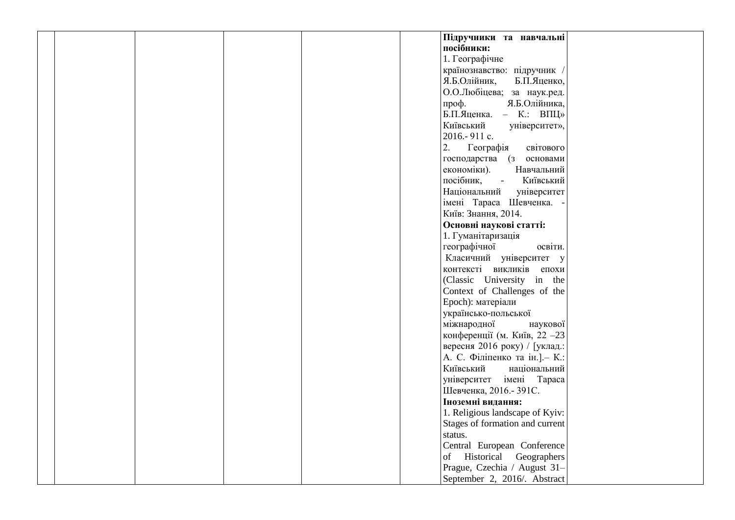| Підручники та навчальні<br>посібники:<br>1. Географічне<br>країнознавство: підручник<br>Я.Б.Олійник,<br>Б.П.Яценко,<br>О.О.Любіцева; за наук.ред.<br>Я.Б.Олійника,<br>проф.<br>Б.П.Яценка. - К.: ВПЦ»<br>Київський<br>університет»,<br>2016.-911 c.<br>світового<br>2.<br>Географія<br>господарства (з основами<br>економіки).<br>Навчальний<br>посібник, -<br>Київський<br>Національний<br>університет<br>імені Тараса Шевченка.<br>Київ: Знання, 2014.<br>Основні наукові статті:<br>1. Гуманітаризація<br>географічної<br>освіти. |  |
|--------------------------------------------------------------------------------------------------------------------------------------------------------------------------------------------------------------------------------------------------------------------------------------------------------------------------------------------------------------------------------------------------------------------------------------------------------------------------------------------------------------------------------------|--|
|                                                                                                                                                                                                                                                                                                                                                                                                                                                                                                                                      |  |
|                                                                                                                                                                                                                                                                                                                                                                                                                                                                                                                                      |  |
|                                                                                                                                                                                                                                                                                                                                                                                                                                                                                                                                      |  |
|                                                                                                                                                                                                                                                                                                                                                                                                                                                                                                                                      |  |
|                                                                                                                                                                                                                                                                                                                                                                                                                                                                                                                                      |  |
|                                                                                                                                                                                                                                                                                                                                                                                                                                                                                                                                      |  |
|                                                                                                                                                                                                                                                                                                                                                                                                                                                                                                                                      |  |
|                                                                                                                                                                                                                                                                                                                                                                                                                                                                                                                                      |  |
|                                                                                                                                                                                                                                                                                                                                                                                                                                                                                                                                      |  |
|                                                                                                                                                                                                                                                                                                                                                                                                                                                                                                                                      |  |
|                                                                                                                                                                                                                                                                                                                                                                                                                                                                                                                                      |  |
|                                                                                                                                                                                                                                                                                                                                                                                                                                                                                                                                      |  |
|                                                                                                                                                                                                                                                                                                                                                                                                                                                                                                                                      |  |
|                                                                                                                                                                                                                                                                                                                                                                                                                                                                                                                                      |  |
|                                                                                                                                                                                                                                                                                                                                                                                                                                                                                                                                      |  |
|                                                                                                                                                                                                                                                                                                                                                                                                                                                                                                                                      |  |
|                                                                                                                                                                                                                                                                                                                                                                                                                                                                                                                                      |  |
|                                                                                                                                                                                                                                                                                                                                                                                                                                                                                                                                      |  |
|                                                                                                                                                                                                                                                                                                                                                                                                                                                                                                                                      |  |
|                                                                                                                                                                                                                                                                                                                                                                                                                                                                                                                                      |  |
| Класичний університет у                                                                                                                                                                                                                                                                                                                                                                                                                                                                                                              |  |
| контексті викликів епохи                                                                                                                                                                                                                                                                                                                                                                                                                                                                                                             |  |
| (Classic University in the                                                                                                                                                                                                                                                                                                                                                                                                                                                                                                           |  |
| Context of Challenges of the                                                                                                                                                                                                                                                                                                                                                                                                                                                                                                         |  |
| Epoch): матеріали                                                                                                                                                                                                                                                                                                                                                                                                                                                                                                                    |  |
| українсько-польської                                                                                                                                                                                                                                                                                                                                                                                                                                                                                                                 |  |
| міжнародної<br>наукової                                                                                                                                                                                                                                                                                                                                                                                                                                                                                                              |  |
| конференції (м. Київ, 22 - 23                                                                                                                                                                                                                                                                                                                                                                                                                                                                                                        |  |
| вересня 2016 року) / [уклад.:                                                                                                                                                                                                                                                                                                                                                                                                                                                                                                        |  |
| А. С. Філіпенко та ін.]. - К.:                                                                                                                                                                                                                                                                                                                                                                                                                                                                                                       |  |
| Київський<br>національний                                                                                                                                                                                                                                                                                                                                                                                                                                                                                                            |  |
| університет імені Тараса                                                                                                                                                                                                                                                                                                                                                                                                                                                                                                             |  |
| Шевченка, 2016. - 391С.                                                                                                                                                                                                                                                                                                                                                                                                                                                                                                              |  |
| Іноземні видання:                                                                                                                                                                                                                                                                                                                                                                                                                                                                                                                    |  |
| 1. Religious landscape of Kyiv:                                                                                                                                                                                                                                                                                                                                                                                                                                                                                                      |  |
| Stages of formation and current                                                                                                                                                                                                                                                                                                                                                                                                                                                                                                      |  |
| status.                                                                                                                                                                                                                                                                                                                                                                                                                                                                                                                              |  |
| Central European Conference                                                                                                                                                                                                                                                                                                                                                                                                                                                                                                          |  |
| of Historical Geographers                                                                                                                                                                                                                                                                                                                                                                                                                                                                                                            |  |
| Prague, Czechia / August 31-                                                                                                                                                                                                                                                                                                                                                                                                                                                                                                         |  |
| September 2, 2016/. Abstract                                                                                                                                                                                                                                                                                                                                                                                                                                                                                                         |  |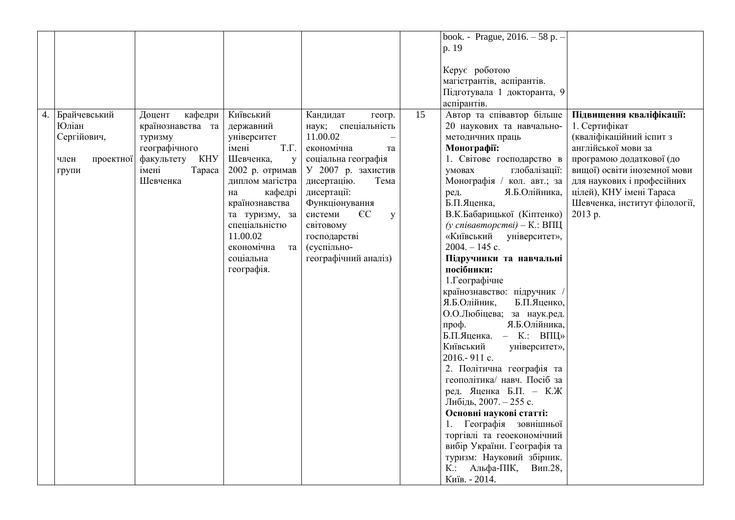|    |                   |                   |                                 |                                           |                 | book. - Prague, 2016. - 58 p. -                          |                                          |
|----|-------------------|-------------------|---------------------------------|-------------------------------------------|-----------------|----------------------------------------------------------|------------------------------------------|
|    |                   |                   |                                 |                                           |                 | p. 19                                                    |                                          |
|    |                   |                   |                                 |                                           |                 | Керує роботою<br>магістрантів, аспірантів.               |                                          |
|    |                   |                   |                                 |                                           |                 | Підготувала 1 докторанта, 9                              |                                          |
|    |                   |                   |                                 |                                           |                 | аспірантів.                                              |                                          |
| 4. | Брайчевський      | Доцент<br>кафедри | Київський                       | Кандидат<br>геогр.                        | $\overline{15}$ | Автор та співавтор більше                                | Підвищення кваліфікації:                 |
|    | Юліан             | країнознавства та | державний                       | наук; спеціальність                       |                 | 20 наукових та навчально-                                | 1. Сертифікат                            |
|    | Сергійович,       | туризму           | університет                     | 11.00.02                                  |                 | методичних праць                                         | (кваліфікаційний іспит з                 |
|    |                   | географічного     | T.Γ.<br>імені                   | економічна<br>та                          |                 | Монографії:                                              | англійської мови за                      |
|    | проектної<br>член | факультету КНУ    | Шевченка,<br>y                  | соціальна географія                       |                 | 1. Світове господарство в                                | програмою додаткової (до                 |
|    | групи             | імені<br>Tapaca   | 2002 р. отримав                 | У 2007 р. захистив                        |                 | умовах<br>глобалізації:                                  | вищої) освіти іноземної мови             |
|    |                   | Шевченка          | диплом магістра                 | дисертацію.<br>Тема                       |                 | Монографія / кол. авт.; за                               | для наукових і професійних               |
|    |                   |                   | кафедрі<br>на                   | дисертації:                               |                 | Я.Б.Олійника,<br>ред.<br>Б.П.Яценка,                     | цілей), КНУ імені Тараса                 |
|    |                   |                   | країнознавства                  | Функціонування<br>$\epsilon$ C<br>системи |                 | В.К.Бабарицької (Кіптенко)                               | Шевченка, інститут філології,<br>2013 p. |
|    |                   |                   | та туризму, за<br>спеціальністю | y<br>світовому                            |                 | (у співавторстві) – К.: ВПЦ                              |                                          |
|    |                   |                   | 11.00.02                        | господарстві                              |                 | «Київський університет»,                                 |                                          |
|    |                   |                   | економічна<br>та                | (суспільно-                               |                 | $2004. - 145$ c.                                         |                                          |
|    |                   |                   | соціальна                       | географічний аналіз)                      |                 | Підручники та навчальні                                  |                                          |
|    |                   |                   | географія.                      |                                           |                 | посібники:                                               |                                          |
|    |                   |                   |                                 |                                           |                 | 1. Географічне                                           |                                          |
|    |                   |                   |                                 |                                           |                 | країнознавство: підручник /                              |                                          |
|    |                   |                   |                                 |                                           |                 | Я.Б.Олійник,<br>Б.П.Яценко,                              |                                          |
|    |                   |                   |                                 |                                           |                 | О.О.Любіцева; за наук.ред.                               |                                          |
|    |                   |                   |                                 |                                           |                 | Я.Б.Олійника,<br>проф.                                   |                                          |
|    |                   |                   |                                 |                                           |                 | Б.П.Яценка. - К.: ВПЦ»                                   |                                          |
|    |                   |                   |                                 |                                           |                 | Київський<br>університет»,                               |                                          |
|    |                   |                   |                                 |                                           |                 | 2016.-911 c.                                             |                                          |
|    |                   |                   |                                 |                                           |                 | 2. Політична географія та                                |                                          |
|    |                   |                   |                                 |                                           |                 | геополітика/ навч. Посіб за                              |                                          |
|    |                   |                   |                                 |                                           |                 | ред. Яценка Б.П. - К.Ж                                   |                                          |
|    |                   |                   |                                 |                                           |                 | Либідь, 2007. - 255 с.                                   |                                          |
|    |                   |                   |                                 |                                           |                 | Основні наукові статті:                                  |                                          |
|    |                   |                   |                                 |                                           |                 | Географія зовнішньої<br>1.                               |                                          |
|    |                   |                   |                                 |                                           |                 | торгівлі та геоекономічний                               |                                          |
|    |                   |                   |                                 |                                           |                 | вибір України. Географія та<br>туризм: Науковий збірник. |                                          |
|    |                   |                   |                                 |                                           |                 |                                                          |                                          |
|    |                   |                   |                                 |                                           |                 |                                                          |                                          |
|    |                   |                   |                                 |                                           |                 | $K$ :<br>Альфа-ПІК,<br>Вип.28,<br>Київ. - 2014.          |                                          |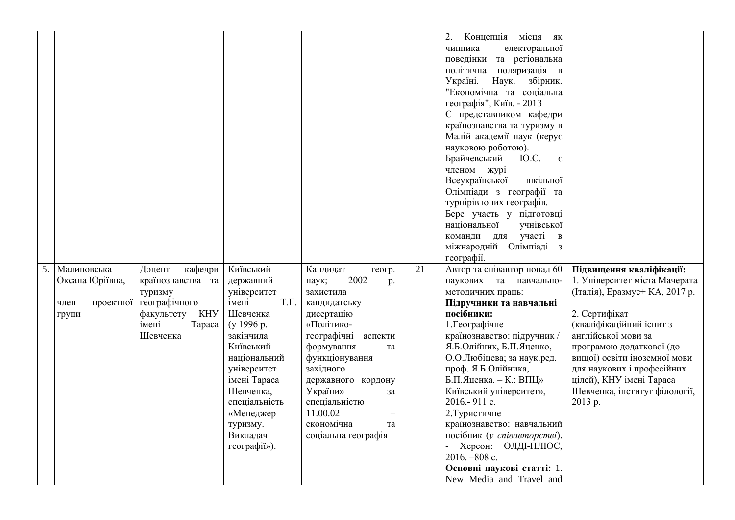|    |                   |                   |                      |                        |                 | 2.<br>Концепція<br>місця як        |                               |
|----|-------------------|-------------------|----------------------|------------------------|-----------------|------------------------------------|-------------------------------|
|    |                   |                   |                      |                        |                 | електоральної<br>чинника           |                               |
|    |                   |                   |                      |                        |                 | поведінки та регіональна           |                               |
|    |                   |                   |                      |                        |                 | поляризація в<br>політична         |                               |
|    |                   |                   |                      |                        |                 | Наук.<br>Україні.<br>збірник.      |                               |
|    |                   |                   |                      |                        |                 | "Економічна та соціальна           |                               |
|    |                   |                   |                      |                        |                 | географія", Київ. - 2013           |                               |
|    |                   |                   |                      |                        |                 | Є представником кафедри            |                               |
|    |                   |                   |                      |                        |                 | країнознавства та туризму в        |                               |
|    |                   |                   |                      |                        |                 | Малій академії наук (керує         |                               |
|    |                   |                   |                      |                        |                 | науковою роботою).                 |                               |
|    |                   |                   |                      |                        |                 | Брайчевський<br>Ю.С.<br>$\epsilon$ |                               |
|    |                   |                   |                      |                        |                 | членом журі                        |                               |
|    |                   |                   |                      |                        |                 | Всеукраїнської<br>шкільної         |                               |
|    |                   |                   |                      |                        |                 | Олімпіади з географії та           |                               |
|    |                   |                   |                      |                        |                 | турнірів юних географів.           |                               |
|    |                   |                   |                      |                        |                 | Бере участь у підготовці           |                               |
|    |                   |                   |                      |                        |                 | національної<br>учнівської         |                               |
|    |                   |                   |                      |                        |                 | участі в<br>команди для            |                               |
|    |                   |                   |                      |                        |                 | міжнародній Олімпіаді з            |                               |
|    |                   |                   |                      |                        |                 | географії.                         |                               |
| 5. | Малиновська       | Доцент<br>кафедри | Київський            | Кандидат<br>геогр.     | $\overline{21}$ | Автор та співавтор понад 60        | Підвищення кваліфікації:      |
|    | Оксана Юріївна,   | країнознавства та | державний            | 2002<br>наук;<br>p.    |                 | наукових та навчально-             | 1. Університет міста Мачерата |
|    |                   | туризму           | університет          | захистила              |                 | методичних праць:                  | (Італія), Еразмус+КА, 2017 р. |
|    | проектної<br>член | географічного     | $T.\Gamma.$<br>імені | кандидатську           |                 | Підручники та навчальні            |                               |
|    | групи             | факультету<br>KHY | Шевченка             | дисертацію             |                 | посібники:                         | 2. Сертифікат                 |
|    |                   | імені<br>Tapaca   | (y 1996 p.           | «Політико-             |                 | 1. Географічне                     | (кваліфікаційний іспит з      |
|    |                   | Шевченка          | закінчила            | географічні<br>аспекти |                 | країнознавство: підручник /        | англійської мови за           |
|    |                   |                   | Київський            | формування<br>та       |                 | Я.Б.Олійник, Б.П.Яценко,           | програмою додаткової (до      |
|    |                   |                   | національний         | функціонування         |                 | О.О.Любіцева; за наук.ред.         | вищої) освіти іноземної мови  |
|    |                   |                   | університет          | західного              |                 | проф. Я.Б.Олійника,                | для наукових і професійних    |
|    |                   |                   | імені Тараса         | державного кордону     |                 | Б.П.Яценка. - К.: ВПЦ»             | цілей), КНУ імені Тараса      |
|    |                   |                   | Шевченка,            | України»<br>за         |                 | Київський університет»,            | Шевченка, інститут філології, |
|    |                   |                   | спеціальність        | спеціальністю          |                 | 2016.-911 c.                       | 2013 p.                       |
|    |                   |                   | «Менеджер            | 11.00.02               |                 | 2. Туристичне                      |                               |
|    |                   |                   | туризму.             | економічна<br>та       |                 | країнознавство: навчальний         |                               |
|    |                   |                   | Викладач             | соціальна географія    |                 | посібник (у співавторстві).        |                               |
|    |                   |                   | reorpacii»).         |                        |                 | Херсон: ОЛДІ-ПЛЮС,                 |                               |
|    |                   |                   |                      |                        |                 | 2016. - 808 с.                     |                               |
|    |                   |                   |                      |                        |                 | Основні наукові статті: 1.         |                               |
|    |                   |                   |                      |                        |                 | New Media and Travel and           |                               |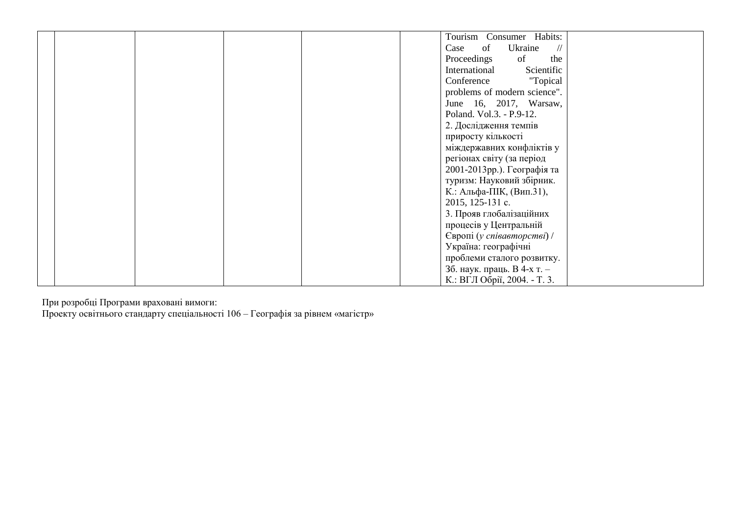|  | Tourism Consumer Habits:               |
|--|----------------------------------------|
|  | of<br>Ukraine<br>Case<br>$\frac{1}{2}$ |
|  | Proceedings<br>of<br>the               |
|  | Scientific<br>International            |
|  | "Topical<br>Conference                 |
|  | problems of modern science".           |
|  | June 16, 2017, Warsaw,                 |
|  | Poland. Vol.3. - P.9-12.               |
|  | 2. Дослідження темпів                  |
|  | приросту кількості                     |
|  | міждержавних конфліктів у              |
|  | регіонах світу (за період              |
|  | 2001-2013рр.). Географія та            |
|  | туризм: Науковий збірник.              |
|  | К.: Альфа-ПІК, (Вип.31),               |
|  | 2015, 125-131 c.                       |
|  | 3. Прояв глобалізаційних               |
|  | процесів у Центральній                 |
|  | Європі (у співавторстві) /             |
|  | Україна: географічні                   |
|  | проблеми сталого розвитку.             |
|  | 3б. наук. праць. В 4-х т. -            |
|  | К.: ВГЛ Обрії, 2004. - Т. 3.           |

При розробці Програми враховані вимоги:

Проекту освітнього стандарту спеціальності 106 – Географія за рівнем «магістр»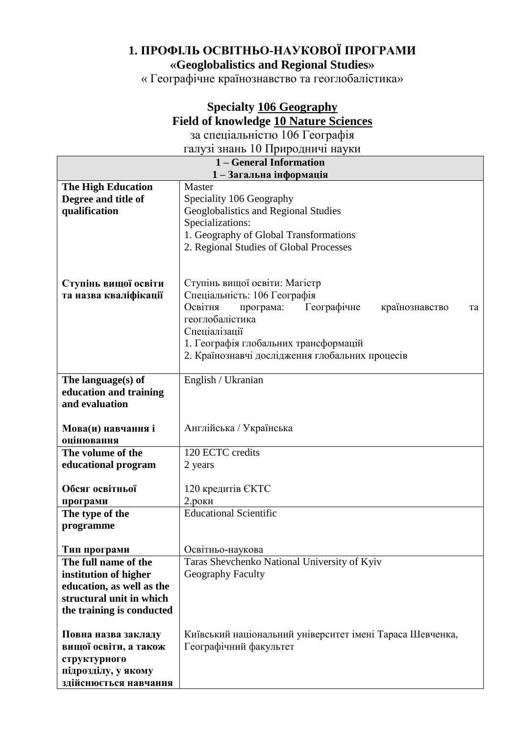## **1. ПРОФІЛЬ ОСВІТНЬО-НАУКОВОЇ ПРОГРАМИ «Geoglobalistics and Regional Studies»**

« Географічне країнознавство та геоглобалістика»

## **Specialty 106 Geography Field of knowledge 10 Nature Sciences**

за спеціальністю 106 Географія галузі знань 10 Природничі науки

| талуы энань то тіриродничі науки |                                                           |    |
|----------------------------------|-----------------------------------------------------------|----|
| 1 – General Information          |                                                           |    |
|                                  | 1-Загальна інформація                                     |    |
| <b>The High Education</b>        | Master                                                    |    |
| Degree and title of              | Speciality 106 Geography                                  |    |
| qualification                    | Geoglobalistics and Regional Studies                      |    |
|                                  | Specializations:                                          |    |
|                                  | 1. Geography of Global Transformations                    |    |
|                                  | 2. Regional Studies of Global Processes                   |    |
|                                  |                                                           |    |
|                                  |                                                           |    |
| Ступінь вищої освіти             | Ступінь вищої освіти: Магістр                             |    |
| та назва кваліфікації            | Спеціальність: 106 Географія                              |    |
|                                  | Освітня<br>Географічне<br>програма:<br>країнознавство     | та |
|                                  | геоглобалістика                                           |    |
|                                  | Спеціалізації                                             |    |
|                                  | 1. Географія глобальних трансформацій                     |    |
|                                  | 2. Країнознавчі дослідження глобальних процесів           |    |
|                                  |                                                           |    |
| The language(s) of               | English / Ukranian                                        |    |
| education and training           |                                                           |    |
| and evaluation                   |                                                           |    |
|                                  |                                                           |    |
| Мова(и) навчання і               | Англійська / Українська                                   |    |
| оцінювання                       |                                                           |    |
| The volume of the                | 120 ECTC credits                                          |    |
| educational program              | 2 years                                                   |    |
|                                  |                                                           |    |
| Обсяг освітньої                  | 120 кредитів ЄКТС                                         |    |
| програми                         | $2.$ роки                                                 |    |
| The type of the                  | <b>Educational Scientific</b>                             |    |
| programme                        |                                                           |    |
|                                  |                                                           |    |
| Тип програми                     | Освітньо-наукова                                          |    |
| The full name of the             | Taras Shevchenko National University of Kyiv              |    |
| institution of higher            | <b>Geography Faculty</b>                                  |    |
| education, as well as the        |                                                           |    |
| structural unit in which         |                                                           |    |
| the training is conducted        |                                                           |    |
|                                  |                                                           |    |
| Повна назва закладу              | Київський національний університет імені Тараса Шевченка, |    |
| вищої освіти, а також            | Географічний факультет                                    |    |
| структурного                     |                                                           |    |
| підрозділу, у якому              |                                                           |    |
|                                  |                                                           |    |
| здійснюється навчання            |                                                           |    |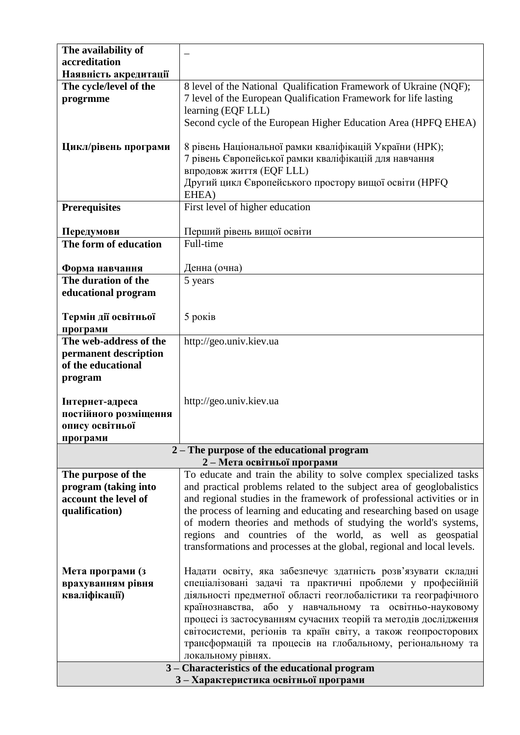| The availability of                 |                                                                         |
|-------------------------------------|-------------------------------------------------------------------------|
| accreditation                       |                                                                         |
| Наявність акредитації               |                                                                         |
| The cycle/level of the              | 8 level of the National Qualification Framework of Ukraine (NQF);       |
| progrmme                            | 7 level of the European Qualification Framework for life lasting        |
|                                     | learning (EQF LLL)                                                      |
|                                     | Second cycle of the European Higher Education Area (HPFQ EHEA)          |
|                                     |                                                                         |
| Цикл/рівень програми                | 8 рівень Національної рамки кваліфікацій України (НРК);                 |
|                                     | 7 рівень Європейської рамки кваліфікацій для навчання                   |
|                                     | впродовж життя (EQF LLL)                                                |
|                                     | Другий цикл Європейського простору вищої освіти (НРГО                   |
|                                     | EHEA)                                                                   |
| <b>Prerequisites</b>                | First level of higher education                                         |
|                                     |                                                                         |
|                                     | Перший рівень вищої освіти                                              |
| Передумови<br>The form of education | Full-time                                                               |
|                                     |                                                                         |
|                                     |                                                                         |
| Форма навчання                      | Денна (очна)                                                            |
| The duration of the                 | 5 years                                                                 |
| educational program                 |                                                                         |
|                                     |                                                                         |
| Термін дії освітньої                | 5 років                                                                 |
| програми                            |                                                                         |
| The web-address of the              | http://geo.univ.kiev.ua                                                 |
| permanent description               |                                                                         |
| of the educational                  |                                                                         |
| program                             |                                                                         |
|                                     |                                                                         |
| Інтернет-адреса                     | http://geo.univ.kiev.ua                                                 |
| постійного розміщення               |                                                                         |
| опису освітньої                     |                                                                         |
| програми                            |                                                                         |
|                                     | 2 – The purpose of the educational program                              |
|                                     | 2-Мета освітньої програми                                               |
| The purpose of the                  | To educate and train the ability to solve complex specialized tasks     |
| program (taking into                | and practical problems related to the subject area of geoglobalistics   |
| account the level of                | and regional studies in the framework of professional activities or in  |
| qualification)                      | the process of learning and educating and researching based on usage    |
|                                     | of modern theories and methods of studying the world's systems,         |
|                                     | regions and countries of the world, as well as geospatial               |
|                                     | transformations and processes at the global, regional and local levels. |
|                                     |                                                                         |
| Мета програми (з                    | Надати освіту, яка забезпечує здатність розв'язувати складні            |
| врахуванням рівня                   | спеціалізовані задачі та практичні проблеми у професійній               |
| кваліфікації)                       | діяльності предметної області геоглобалістики та географічного          |
|                                     | країнознавства, або у навчальному та освітньо-науковому                 |
|                                     | процесі із застосуванням сучасних теорій та методів дослідження         |
|                                     | світосистеми, регіонів та країн світу, а також геопросторових           |
|                                     | трансформацій та процесів на глобальному, регіональному та              |
|                                     | локальному рівнях.                                                      |
|                                     | 3 - Characteristics of the educational program                          |
| 3-Характеристика освітньої програми |                                                                         |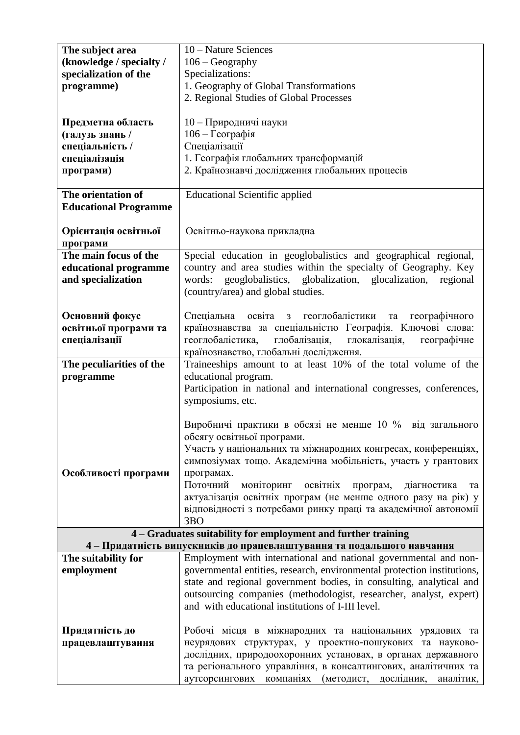| The subject area             | 10 – Nature Sciences                                                    |
|------------------------------|-------------------------------------------------------------------------|
| (knowledge / specialty /     | $106 - Geography$                                                       |
| specialization of the        | Specializations:                                                        |
| programme)                   | 1. Geography of Global Transformations                                  |
|                              | 2. Regional Studies of Global Processes                                 |
|                              |                                                                         |
| Предметна область            | 10 - Природничі науки                                                   |
| (галузь знань /              | 106 - Географія                                                         |
| спеціальність /              | Спеціалізації                                                           |
| спеціалізація                | 1. Географія глобальних трансформацій                                   |
| програми)                    | 2. Країнознавчі дослідження глобальних процесів                         |
|                              |                                                                         |
| The orientation of           | <b>Educational Scientific applied</b>                                   |
| <b>Educational Programme</b> |                                                                         |
|                              |                                                                         |
| Орієнтація освітньої         | Освітньо-наукова прикладна                                              |
| програми                     |                                                                         |
| The main focus of the        | Special education in geoglobalistics and geographical regional,         |
| educational programme        | country and area studies within the specialty of Geography. Key         |
| and specialization           | geoglobalistics, globalization, glocalization,<br>words:<br>regional    |
|                              | (country/area) and global studies.                                      |
|                              |                                                                         |
| Основний фокус               | Спеціальна освіта з геоглобалістики<br>географічного<br>та              |
| освітньої програми та        | країнознавства за спеціальністю Географія. Ключові слова:               |
| спеціалізації                | глобалізація, глокалізація,<br>геоглобалістика,<br>географічне          |
|                              | країнознавство, глобальні дослідження.                                  |
| The peculiarities of the     | Traineeships amount to at least 10% of the total volume of the          |
| programme                    | educational program.                                                    |
|                              | Participation in national and international congresses, conferences,    |
|                              | symposiums, etc.                                                        |
|                              | Виробничі практики в обсязі не менше 10 % від загального                |
|                              | обсягу освітньої програми.                                              |
|                              | Участь у національних та міжнародних конгресах, конференціях,           |
|                              | симпозіумах тощо. Академічна мобільність, участь у грантових            |
| Особливості програми         | програмах.                                                              |
|                              | Поточний<br>освітніх<br>моніторинг<br>програм,<br>діагностика<br>та     |
|                              | актуалізація освітніх програм (не менше одного разу на рік) у           |
|                              | відповідності з потребами ринку праці та академічної автономії          |
|                              | 3 <sub>BO</sub>                                                         |
|                              | 4 - Graduates suitability for employment and further training           |
|                              | 4 - Придатність випускників до працевлаштування та подальшого навчання  |
| The suitability for          | Employment with international and national governmental and non-        |
| employment                   | governmental entities, research, environmental protection institutions, |
|                              | state and regional government bodies, in consulting, analytical and     |
|                              | outsourcing companies (methodologist, researcher, analyst, expert)      |
|                              | and with educational institutions of I-III level.                       |
|                              |                                                                         |
| Придатність до               | Робочі місця в міжнародних та національних урядових та                  |
| працевлаштування             | неурядових структурах, у проектно-пошукових та науково-                 |
|                              | дослідних, природоохоронних установах, в органах державного             |
|                              | та регіонального управління, в консалтингових, аналітичних та           |
|                              | аутсорсингових<br>компаніях<br>(методист,<br>дослідник,<br>аналітик,    |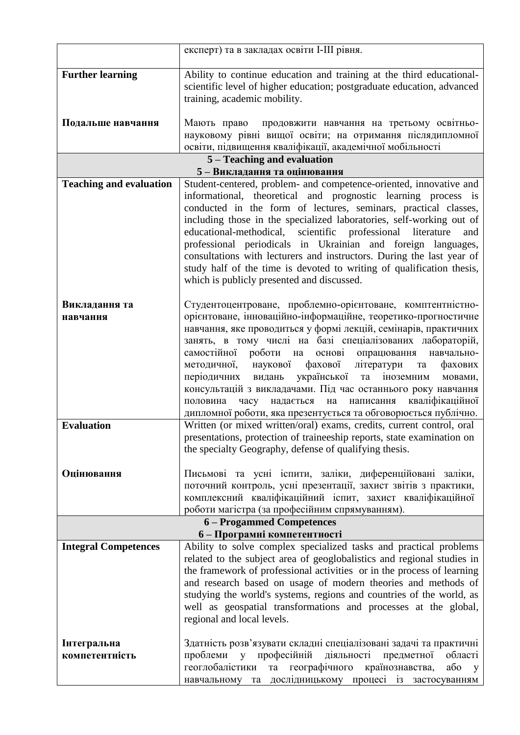|                                | експерт) та в закладах освіти I-III рівня.                                                                                              |  |
|--------------------------------|-----------------------------------------------------------------------------------------------------------------------------------------|--|
| <b>Further learning</b>        | Ability to continue education and training at the third educational-                                                                    |  |
|                                | scientific level of higher education; postgraduate education, advanced                                                                  |  |
|                                | training, academic mobility.                                                                                                            |  |
|                                |                                                                                                                                         |  |
| Подальше навчання              | Мають право<br>продовжити навчання на третьому освітньо-<br>науковому рівні вищої освіти; на отримання післядипломної                   |  |
|                                | освіти, підвищення кваліфікації, академічної мобільності                                                                                |  |
|                                | 5 - Teaching and evaluation                                                                                                             |  |
|                                | 5-Викладання та оцінювання                                                                                                              |  |
| <b>Teaching and evaluation</b> | Student-centered, problem- and competence-oriented, innovative and                                                                      |  |
|                                | informational, theoretical and prognostic learning process is                                                                           |  |
|                                | conducted in the form of lectures, seminars, practical classes,<br>including those in the specialized laboratories, self-working out of |  |
|                                | educational-methodical, scientific professional<br>literature<br>and                                                                    |  |
|                                | professional periodicals in Ukrainian and foreign languages,                                                                            |  |
|                                | consultations with lecturers and instructors. During the last year of                                                                   |  |
|                                | study half of the time is devoted to writing of qualification thesis,                                                                   |  |
|                                | which is publicly presented and discussed.                                                                                              |  |
| Викладання та                  | Студентоцентроване, проблемно-орієнтоване, комптентністно-                                                                              |  |
| навчання                       | орієнтоване, інноваційно-інформаційне, теоретико-прогностичне                                                                           |  |
|                                | навчання, яке проводиться у формі лекцій, семінарів, практичних                                                                         |  |
|                                | занять, в тому числі на базі спеціалізованих лабораторій,                                                                               |  |
|                                | самостійної роботи на<br>опрацювання<br>основі<br>навчально-                                                                            |  |
|                                | наукової фахової<br>літератури<br>методичної,<br>фахових<br>та<br>періодичних<br>української та<br>іноземним<br>видань<br>мовами,       |  |
|                                | консультацій з викладачами. Під час останнього року навчання                                                                            |  |
|                                | кваліфікаційної<br>часу надається на написання<br>половина                                                                              |  |
|                                | дипломної роботи, яка презентується та обговорюється публічно.                                                                          |  |
| <b>Evaluation</b>              | Written (or mixed written/oral) exams, credits, current control, oral                                                                   |  |
|                                | presentations, protection of traineeship reports, state examination on<br>the specialty Geography, defense of qualifying thesis.        |  |
|                                |                                                                                                                                         |  |
| Оцінювання                     | Письмові та усні іспити, заліки, диференційовані заліки,                                                                                |  |
|                                | поточний контроль, усні презентації, захист звітів з практики,                                                                          |  |
|                                | комплексний кваліфікаційний іспит, захист кваліфікаційної                                                                               |  |
|                                | роботи магістра (за професійним спрямуванням).<br>6 - Progammed Competences                                                             |  |
|                                | 6 - Програмні компетентності                                                                                                            |  |
| <b>Integral Competences</b>    | Ability to solve complex specialized tasks and practical problems                                                                       |  |
|                                | related to the subject area of geoglobalistics and regional studies in                                                                  |  |
|                                | the framework of professional activities or in the process of learning                                                                  |  |
|                                | and research based on usage of modern theories and methods of<br>studying the world's systems, regions and countries of the world, as   |  |
|                                | well as geospatial transformations and processes at the global,                                                                         |  |
|                                | regional and local levels.                                                                                                              |  |
|                                |                                                                                                                                         |  |
| Інтегральна                    | Здатність розв'язувати складні спеціалізовані задачі та практичні                                                                       |  |
| компетентність                 | проблеми<br>професійній<br>діяльності<br>V<br>предметної<br>області                                                                     |  |
|                                | геоглобалістики<br>географічного<br>країнознавства,<br>або<br>та<br>y                                                                   |  |
|                                | навчальному та дослідницькому процесі із застосуванням                                                                                  |  |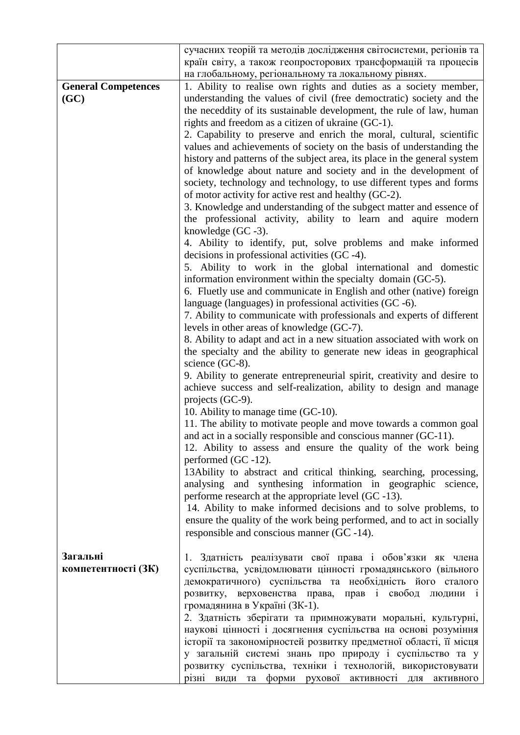|                                    | сучасних теорій та методів дослідження світосистеми, регіонів та<br>країн світу, а також геопросторових трансформацій та процесів<br>на глобальному, регіональному та локальному рівнях.                                                                                                                                                                                                                                                                                                                                                                                                                                                                                                                                                                                                                                                                                                                                                                                                                                                                                                                                                                                                                                                                                                                                                                                                                                                                                                                                                                                                                                                                                                                                                                                                                                                                                                                                                                                                                                                                                                                                                                                                                                                                                                                                                         |
|------------------------------------|--------------------------------------------------------------------------------------------------------------------------------------------------------------------------------------------------------------------------------------------------------------------------------------------------------------------------------------------------------------------------------------------------------------------------------------------------------------------------------------------------------------------------------------------------------------------------------------------------------------------------------------------------------------------------------------------------------------------------------------------------------------------------------------------------------------------------------------------------------------------------------------------------------------------------------------------------------------------------------------------------------------------------------------------------------------------------------------------------------------------------------------------------------------------------------------------------------------------------------------------------------------------------------------------------------------------------------------------------------------------------------------------------------------------------------------------------------------------------------------------------------------------------------------------------------------------------------------------------------------------------------------------------------------------------------------------------------------------------------------------------------------------------------------------------------------------------------------------------------------------------------------------------------------------------------------------------------------------------------------------------------------------------------------------------------------------------------------------------------------------------------------------------------------------------------------------------------------------------------------------------------------------------------------------------------------------------------------------------|
| <b>General Competences</b><br>(GC) | 1. Ability to realise own rights and duties as a society member,<br>understanding the values of civil (free democtratic) society and the<br>the neceddity of its sustainable development, the rule of law, human<br>rights and freedom as a citizen of ukraine (GC-1).<br>2. Capability to preserve and enrich the moral, cultural, scientific<br>values and achievements of society on the basis of understanding the<br>history and patterns of the subject area, its place in the general system<br>of knowledge about nature and society and in the development of<br>society, technology and technology, to use different types and forms<br>of motor activity for active rest and healthy (GC-2).<br>3. Knowledge and understanding of the subgect matter and essence of<br>the professional activity, ability to learn and aquire modern<br>knowledge $(GC - 3)$ .<br>4. Ability to identify, put, solve problems and make informed<br>decisions in professional activities (GC-4).<br>5. Ability to work in the global international and domestic<br>information environment within the specialty domain (GC-5).<br>6. Fluetly use and communicate in English and other (native) foreign<br>language (languages) in professional activities (GC -6).<br>7. Ability to communicate with professionals and experts of different<br>levels in other areas of knowledge (GC-7).<br>8. Ability to adapt and act in a new situation associated with work on<br>the specialty and the ability to generate new ideas in geographical<br>science (GC-8).<br>9. Ability to generate entrepreneurial spirit, creativity and desire to<br>achieve success and self-realization, ability to design and manage<br>projects (GC-9).<br>10. Ability to manage time (GC-10).<br>11. The ability to motivate people and move towards a common goal<br>and act in a socially responsible and conscious manner (GC-11).<br>12. Ability to assess and ensure the quality of the work being<br>performed (GC -12).<br>13Ability to abstract and critical thinking, searching, processing,<br>analysing and synthesing information in geographic science,<br>performe research at the appropriate level (GC -13).<br>14. Ability to make informed decisions and to solve problems, to<br>ensure the quality of the work being performed, and to act in socially |
| Загальні<br>компетентності (ЗК)    | responsible and conscious manner (GC-14).<br>1. Здатність реалізувати свої права і обов'язки як члена<br>суспільства, усвідомлювати цінності громадянського (вільного                                                                                                                                                                                                                                                                                                                                                                                                                                                                                                                                                                                                                                                                                                                                                                                                                                                                                                                                                                                                                                                                                                                                                                                                                                                                                                                                                                                                                                                                                                                                                                                                                                                                                                                                                                                                                                                                                                                                                                                                                                                                                                                                                                            |
|                                    | демократичного) суспільства та необхідність його сталого<br>верховенства права, прав і свобод<br>розвитку,<br>людини і<br>громадянина в Україні (ЗК-1).<br>2. Здатність зберігати та примножувати моральні, культурні,<br>наукові цінності і досягнення суспільства на основі розуміння<br>історії та закономірностей розвитку предметної області, її місця<br>у загальній системі знань про природу і суспільство та у<br>розвитку суспільства, техніки і технологій, використовувати<br>різні види та форми рухової активності<br>ДЛЯ<br>активного                                                                                                                                                                                                                                                                                                                                                                                                                                                                                                                                                                                                                                                                                                                                                                                                                                                                                                                                                                                                                                                                                                                                                                                                                                                                                                                                                                                                                                                                                                                                                                                                                                                                                                                                                                                             |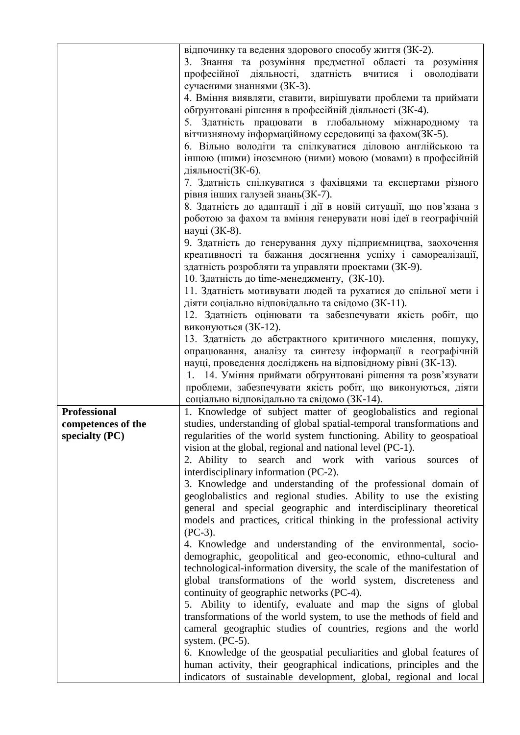|                     | відпочинку та ведення здорового способу життя (ЗК-2).                                                                                 |
|---------------------|---------------------------------------------------------------------------------------------------------------------------------------|
|                     | 3. Знання та розуміння предметної області та розуміння                                                                                |
|                     | професійної діяльності, здатність вчитися і оволодівати                                                                               |
|                     | сучасними знаннями (ЗК-3).                                                                                                            |
|                     | 4. Вміння виявляти, ставити, вирішувати проблеми та приймати                                                                          |
|                     | обгрунтовані рішення в професійній діяльності (ЗК-4).                                                                                 |
|                     | 5. Здатність працювати в глобальному міжнародному та                                                                                  |
|                     | вітчизняному інформаційному середовищі за фахом(ЗК-5).                                                                                |
|                     | 6. Вільно володіти та спілкуватися діловою англійською та                                                                             |
|                     | іншою (шими) іноземною (ними) мовою (мовами) в професійній                                                                            |
|                     | діяльності(ЗК-6).                                                                                                                     |
|                     | 7. Здатність спілкуватися з фахівцями та експертами різного<br>рівня інших галузей знань (ЗК-7).                                      |
|                     | 8. Здатність до адаптації і дії в новій ситуації, що пов'язана з                                                                      |
|                     | роботою за фахом та вміння генерувати нові ідеї в географічній<br>науці (ЗК-8).                                                       |
|                     | 9. Здатність до генерування духу підприємництва, заохочення                                                                           |
|                     | креативності та бажання досягнення успіху і самореалізації,                                                                           |
|                     | здатність розробляти та управляти проектами (ЗК-9).                                                                                   |
|                     | 10. Здатність до time-менеджменту, (ЗК-10).                                                                                           |
|                     | 11. Здатність мотивувати людей та рухатися до спільної мети і                                                                         |
|                     | діяти соціально відповідально та свідомо (ЗК-11).                                                                                     |
|                     | 12. Здатність оцінювати та забезпечувати якість робіт, що                                                                             |
|                     | виконуються (ЗК-12).                                                                                                                  |
|                     | 13. Здатність до абстрактного критичного мислення, пошуку,                                                                            |
|                     | опрацювання, аналізу та синтезу інформації в географічній                                                                             |
|                     | науці, проведення досліджень на відповідному рівні (ЗК-13).                                                                           |
|                     | 1. 14. Уміння приймати обгрунтовані рішення та розв'язувати                                                                           |
|                     | проблеми, забезпечувати якість робіт, що виконуються, діяти                                                                           |
|                     | соціально відповідально та свідомо (ЗК-14).                                                                                           |
| <b>Professional</b> | 1. Knowledge of subject matter of geoglobalistics and regional                                                                        |
| competences of the  | studies, understanding of global spatial-temporal transformations and                                                                 |
| specialty (PC)      | regularities of the world system functioning. Ability to geospatioal                                                                  |
|                     | vision at the global, regional and national level (PC-1).                                                                             |
|                     | 2. Ability to search and work with various<br>of<br>sources                                                                           |
|                     | interdisciplinary information (PC-2).                                                                                                 |
|                     | 3. Knowledge and understanding of the professional domain of                                                                          |
|                     | geoglobalistics and regional studies. Ability to use the existing<br>general and special geographic and interdisciplinary theoretical |
|                     | models and practices, critical thinking in the professional activity                                                                  |
|                     | $(PC-3)$ .                                                                                                                            |
|                     | 4. Knowledge and understanding of the environmental, socio-                                                                           |
|                     | demographic, geopolitical and geo-economic, ethno-cultural and                                                                        |
|                     | technological-information diversity, the scale of the manifestation of                                                                |
|                     | global transformations of the world system, discreteness and                                                                          |
|                     | continuity of geographic networks (PC-4).                                                                                             |
|                     | 5. Ability to identify, evaluate and map the signs of global                                                                          |
|                     | transformations of the world system, to use the methods of field and                                                                  |
|                     | cameral geographic studies of countries, regions and the world                                                                        |
|                     | system. $(PC-5)$ .                                                                                                                    |
|                     | 6. Knowledge of the geospatial peculiarities and global features of                                                                   |
|                     | human activity, their geographical indications, principles and the                                                                    |
|                     | indicators of sustainable development, global, regional and local                                                                     |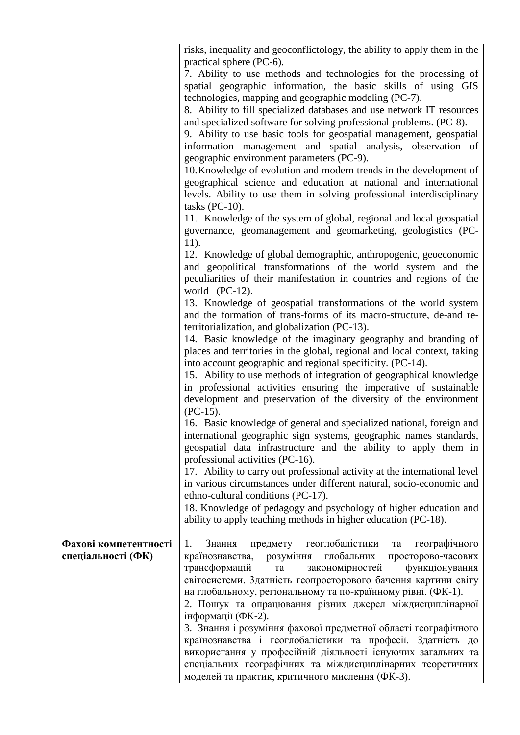|                       | risks, inequality and geoconflictology, the ability to apply them in the                                                                   |
|-----------------------|--------------------------------------------------------------------------------------------------------------------------------------------|
|                       | practical sphere (PC-6).                                                                                                                   |
|                       | 7. Ability to use methods and technologies for the processing of                                                                           |
|                       | spatial geographic information, the basic skills of using GIS                                                                              |
|                       | technologies, mapping and geographic modeling (PC-7).                                                                                      |
|                       | 8. Ability to fill specialized databases and use network IT resources                                                                      |
|                       | and specialized software for solving professional problems. (PC-8).                                                                        |
|                       | 9. Ability to use basic tools for geospatial management, geospatial                                                                        |
|                       | information management and spatial analysis, observation of                                                                                |
|                       | geographic environment parameters (PC-9).                                                                                                  |
|                       | 10. Knowledge of evolution and modern trends in the development of                                                                         |
|                       | geographical science and education at national and international                                                                           |
|                       | levels. Ability to use them in solving professional interdisciplinary                                                                      |
|                       | tasks $(PC-10)$ .                                                                                                                          |
|                       | 11. Knowledge of the system of global, regional and local geospatial                                                                       |
|                       | governance, geomanagement and geomarketing, geologistics (PC-                                                                              |
|                       | $11$ ).                                                                                                                                    |
|                       | 12. Knowledge of global demographic, anthropogenic, geoeconomic                                                                            |
|                       | and geopolitical transformations of the world system and the                                                                               |
|                       | peculiarities of their manifestation in countries and regions of the                                                                       |
|                       | world $(PC-12)$ .                                                                                                                          |
|                       | 13. Knowledge of geospatial transformations of the world system                                                                            |
|                       | and the formation of trans-forms of its macro-structure, de-and re-                                                                        |
|                       | territorialization, and globalization (PC-13).                                                                                             |
|                       | 14. Basic knowledge of the imaginary geography and branding of<br>places and territories in the global, regional and local context, taking |
|                       | into account geographic and regional specificity. (PC-14).                                                                                 |
|                       |                                                                                                                                            |
|                       | 15. Ability to use methods of integration of geographical knowledge<br>in professional activities ensuring the imperative of sustainable   |
|                       | development and preservation of the diversity of the environment                                                                           |
|                       | $(PC-15).$                                                                                                                                 |
|                       | 16. Basic knowledge of general and specialized national, foreign and                                                                       |
|                       | international geographic sign systems, geographic names standards,                                                                         |
|                       | geospatial data infrastructure and the ability to apply them in                                                                            |
|                       | professional activities (PC-16).                                                                                                           |
|                       | 17. Ability to carry out professional activity at the international level                                                                  |
|                       | in various circumstances under different natural, socio-economic and                                                                       |
|                       | ethno-cultural conditions (PC-17).                                                                                                         |
|                       | 18. Knowledge of pedagogy and psychology of higher education and                                                                           |
|                       | ability to apply teaching methods in higher education (PC-18).                                                                             |
|                       |                                                                                                                                            |
| Фахові компетентності | предмету геоглобалістики<br>географічного<br>Знання<br>1.<br>та                                                                            |
| спеціальності (ФК)    | країнознавства, розуміння глобальних<br>просторово-часових                                                                                 |
|                       | трансформацій<br>закономірностей<br>функціонування<br>та                                                                                   |
|                       | світосистеми. Здатність геопросторового бачення картини світу                                                                              |
|                       | на глобальному, регіональному та по-країнному рівні. (ФК-1).                                                                               |
|                       | 2. Пошук та опрацювання різних джерел міждисциплінарної                                                                                    |
|                       | інформації (ФК-2).                                                                                                                         |
|                       | 3. Знання і розуміння фахової предметної області географічного                                                                             |
|                       | країнознавства і геоглобалістики та професії. Здатність до                                                                                 |
|                       | використання у професійній діяльності існуючих загальних та                                                                                |
|                       | спеціальних географічних та міждисциплінарних теоретичних                                                                                  |
|                       | моделей та практик, критичного мислення (ФК-3).                                                                                            |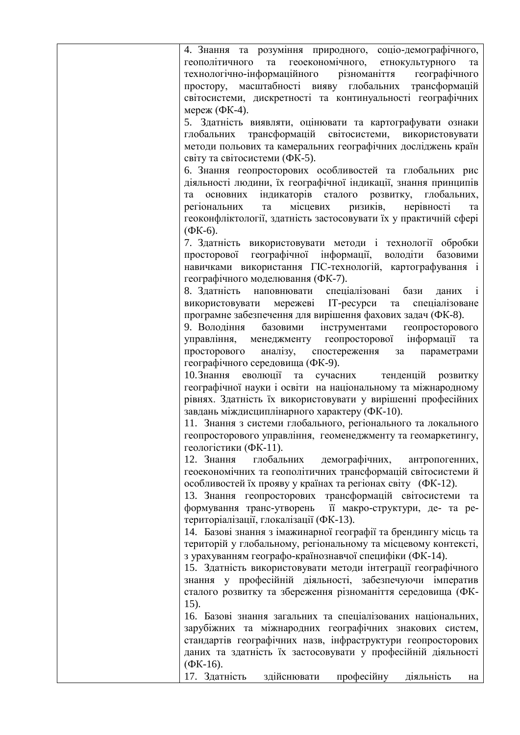| 4. Знання та розуміння природного, соціо-демографічного,                |
|-------------------------------------------------------------------------|
| геополітичного та геоекономічного, етнокультурного<br>та                |
| технологічно-інформаційного різноманіття<br>географічного               |
| простору, масштабності вияву глобальних трансформацій                   |
| світосистеми, дискретності та континуальності географічних              |
| мереж (ФК-4).                                                           |
| 5. Здатність виявляти, оцінювати та картографувати ознаки               |
| глобальних трансформацій світосистеми, використовувати                  |
|                                                                         |
| методи польових та камеральних географічних досліджень країн            |
| світу та світосистеми (ФК-5).                                           |
| 6. Знання геопросторових особливостей та глобальних рис                 |
| діяльності людини, їх географічної індикації, знання принципів          |
| індикаторів сталого розвитку, глобальних,<br>основних<br>та             |
| ризиків,<br>місцевих<br>регіональних<br>нерівності<br>та<br>та          |
| геоконфліктології, здатність застосовувати їх у практичній сфері        |
| $(\Phi K-6)$ .                                                          |
| 7. Здатність використовувати методи і технології обробки                |
| просторової географічної інформації, володіти<br>базовими               |
| навичками використання ГІС-технологій, картографування і                |
| географічного моделювання (ФК-7).                                       |
|                                                                         |
| 8. Здатність наповнювати спеціалізовані бази<br>$\overline{1}$<br>даних |
| спеціалізоване<br>використовувати мережеві ІТ-ресурси та                |
| програмне забезпечення для вирішення фахових задач (ФК-8).              |
| 9. Володіння<br>базовими інструментами<br>геопросторового               |
| управління, менеджменту геопросторової інформації<br>та                 |
| аналізу, спостереження<br>просторового<br>параметрами<br>3a             |
| географічного середовища (ФК-9).                                        |
| 10. Знання еволюції та сучасних тенденцій розвитку                      |
| географічної науки і освіти на національному та міжнародному            |
| рівнях. Здатність їх використовувати у вирішенні професійних            |
| завдань міждисциплінарного характеру (ФК-10).                           |
|                                                                         |
| 11. Знання з системи глобального, регіонального та локального           |
| геопросторового управління, геоменеджменту та геомаркетингу,            |
| геологістики (ФК-11).                                                   |
| 12. Знання<br>глобальних<br>демографічних,<br>антропогенних,            |
| геоекономічних та геополітичних трансформацій світосистеми й            |
| особливостей їх прояву у країнах та регіонах світу (ФК-12).             |
| 13. Знання геопросторових трансформацій світосистеми та                 |
| формування транс-утворень її макро-структури, де- та ре-                |
| територіалізації, глокалізації (ФК-13).                                 |
| 14. Базові знання з імажинарної географії та брендингу місць та         |
| територій у глобальному, регіональному та місцевому контексті,          |
| з урахуванням географо-країнознавчої специфіки (ФК-14).                 |
| 15. Здатність використовувати методи інтеграції географічного           |
|                                                                         |
| знання у професійній діяльності, забезпечуючи імператив                 |
| сталого розвитку та збереження різноманіття середовища (ФК-             |
| 15).                                                                    |
| 16. Базові знання загальних та спеціалізованих національних,            |
| зарубіжних та міжнародних географічних знакових систем,                 |
| стандартів географічних назв, інфраструктури геопросторових             |
| даних та здатність їх застосовувати у професійній діяльності            |
| $(\Phi K-16).$                                                          |
| 17. Здатність<br>професійну<br>здійснювати<br>діяльність<br>на          |
|                                                                         |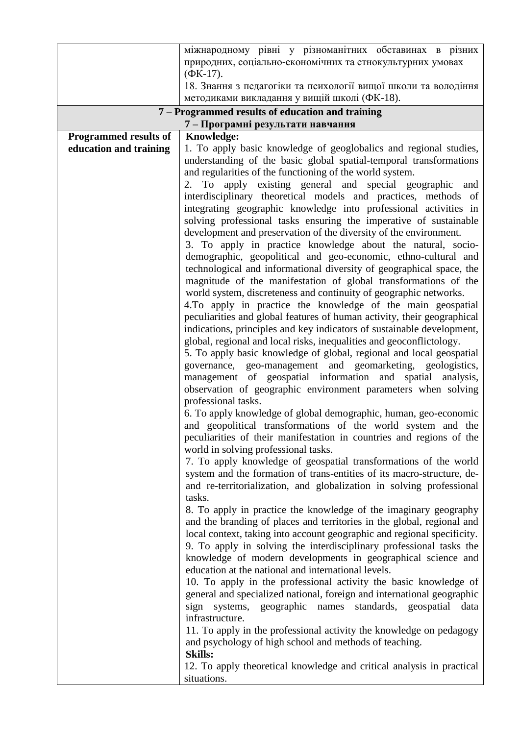|                              | міжнародному рівні у різноманітних обставинах в різних<br>природних, соціально-економічних та етнокультурних умовах                     |
|------------------------------|-----------------------------------------------------------------------------------------------------------------------------------------|
|                              | $(\Phi K-17)$ .                                                                                                                         |
|                              | 18. Знання з педагогіки та психології вищої школи та володіння                                                                          |
|                              | методиками викладання у вищій школі (ФК-18).                                                                                            |
|                              | 7 – Programmed results of education and training                                                                                        |
| <b>Programmed results of</b> | 7 - Програмні результати навчання<br>Knowledge:                                                                                         |
| education and training       | 1. To apply basic knowledge of geoglobalics and regional studies,                                                                       |
|                              | understanding of the basic global spatial-temporal transformations                                                                      |
|                              | and regularities of the functioning of the world system.                                                                                |
|                              | 2. To apply existing general and special geographic and                                                                                 |
|                              | interdisciplinary theoretical models and practices, methods of                                                                          |
|                              | integrating geographic knowledge into professional activities in                                                                        |
|                              | solving professional tasks ensuring the imperative of sustainable                                                                       |
|                              | development and preservation of the diversity of the environment.                                                                       |
|                              | 3. To apply in practice knowledge about the natural, socio-                                                                             |
|                              | demographic, geopolitical and geo-economic, ethno-cultural and                                                                          |
|                              | technological and informational diversity of geographical space, the<br>magnitude of the manifestation of global transformations of the |
|                              | world system, discreteness and continuity of geographic networks.                                                                       |
|                              | 4. To apply in practice the knowledge of the main geospatial                                                                            |
|                              | peculiarities and global features of human activity, their geographical                                                                 |
|                              | indications, principles and key indicators of sustainable development,                                                                  |
|                              | global, regional and local risks, inequalities and geoconflictology.                                                                    |
|                              | 5. To apply basic knowledge of global, regional and local geospatial                                                                    |
|                              | governance, geo-management and geomarketing, geologistics,                                                                              |
|                              | management of geospatial information and spatial analysis,                                                                              |
|                              | observation of geographic environment parameters when solving                                                                           |
|                              | professional tasks.                                                                                                                     |
|                              | 6. To apply knowledge of global demographic, human, geo-economic<br>and geopolitical transformations of the world system and the        |
|                              | peculiarities of their manifestation in countries and regions of the                                                                    |
|                              | world in solving professional tasks.                                                                                                    |
|                              | 7. To apply knowledge of geospatial transformations of the world                                                                        |
|                              | system and the formation of trans-entities of its macro-structure, de-                                                                  |
|                              | and re-territorialization, and globalization in solving professional                                                                    |
|                              | tasks.                                                                                                                                  |
|                              | 8. To apply in practice the knowledge of the imaginary geography                                                                        |
|                              | and the branding of places and territories in the global, regional and                                                                  |
|                              | local context, taking into account geographic and regional specificity.                                                                 |
|                              | 9. To apply in solving the interdisciplinary professional tasks the                                                                     |
|                              | knowledge of modern developments in geographical science and<br>education at the national and international levels.                     |
|                              | 10. To apply in the professional activity the basic knowledge of                                                                        |
|                              | general and specialized national, foreign and international geographic                                                                  |
|                              | sign systems, geographic names standards, geospatial<br>data                                                                            |
|                              | infrastructure.                                                                                                                         |
|                              | 11. To apply in the professional activity the knowledge on pedagogy                                                                     |
|                              | and psychology of high school and methods of teaching.                                                                                  |
|                              | <b>Skills:</b>                                                                                                                          |
|                              | 12. To apply theoretical knowledge and critical analysis in practical                                                                   |
|                              | situations.                                                                                                                             |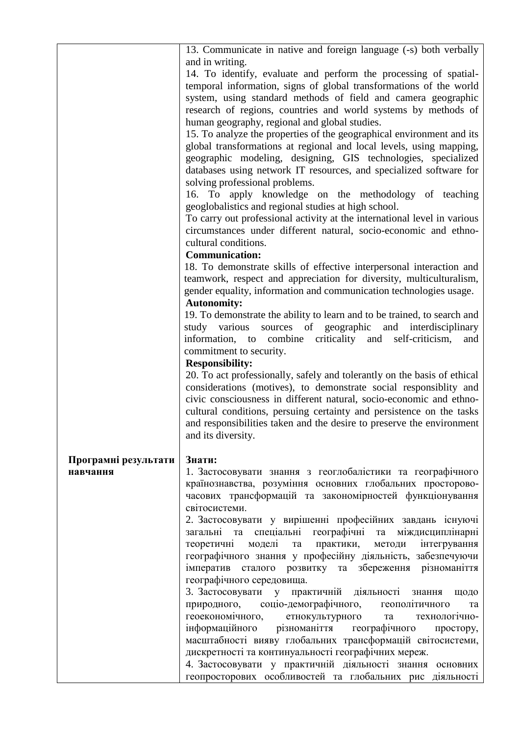|                      | 13. Communicate in native and foreign language (-s) both verbally        |
|----------------------|--------------------------------------------------------------------------|
|                      | and in writing.                                                          |
|                      | 14. To identify, evaluate and perform the processing of spatial-         |
|                      | temporal information, signs of global transformations of the world       |
|                      |                                                                          |
|                      | system, using standard methods of field and camera geographic            |
|                      | research of regions, countries and world systems by methods of           |
|                      | human geography, regional and global studies.                            |
|                      | 15. To analyze the properties of the geographical environment and its    |
|                      | global transformations at regional and local levels, using mapping,      |
|                      | geographic modeling, designing, GIS technologies, specialized            |
|                      | databases using network IT resources, and specialized software for       |
|                      | solving professional problems.                                           |
|                      | 16. To apply knowledge on the methodology of teaching                    |
|                      | geoglobalistics and regional studies at high school.                     |
|                      | To carry out professional activity at the international level in various |
|                      |                                                                          |
|                      | circumstances under different natural, socio-economic and ethno-         |
|                      | cultural conditions.                                                     |
|                      | <b>Communication:</b>                                                    |
|                      | 18. To demonstrate skills of effective interpersonal interaction and     |
|                      | teamwork, respect and appreciation for diversity, multiculturalism,      |
|                      | gender equality, information and communication technologies usage.       |
|                      | <b>Autonomity:</b>                                                       |
|                      | 19. To demonstrate the ability to learn and to be trained, to search and |
|                      | sources of geographic and interdisciplinary<br>study various             |
|                      | information, to combine criticality and self-criticism,<br>and           |
|                      | commitment to security.                                                  |
|                      | <b>Responsibility:</b>                                                   |
|                      | 20. To act professionally, safely and tolerantly on the basis of ethical |
|                      | considerations (motives), to demonstrate social responsiblity and        |
|                      |                                                                          |
|                      | civic consciousness in different natural, socio-economic and ethno-      |
|                      | cultural conditions, persuing certainty and persistence on the tasks     |
|                      | and responsibilities taken and the desire to preserve the environment    |
|                      | and its diversity.                                                       |
|                      |                                                                          |
| Програмні результати | Знати:                                                                   |
| навчання             | 1. Застосовувати знання з геоглобалістики та географічного               |
|                      | країнознавства, розуміння основних глобальних просторово-                |
|                      | часових трансформацій та закономірностей функціонування                  |
|                      | світосистеми.                                                            |
|                      | 2. Застосовувати у вирішенні професійних завдань існуючі                 |
|                      | спеціальні географічні та<br>загальні та<br>міждисциплінарні             |
|                      | моделі та<br>практики,<br>методи інтегрування<br>теоретичні              |
|                      | географічного знання у професійну діяльність, забезпечуючи               |
|                      | імператив сталого розвитку та збереження різноманіття                    |
|                      | географічного середовища.                                                |
|                      | 3. Застосовувати у<br>практичній<br>діяльності знання<br>щодо            |
|                      | соціо-демографічного, геополітичного<br>природного,<br>та                |
|                      | геоекономічного,<br>етнокультурного<br>технологічно-<br>та               |
|                      |                                                                          |
|                      | різноманіття географічного<br>інформаційного<br>простору,                |
|                      | масштабності вияву глобальних трансформацій світосистеми,                |
|                      | дискретності та континуальності географічних мереж.                      |
|                      | 4. Застосовувати у практичній діяльності знання основних                 |
|                      | геопросторових особливостей та глобальних рис діяльності                 |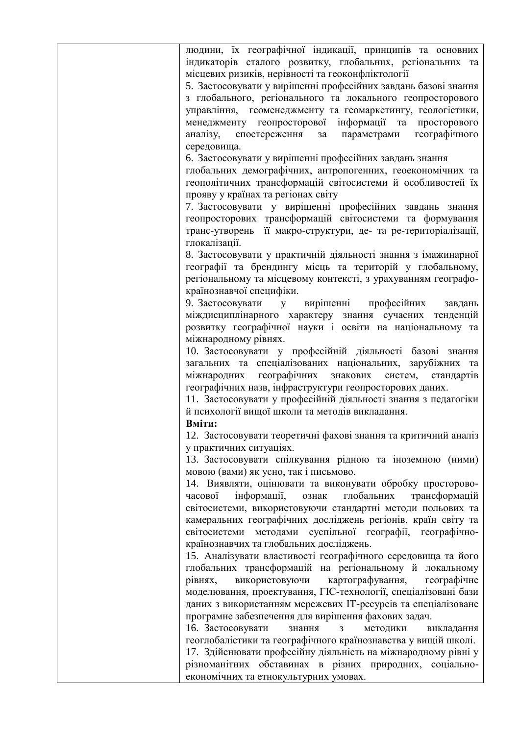| людини, їх географічної індикації, принципів та основних       |
|----------------------------------------------------------------|
| індикаторів сталого розвитку, глобальних, регіональних та      |
| місцевих ризиків, нерівності та геоконфліктології              |
| 5. Застосовувати у вирішенні професійних завдань базові знання |
| з глобального, регіонального та локального геопросторового     |
| управління, геоменеджменту та геомаркетингу, геологістики,     |
| менеджменту геопросторової інформації та просторового          |
| аналізу, спостереження за параметрами географічного            |
| середовища.                                                    |
| 6. Застосовувати у вирішенні професійних завдань знання        |
| глобальних демографічних, антропогенних, геоекономічних та     |
| геополітичних трансформацій світосистеми й особливостей їх     |
| прояву у країнах та регіонах світу                             |
| 7. Застосовувати у вирішенні професійних завдань знання        |
| геопросторових трансформацій світосистеми та формування        |
| транс-утворень її макро-структури, де- та ре-територіалізації, |
| глокалізації.                                                  |
| 8. Застосовувати у практичній діяльності знання з імажинарної  |
| географії та брендингу місць та територій у глобальному,       |
| регіональному та місцевому контексті, з урахуванням географо-  |
| країнознавчої специфіки.                                       |
| 9. Застосовувати<br>у вирішенні професійних завдань            |
| міждисциплінарного характеру знання сучасних тенденцій         |
| розвитку географічної науки і освіти на національному та       |
| міжнародному рівнях.                                           |
| 10. Застосовувати у професійній діяльності базові знання       |
| загальних та спеціалізованих національних, зарубіжних та       |
| міжнародних географічних<br>знакових систем, стандартів        |
| географічних назв, інфраструктури геопросторових даних.        |
| 11. Застосовувати у професійній діяльності знання з педагогіки |
| й психології вищої школи та методів викладання.                |
| Вміти:                                                         |
| 12. Застосовувати теоретичні фахові знання та критичний аналіз |
| у практичних ситуаціях.                                        |
| 13. Застосовувати спілкування рідною та іноземною (ними)       |
| мовою (вами) як усно, так і письмово.                          |
| 14. Виявляти, оцінювати та виконувати обробку просторово-      |
| інформації,<br>глобальних<br>трансформацій<br>часової<br>ознак |
| світосистеми, використовуючи стандартні методи польових та     |
| камеральних географічних досліджень регіонів, країн світу та   |
| світосистеми методами суспільної географії, географічно-       |
| країнознавчих та глобальних досліджень.                        |
| 15. Аналізувати властивості географічного середовища та його   |
| глобальних трансформацій на регіональному й локальному         |
| картографування,<br>рівнях,<br>використовуючи<br>географічне   |
| моделювання, проектування, ГІС-технології, спеціалізовані бази |
| даних з використанням мережевих IT-ресурсів та спеціалізоване  |
| програмне забезпечення для вирішення фахових задач.            |
| 16. Застосовувати<br>знання<br>методики<br>3<br>викладання     |
| геоглобалістики та географічного країнознавства у вищій школі. |
| 17. Здійснювати професійну діяльність на міжнародному рівні у  |
| різноманітних обставинах в різних природних, соціально-        |
| економічних та етнокультурних умовах.                          |
|                                                                |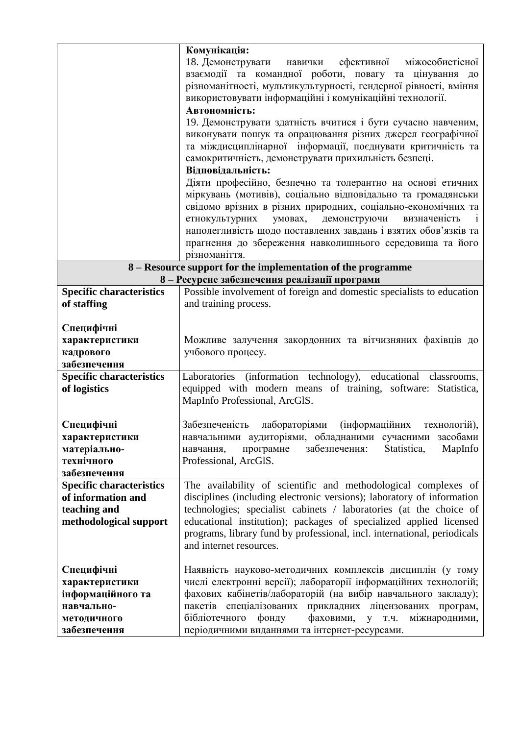|                                                                                                 | Комунікація:<br>18. Демонструвати<br>ефективної<br>міжособистісної<br>навички<br>взаємодії та командної роботи, повагу та цінування<br>ДО<br>різноманітності, мультикультурності, гендерної рівності, вміння<br>використовувати інформаційні і комунікаційні технології.<br>Автономність:<br>19. Демонструвати здатність вчитися і бути сучасно навченим,<br>виконувати пошук та опрацювання різних джерел географічної<br>та міждисциплінарної інформації, поєднувати критичність та<br>самокритичність, демонструвати прихильність безпеці.<br>Відповідальність:<br>Діяти професійно, безпечно та толерантно на основі етичних<br>міркувань (мотивів), соціально відповідально та громадянськи<br>свідомо врізних в різних природних, соціально-економічних та<br>демонструючи<br>етнокультурних<br>умовах,<br>визначеність<br>1<br>наполегливість щодо поставлених завдань і взятих обов'язків та<br>прагнення до збереження навколишнього середовища та його<br>різноманіття. |
|-------------------------------------------------------------------------------------------------|-----------------------------------------------------------------------------------------------------------------------------------------------------------------------------------------------------------------------------------------------------------------------------------------------------------------------------------------------------------------------------------------------------------------------------------------------------------------------------------------------------------------------------------------------------------------------------------------------------------------------------------------------------------------------------------------------------------------------------------------------------------------------------------------------------------------------------------------------------------------------------------------------------------------------------------------------------------------------------------|
|                                                                                                 | 8 – Resource support for the implementation of the programme                                                                                                                                                                                                                                                                                                                                                                                                                                                                                                                                                                                                                                                                                                                                                                                                                                                                                                                      |
|                                                                                                 | 8 - Ресурсне забезпечення реалізації програми                                                                                                                                                                                                                                                                                                                                                                                                                                                                                                                                                                                                                                                                                                                                                                                                                                                                                                                                     |
| <b>Specific characteristics</b>                                                                 | Possible involvement of foreign and domestic specialists to education                                                                                                                                                                                                                                                                                                                                                                                                                                                                                                                                                                                                                                                                                                                                                                                                                                                                                                             |
| of staffing                                                                                     | and training process.                                                                                                                                                                                                                                                                                                                                                                                                                                                                                                                                                                                                                                                                                                                                                                                                                                                                                                                                                             |
| Специфічні<br>характеристики<br>кадрового<br>забезпечення                                       | Можливе залучення закордонних та вітчизняних фахівців до<br>учбового процесу.                                                                                                                                                                                                                                                                                                                                                                                                                                                                                                                                                                                                                                                                                                                                                                                                                                                                                                     |
| <b>Specific characteristics</b><br>of logistics                                                 | Laboratories (information technology), educational<br>classrooms,<br>equipped with modern means of training, software:<br>Statistica,<br>MapInfo Professional, ArcGlS.                                                                                                                                                                                                                                                                                                                                                                                                                                                                                                                                                                                                                                                                                                                                                                                                            |
| Специфічні<br>характеристики<br>матеріально-<br>технічного<br>забезпечення                      | Забезпеченість<br>лабораторіями<br><i>(</i> інформаційних<br>технологій),<br>навчальними аудиторіями, обладнаними сучасними засобами<br>MapInfo<br>забезпечення:<br>Statistica,<br>програмне<br>навчання,<br>Professional, ArcGlS.                                                                                                                                                                                                                                                                                                                                                                                                                                                                                                                                                                                                                                                                                                                                                |
| <b>Specific characteristics</b><br>of information and<br>teaching and<br>methodological support | The availability of scientific and methodological complexes of<br>disciplines (including electronic versions); laboratory of information<br>technologies; specialist cabinets / laboratories (at the choice of<br>educational institution); packages of specialized applied licensed<br>programs, library fund by professional, incl. international, periodicals<br>and internet resources.                                                                                                                                                                                                                                                                                                                                                                                                                                                                                                                                                                                       |
| Специфічні<br>характеристики<br>інформаційного та<br>навчально-<br>методичного<br>забезпечення  | Наявність науково-методичних комплексів дисциплін (у тому<br>числі електронні версії); лабораторії інформаційних технологій;<br>фахових кабінетів/лабораторій (на вибір навчального закладу);<br>пакетів спеціалізованих прикладних ліцензованих програм,<br>бібліотечного<br>фонду<br>фаховими, у т.ч.<br>міжнародними,<br>періодичними виданнями та інтернет-ресурсами.                                                                                                                                                                                                                                                                                                                                                                                                                                                                                                                                                                                                         |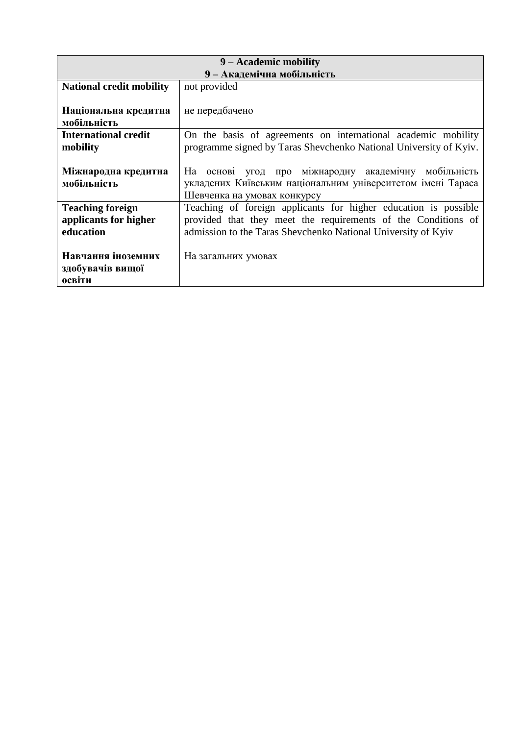| 9 – Academic mobility           |                                                                   |  |  |  |  |  |  |  |  |  |  |
|---------------------------------|-------------------------------------------------------------------|--|--|--|--|--|--|--|--|--|--|
|                                 | 9 - Академічна мобільність                                        |  |  |  |  |  |  |  |  |  |  |
| <b>National credit mobility</b> | not provided                                                      |  |  |  |  |  |  |  |  |  |  |
|                                 |                                                                   |  |  |  |  |  |  |  |  |  |  |
| Національна кредитна            | не передбачено                                                    |  |  |  |  |  |  |  |  |  |  |
| мобільність                     |                                                                   |  |  |  |  |  |  |  |  |  |  |
| <b>International credit</b>     | On the basis of agreements on international academic mobility     |  |  |  |  |  |  |  |  |  |  |
| mobility                        | programme signed by Taras Shevchenko National University of Kyiv. |  |  |  |  |  |  |  |  |  |  |
|                                 |                                                                   |  |  |  |  |  |  |  |  |  |  |
| Міжнародна кредитна             | На основі угод про міжнародну академічну мобільність              |  |  |  |  |  |  |  |  |  |  |
| мобільність                     | укладених Київським національним університетом імені Тараса       |  |  |  |  |  |  |  |  |  |  |
|                                 | Шевченка на умовах конкурсу                                       |  |  |  |  |  |  |  |  |  |  |
| <b>Teaching foreign</b>         | Teaching of foreign applicants for higher education is possible   |  |  |  |  |  |  |  |  |  |  |
| applicants for higher           | provided that they meet the requirements of the Conditions of     |  |  |  |  |  |  |  |  |  |  |
| education                       | admission to the Taras Shevchenko National University of Kyiv     |  |  |  |  |  |  |  |  |  |  |
|                                 |                                                                   |  |  |  |  |  |  |  |  |  |  |
| Навчання іноземних              | На загальних умовах                                               |  |  |  |  |  |  |  |  |  |  |
| здобувачів вищої                |                                                                   |  |  |  |  |  |  |  |  |  |  |
| освіти                          |                                                                   |  |  |  |  |  |  |  |  |  |  |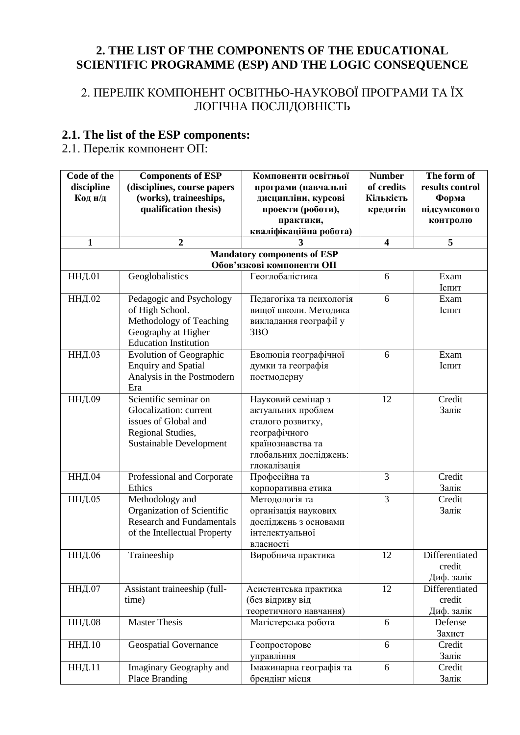## **2. THE LIST OF THE COMPONENTS OF THE EDUCATIONAL SCIENTIFIC PROGRAMME (ESP) AND THE LOGIC CONSEQUENCE**

## 2. ПЕРЕЛІК КОМПОНЕНТ ОСВІТНЬО-НАУКОВОЇ ПРОГРАМИ ТА ЇХ ЛОГІЧНА ПОСЛІДОВНІСТЬ

#### **2.1. The list of the ESP components:**

2.1. Перелік компонент ОП:

| Code of the<br>discipline<br>Код н/д | <b>Components of ESP</b><br>(disciplines, course papers<br>(works), traineeships,<br>qualification thesis)                     | Компоненти освітньої<br>програми (навчальні<br>дисципліни, курсові<br>проекти (роботи),<br>практики,                                          | <b>Number</b><br>of credits<br>Кількість<br>кредитів | The form of<br>results control<br>Форма<br>підсумкового<br>контролю |
|--------------------------------------|--------------------------------------------------------------------------------------------------------------------------------|-----------------------------------------------------------------------------------------------------------------------------------------------|------------------------------------------------------|---------------------------------------------------------------------|
|                                      |                                                                                                                                | кваліфікаційна робота)                                                                                                                        |                                                      |                                                                     |
| $\mathbf{1}$                         | $\overline{2}$                                                                                                                 |                                                                                                                                               | $\overline{\mathbf{4}}$                              | 5                                                                   |
|                                      |                                                                                                                                | <b>Mandatory components of ESP</b><br>Обов'язкові компоненти ОП                                                                               |                                                      |                                                                     |
| <b>ННД.01</b>                        | Geoglobalistics                                                                                                                | Геоглобалістика                                                                                                                               | 6                                                    | Exam<br>Іспит                                                       |
| ННД.02                               | Pedagogic and Psychology<br>of High School.<br>Methodology of Teaching<br>Geography at Higher<br><b>Education Institution</b>  | Педагогіка та психологія<br>вищої школи. Методика<br>викладання географії у<br>3BO                                                            | 6                                                    | Exam<br>Іспит                                                       |
| <b>ННД.03</b>                        | <b>Evolution of Geographic</b><br><b>Enquiry and Spatial</b><br>Analysis in the Postmodern<br>Era                              | Еволюція географічної<br>думки та географія<br>постмодерну                                                                                    | 6                                                    | Exam<br>Іспит                                                       |
| <b>ННД.09</b>                        | Scientific seminar on<br>Glocalization: current<br>issues of Global and<br>Regional Studies,<br><b>Sustainable Development</b> | Науковий семінар з<br>актуальних проблем<br>сталого розвитку,<br>географічного<br>країнознавства та<br>глобальних досліджень:<br>глокалізація | 12                                                   | Credit<br>Залік                                                     |
| <b>ННД.04</b>                        | Professional and Corporate<br>Ethics                                                                                           | Професійна та<br>корпоративна етика                                                                                                           | 3                                                    | Credit<br>Залік                                                     |
| ННД.05                               | Methodology and<br>Organization of Scientific<br><b>Research and Fundamentals</b><br>of the Intellectual Property              | Методологія та<br>організація наукових<br>досліджень з основами<br>інтелектуальної<br>власності                                               | $\overline{3}$                                       | Credit<br>Залік                                                     |
| ННД.06                               | Traineeship                                                                                                                    | Виробнича практика                                                                                                                            | 12                                                   | Differentiated<br>credit<br>Диф. залік                              |
| <b>ННД.07</b>                        | Assistant traineeship (full-<br>time)                                                                                          | Асистентська практика<br>(без відриву від<br>теоретичного навчання)                                                                           | 12                                                   | Differentiated<br>credit<br>Диф. залік                              |
| <b>ННД.08</b>                        | <b>Master Thesis</b>                                                                                                           | Магістерська робота                                                                                                                           | 6                                                    | Defense<br>Захист                                                   |
| ННД.10                               | <b>Geospatial Governance</b>                                                                                                   | Геопросторове<br>управління                                                                                                                   | 6                                                    | Credit<br>Залік                                                     |
| ННД.11                               | Imaginary Geography and<br>Place Branding                                                                                      | Імажинарна географія та<br>брендінг місця                                                                                                     | 6                                                    | Credit<br>Залік                                                     |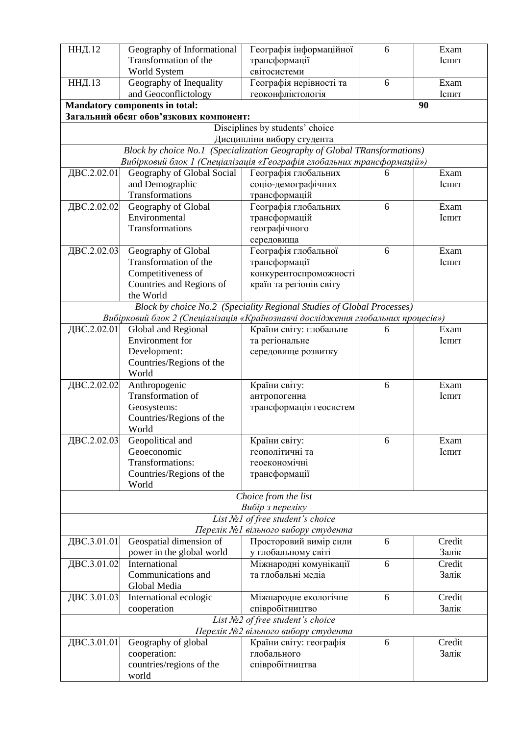| ННД.12      | Geography of Informational                                                       | Географія інформаційної                                                   | 6 | Exam   |
|-------------|----------------------------------------------------------------------------------|---------------------------------------------------------------------------|---|--------|
|             | Transformation of the                                                            | трансформації                                                             |   | Іспит  |
|             | World System                                                                     | світосистеми                                                              |   |        |
| ННД.13      | Geography of Inequality                                                          | Географія нерівності та                                                   | 6 | Exam   |
|             | and Geoconflictology                                                             | геоконфліктологія                                                         |   | Іспит  |
|             | <b>Mandatory components in total:</b>                                            |                                                                           |   | 90     |
|             | Загальний обсяг обов'язкових компонент:                                          |                                                                           |   |        |
|             |                                                                                  | Disciplines by students' choice                                           |   |        |
|             |                                                                                  | Дисципліни вибору студента                                                |   |        |
|             |                                                                                  | Block by choice No.1 (Specialization Geography of Global TRansformations) |   |        |
|             | Вибірковий блок 1 (Спеціалізація «Географія глобальних трансформацій»)           |                                                                           |   |        |
| ДВС.2.02.01 | Geography of Global Social                                                       | Географія глобальних                                                      | 6 | Exam   |
|             | and Demographic                                                                  | соціо-демографічних                                                       |   | Іспит  |
|             | Transformations                                                                  | трансформацій                                                             |   |        |
| ДВС.2.02.02 | Geography of Global                                                              | Географія глобальних                                                      | 6 | Exam   |
|             | Environmental                                                                    | трансформацій                                                             |   | Іспит  |
|             | Transformations                                                                  | географічного                                                             |   |        |
|             |                                                                                  | середовища                                                                |   |        |
| ДВС.2.02.03 | Geography of Global<br>Transformation of the                                     | Географія глобальної                                                      | 6 | Exam   |
|             |                                                                                  | трансформації                                                             |   | Іспит  |
|             | Competitiveness of                                                               | конкурентоспроможності<br>країн та регіонів світу                         |   |        |
|             | Countries and Regions of<br>the World                                            |                                                                           |   |        |
|             |                                                                                  | Block by choice No.2 (Speciality Regional Studies of Global Processes)    |   |        |
|             | Вибірковий блок 2 (Спеціалізація «Країнознавчі дослідження глобальних процесів») |                                                                           |   |        |
| ДВС.2.02.01 | Global and Regional                                                              | Країни світу: глобальне                                                   | 6 | Exam   |
|             | Environment for                                                                  | та регіональне                                                            |   | Іспит  |
|             | Development:                                                                     | середовище розвитку                                                       |   |        |
|             | Countries/Regions of the                                                         |                                                                           |   |        |
|             | World                                                                            |                                                                           |   |        |
| ДВС.2.02.02 | Anthropogenic                                                                    | Країни світу:                                                             | 6 | Exam   |
|             | Transformation of                                                                | антропогенна                                                              |   | Іспит  |
|             | Geosystems:                                                                      | трансформація геосистем                                                   |   |        |
|             | Countries/Regions of the                                                         |                                                                           |   |        |
|             | World                                                                            |                                                                           |   |        |
| ДВС.2.02.03 | Geopolitical and                                                                 | Країни світу:                                                             | 6 | Exam   |
|             | Geoeconomic                                                                      | геополітичні та                                                           |   | Іспит  |
|             | Transformations:                                                                 | геоекономічні                                                             |   |        |
|             | Countries/Regions of the                                                         | трансформації                                                             |   |        |
|             | World                                                                            |                                                                           |   |        |
|             |                                                                                  | Choice from the list                                                      |   |        |
|             |                                                                                  | Вибір з переліку                                                          |   |        |
|             |                                                                                  | List Nol of free student's choice<br>Перелік №1 вільного вибору студента  |   |        |
| ДВС.3.01.01 | Geospatial dimension of                                                          | Просторовий вимір сили                                                    | 6 | Credit |
|             | power in the global world                                                        | у глобальному світі                                                       |   | Залік  |
| ДВС.3.01.02 | International                                                                    | Міжнародні комунікації                                                    | 6 | Credit |
|             | Communications and                                                               | та глобальні медіа                                                        |   | Залік  |
|             | Global Media                                                                     |                                                                           |   |        |
| ДВС 3.01.03 | International ecologic                                                           | Міжнародне екологічне                                                     | 6 | Credit |
|             | cooperation                                                                      | співробітництво                                                           |   | Залік  |
|             |                                                                                  | List $N2$ of free student's choice                                        |   |        |
|             |                                                                                  | Перелік №2 вільного вибору студента                                       |   |        |
| ДВС.3.01.01 | Geography of global                                                              | Країни світу: географія                                                   | 6 | Credit |
|             | cooperation:                                                                     | глобального                                                               |   | Залік  |
|             | countries/regions of the                                                         | співробітництва                                                           |   |        |
|             | world                                                                            |                                                                           |   |        |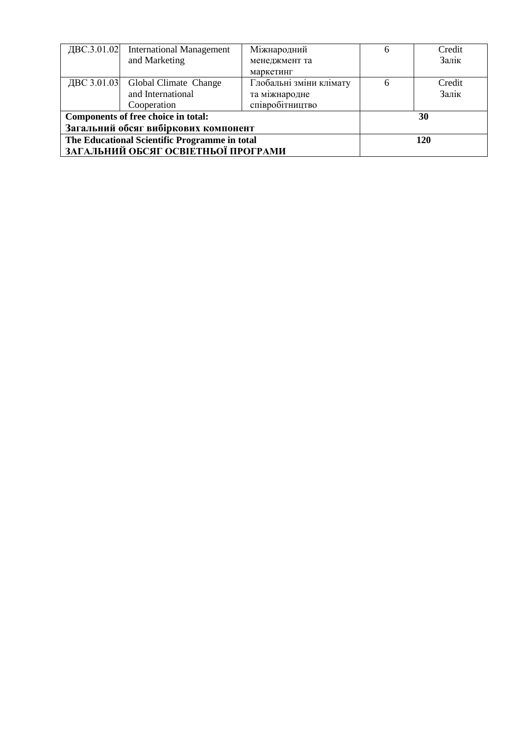| ДВС.3.01.02 | <b>International Management</b>               | Міжнародний             | 6   | Credit |
|-------------|-----------------------------------------------|-------------------------|-----|--------|
|             | and Marketing                                 | менеджмент та           |     | Залік  |
|             |                                               | маркетинг               |     |        |
| ДВС 3.01.03 | Global Climate Change                         | Глобальні зміни клімату |     | Credit |
|             | and International                             | та міжнародне           |     | Залік  |
|             | Cooperation                                   | співробітництво         |     |        |
|             | Components of free choice in total:           |                         |     | 30     |
|             | Загальний обсяг вибіркових компонент          |                         |     |        |
|             | The Educational Scientific Programme in total |                         | 120 |        |
|             | ЗАГАЛЬНИЙ ОБСЯГ ОСВІЕТНЬОЇ ПРОГРАМИ           |                         |     |        |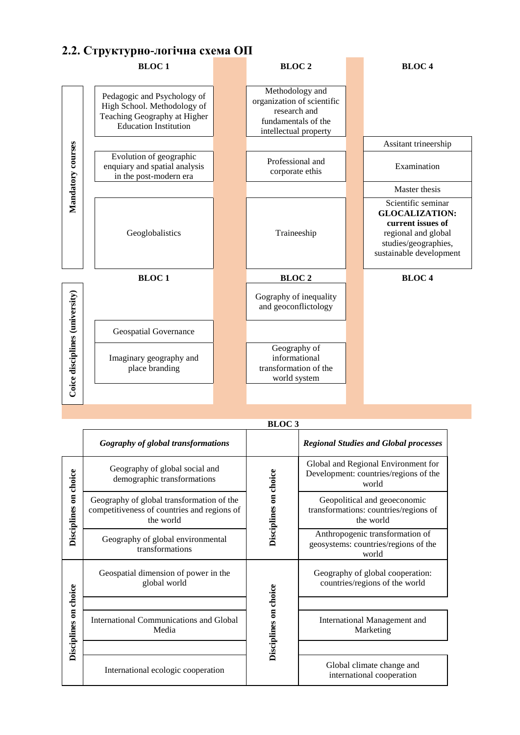#### **2.2. Структурно-логічна схема ОП**



|                       |                                                                                                       | <b>BLOC3</b>          |                                                                                       |
|-----------------------|-------------------------------------------------------------------------------------------------------|-----------------------|---------------------------------------------------------------------------------------|
|                       | <b>Gography of global transformations</b>                                                             |                       | <b>Regional Studies and Global processes</b>                                          |
|                       | Geography of global social and<br>demographic transformations                                         |                       | Global and Regional Environment for<br>Development: countries/regions of the<br>world |
| Disciplines on choice | Geography of global transformation of the<br>competitiveness of countries and regions of<br>the world | Disciplines on choice | Geopolitical and geoeconomic<br>transformations: countries/regions of<br>the world    |
|                       | Geography of global environmental<br>transformations                                                  |                       | Anthropogenic transformation of<br>geosystems: countries/regions of the<br>world      |
|                       | Geospatial dimension of power in the<br>global world                                                  |                       | Geography of global cooperation:<br>countries/regions of the world                    |
|                       |                                                                                                       |                       |                                                                                       |
| Disciplines on choice | International Communications and Global<br>Media                                                      | Disciplines on choice | International Management and<br>Marketing                                             |
|                       |                                                                                                       |                       |                                                                                       |
|                       | International ecologic cooperation                                                                    |                       | Global climate change and<br>international cooperation                                |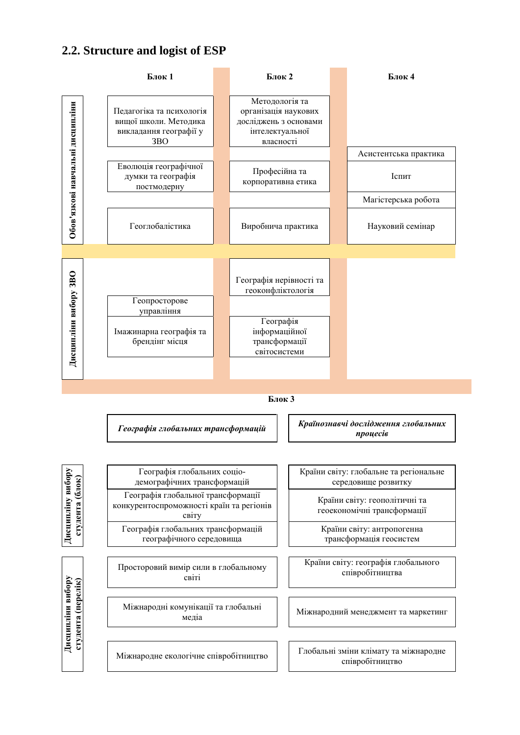#### **2.2. Structure and logist of ESP**

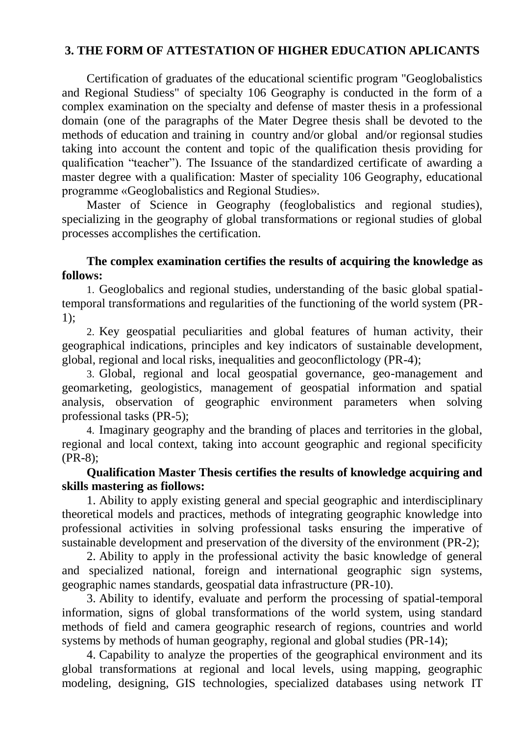## **3. THE FORM OF ATTESTATION OF HIGHER EDUCATION APLICANTS**

Certification of graduates of the educational scientific program "Geoglobalistics and Regional Studiess" of specialty 106 Geography is conducted in the form of a complex examination on the specialty and defense of master thesis in a professional domain (one of the paragraphs of the Mater Degree thesis shall be devoted to the methods of education and training in country and/or global and/or regionsal studies taking into account the content and topic of the qualification thesis providing for qualification "teacher"). The Issuance of the standardized certificate of awarding a master degree with a qualification: Master of speciality 106 Geography, educational programme «Geoglobalistics and Regional Studies».

Master of Science in Geography (feoglobalistics and regional studies), specializing in the geography of global transformations or regional studies of global processes accomplishes the certification.

### **The complex examination certifies the results of acquiring the knowledge as follows:**

1. Geoglobalics and regional studies, understanding of the basic global spatialtemporal transformations and regularities of the functioning of the world system (PR-1);

2. Key geospatial peculiarities and global features of human activity, their geographical indications, principles and key indicators of sustainable development, global, regional and local risks, inequalities and geoconflictology (PR-4);

3. Global, regional and local geospatial governance, geo-management and geomarketing, geologistics, management of geospatial information and spatial analysis, observation of geographic environment parameters when solving professional tasks (PR-5);

4. Imaginary geography and the branding of places and territories in the global, regional and local context, taking into account geographic and regional specificity (PR-8);

#### **Qualification Master Thesis certifies the results of knowledge acquiring and skills mastering as fiollows:**

1. Ability to apply existing general and special geographic and interdisciplinary theoretical models and practices, methods of integrating geographic knowledge into professional activities in solving professional tasks ensuring the imperative of sustainable development and preservation of the diversity of the environment (PR-2);

2. Ability to apply in the professional activity the basic knowledge of general and specialized national, foreign and international geographic sign systems, geographic names standards, geospatial data infrastructure (PR-10).

3. Ability to identify, evaluate and perform the processing of spatial-temporal information, signs of global transformations of the world system, using standard methods of field and camera geographic research of regions, countries and world systems by methods of human geography, regional and global studies (PR-14);

4. Capability to analyze the properties of the geographical environment and its global transformations at regional and local levels, using mapping, geographic modeling, designing, GIS technologies, specialized databases using network IT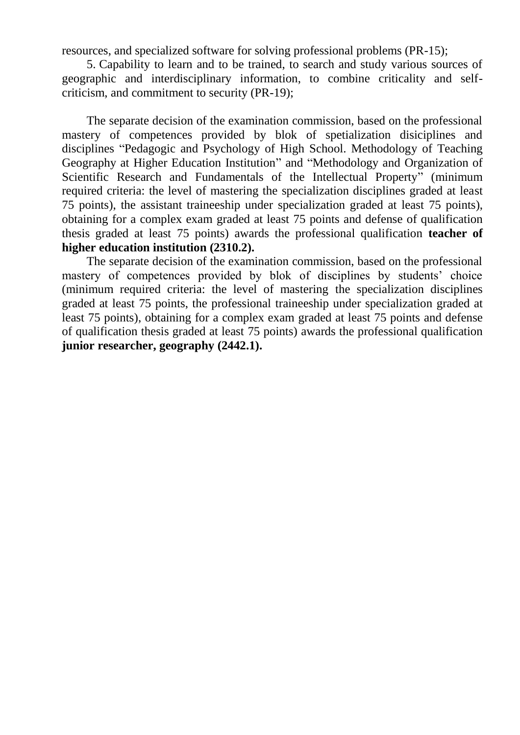resources, and specialized software for solving professional problems (PR-15);

5. Capability to learn and to be trained, to search and study various sources of geographic and interdisciplinary information, to combine criticality and selfcriticism, and commitment to security (PR-19);

The separate decision of the examination commission, based on the professional mastery of competences provided by blok of spetialization disiciplines and disciplines "Pedagogic and Psychology of High School. Methodology of Teaching Geography at Higher Education Institution" and "Methodology and Organization of Scientific Research and Fundamentals of the Intellectual Property" (minimum required criteria: the level of mastering the specialization disciplines graded at least 75 points), the assistant traineeship under specialization graded at least 75 points), obtaining for a complex exam graded at least 75 points and defense of qualification thesis graded at least 75 points) awards the professional qualification **teacher of higher education institution (2310.2).**

The separate decision of the examination commission, based on the professional mastery of competences provided by blok of disciplines by students' choice (minimum required criteria: the level of mastering the specialization disciplines graded at least 75 points, the professional traineeship under specialization graded at least 75 points), obtaining for a complex exam graded at least 75 points and defense of qualification thesis graded at least 75 points) awards the professional qualification **junior researcher, geography (2442.1).**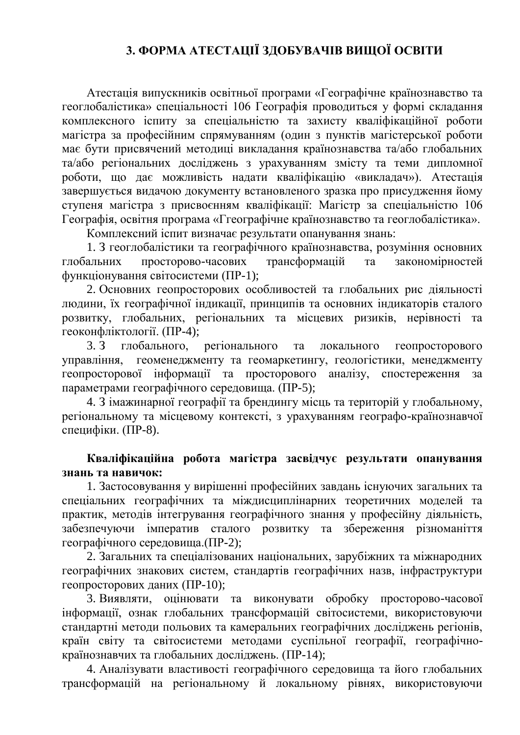## **3. ФОРМА АТЕСТАЦІЇ ЗДОБУВАЧІВ ВИЩОЇ ОСВІТИ**

Атестація випускників освітньої програми «Географічне країнознавство та геоглобалістика» спеціальності 106 Географія проводиться у формі складання комплексного іспиту за спеціальністю та захисту кваліфікаційної роботи магістра за професійним спрямуванням (один з пунктів магістерської роботи має бути присвячений методиці викладання країнознавства та/або глобальних та/або регіональних досліджень з урахуванням змісту та теми дипломної роботи, що дає можливість надати кваліфікацію «викладач»). Атестація завершується видачою документу встановленого зразка про присудження йому ступеня магістра з присвоєнням кваліфікації: Магістр за спеціальністю 106 Географія, освітня програма «Ггеографічне країнознавство та геоглобалістика».

Комплексний іспит визначає результати опанування знань:

1. З геоглобалістики та географічного країнознавства, розуміння основних глобальних просторово-часових трансформацій та закономірностей функціонування світосистеми (ПР-1);

2. Основних геопросторових особливостей та глобальних рис діяльності людини, їх географічної індикації, принципів та основних індикаторів сталого розвитку, глобальних, регіональних та місцевих ризиків, нерівності та геоконфліктології. (ПР-4);

3. З глобального, регіонального та локального геопросторового управління, геоменеджменту та геомаркетингу, геологістики, менеджменту геопросторової інформації та просторового аналізу, спостереження за параметрами географічного середовища. (ПР-5);

4. З імажинарної географії та брендингу місць та територій у глобальному, регіональному та місцевому контексті, з урахуванням географо-країнознавчої специфіки. (ПР-8).

#### **Кваліфікаційна робота магістра засвідчує результати опанування знань та навичок:**

1. Застосовування у вирішенні професійних завдань існуючих загальних та спеціальних географічних та міждисциплінарних теоретичних моделей та практик, методів інтегрування географічного знання у професійну діяльність, забезпечуючи імператив сталого розвитку та збереження різноманіття географічного середовища.(ПР-2);

2. Загальних та спеціалізованих національних, зарубіжних та міжнародних географічних знакових систем, стандартів географічних назв, інфраструктури геопросторових даних (ПР-10);

3. Виявляти, оцінювати та виконувати обробку просторово-часової інформації, ознак глобальних трансформацій світосистеми, використовуючи стандартні методи польових та камеральних географічних досліджень регіонів, країн світу та світосистеми методами суспільної географії, географічнокраїнознавчих та глобальних досліджень. (ПР-14);

4. Аналізувати властивості географічного середовища та його глобальних трансформацій на регіональному й локальному рівнях, використовуючи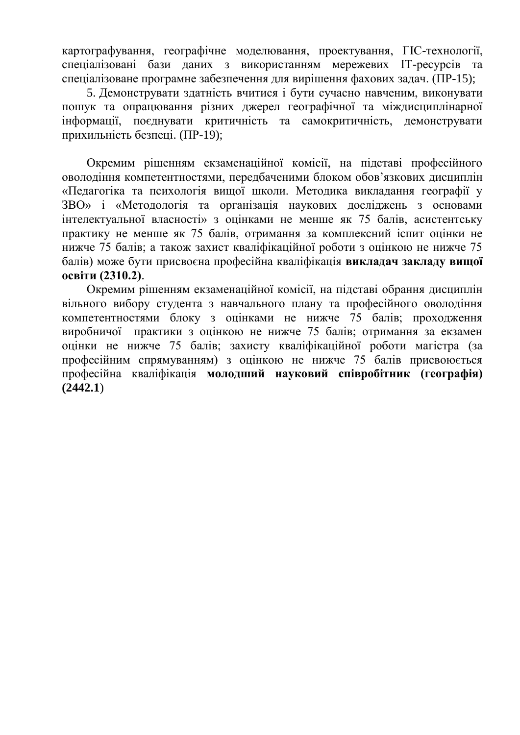картографування, географічне моделювання, проектування, ГІС-технології, спеціалізовані бази даних з використанням мережевих ІТ-ресурсів та спеціалізоване програмне забезпечення для вирішення фахових задач. (ПР-15);

5. Демонструвати здатність вчитися і бути сучасно навченим, виконувати пошук та опрацювання різних джерел географічної та міждисциплінарної інформації, поєднувати критичність та самокритичність, демонструвати прихильність безпеці. (ПР-19);

Окремим рішенням екзаменаційної комісії, на підставі професійного оволодіння компетентностями, передбаченими блоком обов'язкових дисциплін «Педагогіка та психологія вищої школи. Методика викладання географії у ЗВО» і «Методологія та організація наукових досліджень з основами інтелектуальної власності» з оцінками не менше як 75 балів, асистентську практику не менше як 75 балів, отримання за комплексний іспит оцінки не нижче 75 балів; а також захист кваліфікаційної роботи з оцінкою не нижче 75 балів) може бути присвоєна професійна кваліфікація **викладач закладу вищої освіти (2310.2)**.

Окремим рішенням екзаменаційної комісії, на підставі обрання дисциплін вільного вибору студента з навчального плану та професійного оволодіння компетентностями блоку з оцінками не нижче 75 балів; проходження виробничої практики з оцінкою не нижче 75 балів; отримання за екзамен оцінки не нижче 75 балів; захисту кваліфікаційної роботи магістра (за професійним спрямуванням) з оцінкою не нижче 75 балів присвоюється професійна кваліфікація **молодший науковий співробітник (географія) (2442.1**)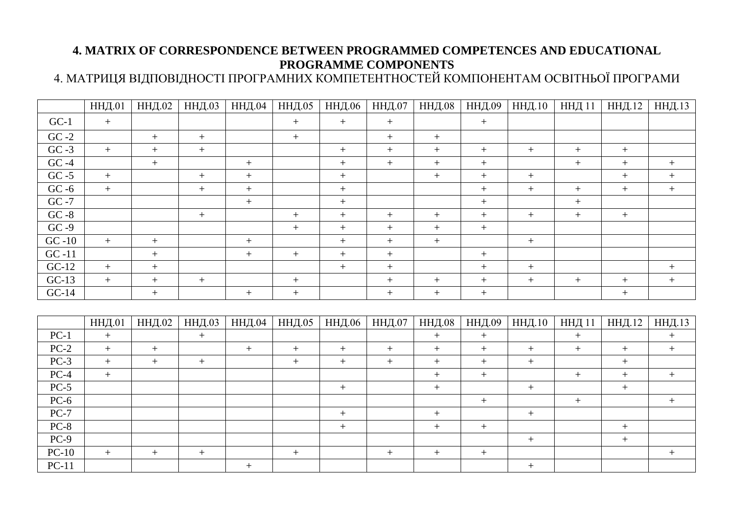## **4. MATRIX OF CORRESPONDENCE BETWEEN PROGRAMMED COMPETENCES AND EDUCATIONAL PROGRAMME COMPONENTS**

4. МАТРИЦЯ ВІДПОВІДНОСТІ ПРОГРАМНИХ КОМПЕТЕНТНОСТЕЙ КОМПОНЕНТАМ ОСВІТНЬОЇ ПРОГРАМИ

|          | <b>ННД.01</b> | <b>ННД.02</b> | <b>ННД.03</b>    | <b>ННД.04</b> | ННД.05 | <b>ННД.06</b> | <b>ННД.07</b>    | <b>ННД.08</b>     | <b>ННД.09</b> | ННД.10           | <b>ННД</b> 11 | ННД.12 | ННД.13            |
|----------|---------------|---------------|------------------|---------------|--------|---------------|------------------|-------------------|---------------|------------------|---------------|--------|-------------------|
| $GC-1$   | $+$           |               |                  |               | $\, +$ | $^{+}$        | $\pm$            |                   | $^{+}$        |                  |               |        |                   |
| $GC -2$  |               | $+$           | $+$              |               | $+$    |               | $+$              | $^{+}$            |               |                  |               |        |                   |
| $GC -3$  | $+$           | $+$           | $^{+}$           |               |        | $^{+}$        | $+$              | $^{+}$            | $+$           | $+$              | $^{+}$        | $+$    |                   |
| $GC -4$  |               | $+$           |                  | $+$           |        | $^{+}$        | $+$              | $+$               | $^{+}$        |                  | $+$           |        | $+$               |
| $GC -5$  | $+$           |               | $\boldsymbol{+}$ | $+$           |        | $^{+}$        |                  | $^{+}$            | $^{+}$        | $+$              |               | $+$    | $\boldsymbol{+}$  |
| $GC -6$  | $+$           |               | $^{+}$           | $+$           |        | $^{+}$        |                  |                   |               | $+$              | $+$           | $^{+}$ | $+$               |
| GC -7    |               |               |                  | $+$           |        | $+$           |                  |                   | $+$           |                  | $+$           |        |                   |
| $GC - 8$ |               |               | $^{+}$           |               | $^{+}$ | $^{+}$        | $+$              | $^{+}$            | $^{+}$        | $+$              | $+$           | $+$    |                   |
| $GC -9$  |               |               |                  |               | $+$    | $+$           | $+$              | $+$               | $+$           |                  |               |        |                   |
| $GC -10$ | $+$           | $+$           |                  | $+$           |        | $^{+}$        | $+$              | $+$               |               | $+$              |               |        |                   |
| $GC -11$ |               | $+$           |                  | $+$           | $+$    | $^{+}$        | $+$              |                   | $^{+}$        |                  |               |        |                   |
| $GC-12$  | $+$           | $^{+}$        |                  |               |        | $^{+}$        | $\boldsymbol{+}$ |                   | $+$           | $\boldsymbol{+}$ |               |        | $\qquad \qquad +$ |
| $GC-13$  | $+$           | $^{+}$        | $^{+}$           |               | $^{+}$ |               | $^{+}$           | $^{+}$            | $^{+}$        | $+$              | $^{+}$        | $^{+}$ | $+$               |
| $GC-14$  |               | $+$           |                  | $+$           | $+$    |               | $\, +$           | $^{+}$            | $^{+}$        |                  |               | $+$    |                   |
|          |               |               |                  |               |        |               |                  |                   |               |                  |               |        |                   |
|          | <b>ННД.01</b> | <b>ННД.02</b> | <b>ННД.03</b>    | <b>ННД.04</b> | ННД.05 | <b>ННД.06</b> | <b>ННД.07</b>    | <b>ННД.08</b>     | <b>ННД.09</b> | ННД.10           | <b>ННД11</b>  | ННД.12 | ННД.13            |
| $PC-1$   | $+$           |               | $+$              |               |        |               |                  | $^{+}$            | $+$           |                  | $+$           |        | $+$               |
| $PC-2$   | $+$           | $+$           |                  | $+$           | $+$    | $+$           | $+$              | $^{+}$            | $+$           | $+$              | $^{+}$        | $+$    | $+$               |
| $PC-3$   | $+$           | $+$           | $\boldsymbol{+}$ |               | $+$    | $^{+}$        | $+$              | $+$               | $+$           | $\boldsymbol{+}$ |               | $+$    |                   |
| $PC-4$   | $+$           |               |                  |               |        |               |                  | $^{+}$            | $^{+}$        |                  | $^{+}$        | $+$    | $+$               |
| $PC-5$   |               |               |                  |               |        |               |                  | $\qquad \qquad +$ |               | $+$              |               | $+$    |                   |
| $PC-6$   |               |               |                  |               |        |               |                  |                   | $^{+}$        |                  | $^{+}$        |        | $+$               |

PC-7 + + +

PC-11 + +

PC-8 + + + + PC-9 + +

PC-10 + + + + + + + +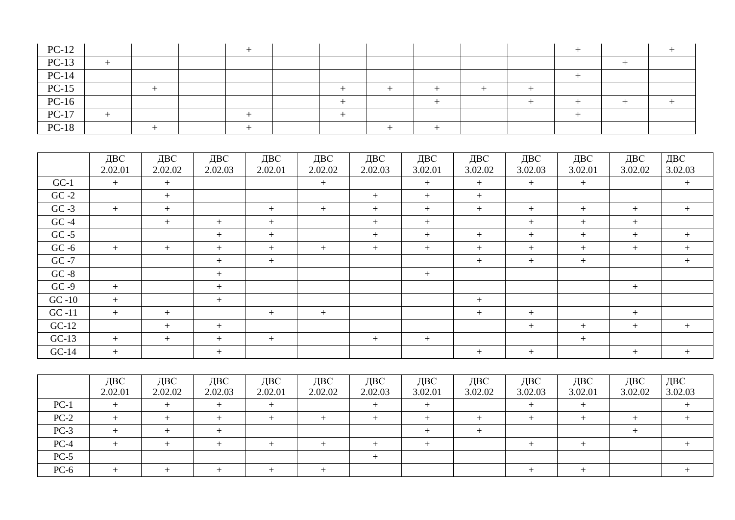| $PC-12$                                            |  |  |  |  |  |  |  |
|----------------------------------------------------|--|--|--|--|--|--|--|
|                                                    |  |  |  |  |  |  |  |
| PC-13<br>PC-14<br>PC-15<br>PC-16<br>PC-17<br>PC-18 |  |  |  |  |  |  |  |
|                                                    |  |  |  |  |  |  |  |
|                                                    |  |  |  |  |  |  |  |
|                                                    |  |  |  |  |  |  |  |
|                                                    |  |  |  |  |  |  |  |

|          | ДВС<br>2.02.01 | ДВС<br>2.02.02 | ДВС<br>2.02.03 | ДВС<br>2.02.01 | ДВС<br>2.02.02 | ДВС<br>2.02.03 | ДВС<br>3.02.01 | ДВС<br>3.02.02 | ДВС<br>3.02.03 | ДВС<br>3.02.01 | ДВС<br>3.02.02 | ДВС<br>3.02.03 |
|----------|----------------|----------------|----------------|----------------|----------------|----------------|----------------|----------------|----------------|----------------|----------------|----------------|
|          |                |                |                |                |                |                |                |                |                |                |                |                |
| $GC-1$   | $+$            | $+$            |                |                | $+$            |                | $+$            | $+$            | $+$            | $+$            |                | $+$            |
| $GC -2$  |                | $+$            |                |                |                | $+$            | $+$            | $+$            |                |                |                |                |
| $GC -3$  | $+$            | $+$            |                | $+$            | $+$            | $+$            | $+$            | $+$            | $+$            | $+$            | $+$            | $+$            |
| $GC -4$  |                | $+$            | $+$            | $+$            |                | $+$            | $+$            |                | $+$            | $+$            | $+$            |                |
| $GC -5$  |                |                | $+$            | $+$            |                | $+$            | $+$            | $+$            | $+$            | $+$            | $+$            | $+$            |
| $GC -6$  | $+$            | $+$            | $+$            | $+$            | $+$            | $+$            | $+$            | $+$            | $+$            | $+$            | $+$            | $+$            |
| $GC -7$  |                |                | $+$            | $+$            |                |                |                | $+$            | $+$            | $+$            |                | $+$            |
| $GC -8$  |                |                | $+$            |                |                |                | $+$            |                |                |                |                |                |
| $GC -9$  | $+$            |                | $+$            |                |                |                |                |                |                |                | $+$            |                |
| $GC -10$ | $+$            |                | $+$            |                |                |                |                | $+$            |                |                |                |                |
| $GC -11$ | $+$            | $+$            |                | $+$            | $+$            |                |                | $+$            | $+$            |                | $+$            |                |
| $GC-12$  |                | $+$            | $+$            |                |                |                |                |                | $+$            | $+$            | $+$            | $+$            |
| $GC-13$  | $+$            | $+$            | $+$            | $+$            |                | $+$            | $+$            |                |                | $+$            |                |                |
| $GC-14$  | $+$            |                | $+$            |                |                |                |                | $+$            | $+$            |                | $+$            | $+$            |

|        | ДВС<br>2.02.01 | ДВС<br>2.02.02 | ДВС<br>2.02.03 | ДВС<br>2.02.01 | ДВС<br>2.02.02 | ДВС<br>2.02.03 | ДВС<br>3.02.01 | ДВС<br>3.02.02 | ДВС<br>3.02.03 | ДВС<br>3.02.01 | ДВС<br>3.02.02 | ДВС<br>3.02.03 |
|--------|----------------|----------------|----------------|----------------|----------------|----------------|----------------|----------------|----------------|----------------|----------------|----------------|
| $PC-1$ |                |                |                |                |                |                |                |                |                |                |                |                |
| $PC-2$ |                |                |                |                |                |                |                |                |                |                |                |                |
| $PC-3$ |                |                |                |                |                |                |                |                |                |                |                |                |
| $PC-4$ |                |                |                |                |                |                |                |                |                |                |                |                |
| $PC-5$ |                |                |                |                |                |                |                |                |                |                |                |                |
| $PC-6$ |                |                |                |                |                |                |                |                |                |                |                |                |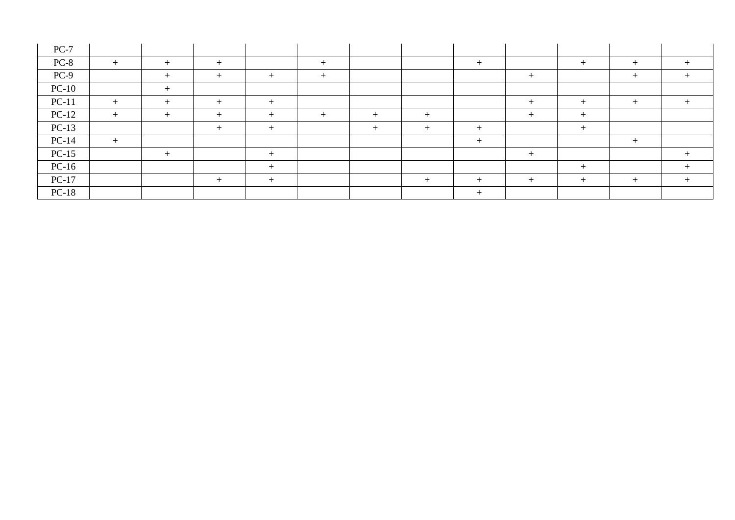| $PC-7$  |        |        |      |        |      |        |       |        |        |   |       |  |
|---------|--------|--------|------|--------|------|--------|-------|--------|--------|---|-------|--|
| $PC-8$  | $+$    | $+$    | $^+$ |        | $+$  |        |       | $+$    |        |   |       |  |
| $PC-9$  |        | $^{+}$ |      | $^{+}$ | $+$  |        |       |        | $^{+}$ |   | $+$   |  |
| $PC-10$ |        | $+$    |      |        |      |        |       |        |        |   |       |  |
| $PC-11$ | $+$    | $^{+}$ | $^+$ | $^{+}$ |      |        |       |        | ᆠ      | + | ∸     |  |
| $PC-12$ | $^{+}$ | $^{+}$ | ┭    | $\pm$  | $^+$ | $+$    | $\pm$ |        | $^{+}$ |   |       |  |
| $PC-13$ |        |        | ┭    | $^{+}$ |      | $^{+}$ |       | $^{+}$ |        |   |       |  |
| $PC-14$ | $+$    |        |      |        |      |        |       | $+$    |        |   | $\pm$ |  |
| $PC-15$ |        |        |      |        |      |        |       |        |        |   |       |  |
| $PC-16$ |        |        |      | $^{+}$ |      |        |       |        |        |   |       |  |
| $PC-17$ |        |        |      |        |      |        |       |        |        |   |       |  |
| $PC-18$ |        |        |      |        |      |        |       | $+$    |        |   |       |  |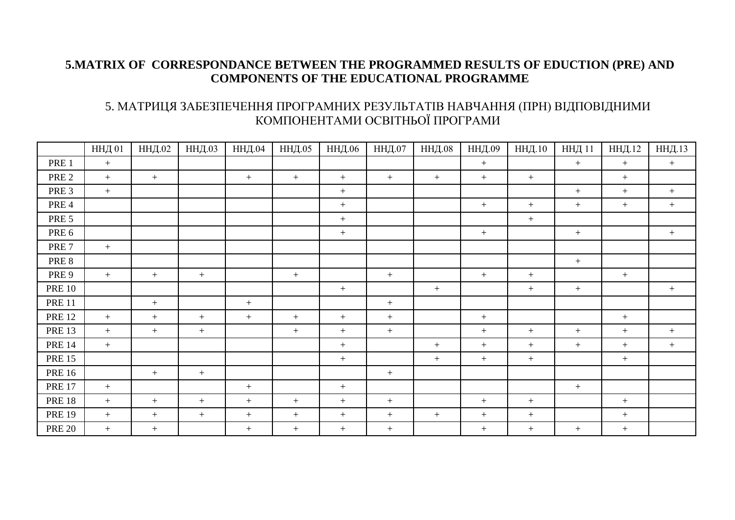#### **5.MATRIX OF CORRESPONDANCE BETWEEN THE PROGRAMMED RESULTS OF EDUCTION (PRE) AND COMPONENTS OF THE EDUCATIONAL PROGRAMME**

### 5. МАТРИЦЯ ЗАБЕЗПЕЧЕННЯ ПРОГРАМНИХ РЕЗУЛЬТАТІВ НАВЧАННЯ (ПРН) ВІДПОВІДНИМИ КОМПОНЕНТАМИ ОСВІТНЬОЇ ПРОГРАМИ

|                  | ННД 01 | <b>ННД.02</b> | <b>ННД.03</b> | <b>ННД.04</b> | ННД.05           | ННД.06           | ННД.07 | <b>ННД.08</b> | ННД.09 | ННД.10           | <b>ННД11</b> | ННД.12 | ННД.13 |
|------------------|--------|---------------|---------------|---------------|------------------|------------------|--------|---------------|--------|------------------|--------------|--------|--------|
| PRE 1            | $+$    |               |               |               |                  |                  |        |               | $+$    |                  | $+$          | $+$    | $+$    |
| PRE <sub>2</sub> | $+$    | $+$           |               | $+$           | $+$              | $+$              | $+$    | $+$           | $+$    | $\boldsymbol{+}$ |              | $\pm$  |        |
| PRE <sub>3</sub> | $+$    |               |               |               |                  | $+$              |        |               |        |                  | $+$          | $+$    | $+$    |
| PRE 4            |        |               |               |               |                  | $+$              |        |               | $+$    | $+$              | $+$          | $+$    | $+$    |
| PRE <sub>5</sub> |        |               |               |               |                  | $\boldsymbol{+}$ |        |               |        | $+$              |              |        |        |
| PRE <sub>6</sub> |        |               |               |               |                  | $+$              |        |               | $+$    |                  | $+$          |        | $+$    |
| PRE <sub>7</sub> | $+$    |               |               |               |                  |                  |        |               |        |                  |              |        |        |
| PRE 8            |        |               |               |               |                  |                  |        |               |        |                  | $+$          |        |        |
| PRE 9            | $+$    | $+$           | $\pm$         |               | $\boldsymbol{+}$ |                  | $\pm$  |               | $\, +$ | $\boldsymbol{+}$ |              | $\, +$ |        |
| <b>PRE 10</b>    |        |               |               |               |                  | $+$              |        | $+$           |        | $+$              | $+$          |        | $\pm$  |
| <b>PRE 11</b>    |        | $+$           |               | $+$           |                  |                  | $+$    |               |        |                  |              |        |        |
| <b>PRE 12</b>    | $+$    | $+$           | $+$           | $+$           | $+$              | $+$              | $+$    |               | $+$    |                  |              | $\pm$  |        |
| <b>PRE 13</b>    | $+$    | $+$           | $+$           |               | $+$              | $+$              | $+$    |               | $+$    | $+$              | $+$          | $+$    | $+$    |
| <b>PRE 14</b>    | $+$    |               |               |               |                  | $\boldsymbol{+}$ |        | $+$           | $+$    | $+$              | $+$          | $+$    | $\pm$  |
| <b>PRE 15</b>    |        |               |               |               |                  | $+$              |        | $+$           | $+$    | $+$              |              | $+$    |        |
| <b>PRE 16</b>    |        | $+$           | $+$           |               |                  |                  | $+$    |               |        |                  |              |        |        |
| <b>PRE 17</b>    | $+$    |               |               | $+$           |                  | $+$              |        |               |        |                  | $+$          |        |        |
| <b>PRE 18</b>    | $+$    | $+$           | $+$           | $+$           | $+$              | $+$              | $+$    |               | $+$    | $+$              |              | $+$    |        |
| <b>PRE 19</b>    | $+$    | $+$           | $+$           | $+$           | $+$              | $+$              | $+$    | $+$           | $+$    | $\boldsymbol{+}$ |              | $+$    |        |
| <b>PRE 20</b>    | $+$    | $+$           |               | $+$           | $+$              | $+$              | $+$    |               | $+$    | $+$              | $+$          | $+$    |        |